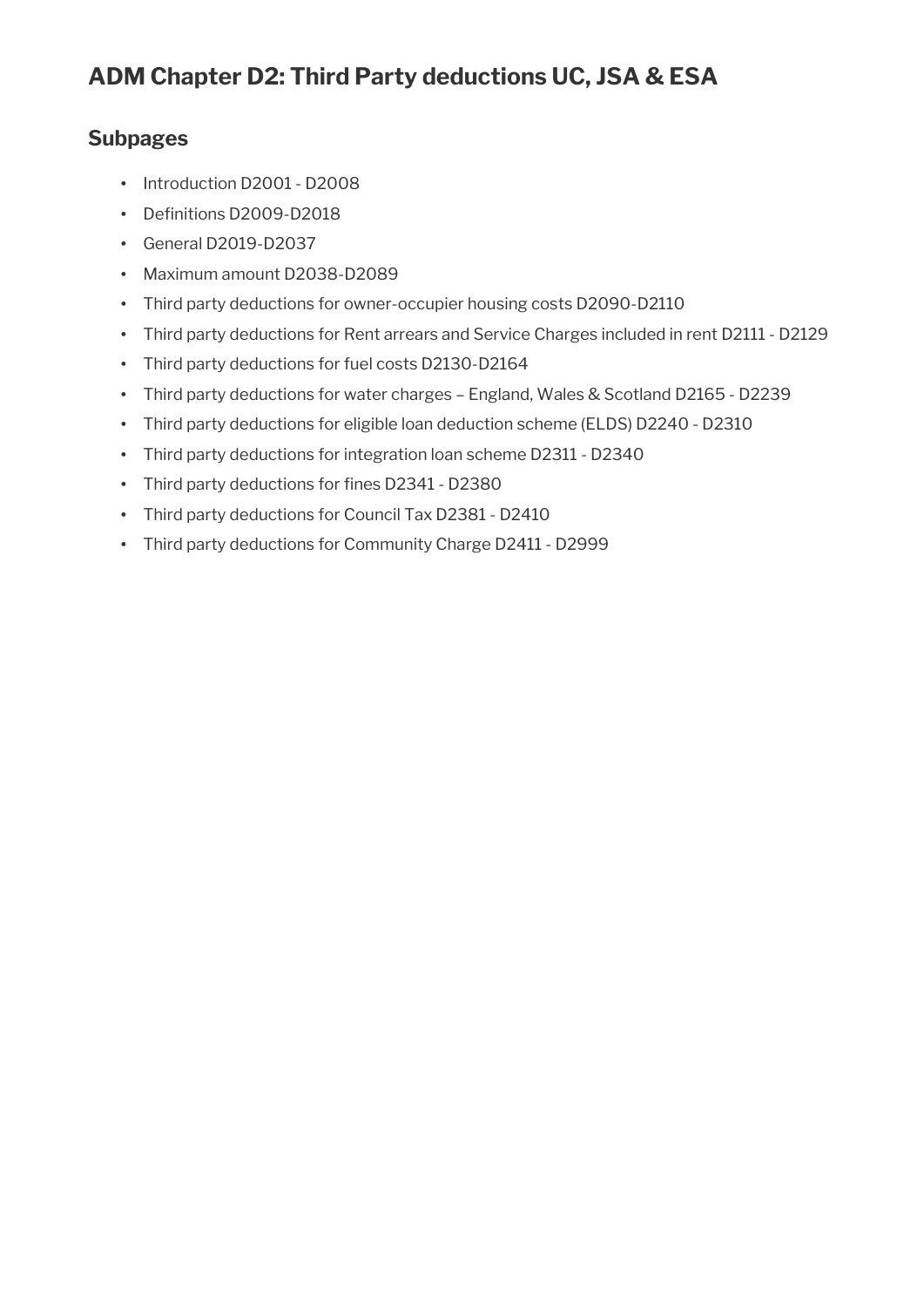### **Subpages**

- Introduction D2001 D2008
- Definitions D2009-D2018
- General D2019-D2037
- Maximum amount D2038-D2089
- Third party deductions for owner-occupier housing costs D2090-D2110
- Third party deductions for Rent arrears and Service Charges included in rent D2111 D2129
- Third party deductions for fuel costs D2130-D2164
- Third party deductions for water charges England, Wales & Scotland D2165 D2239
- Third party deductions for eligible loan deduction scheme (ELDS) D2240 D2310
- Third party deductions for integration loan scheme D2311 D2340
- Third party deductions for fines D2341 D2380
- Third party deductions for Council Tax D2381 D2410
- Third party deductions for Community Charge D2411 D2999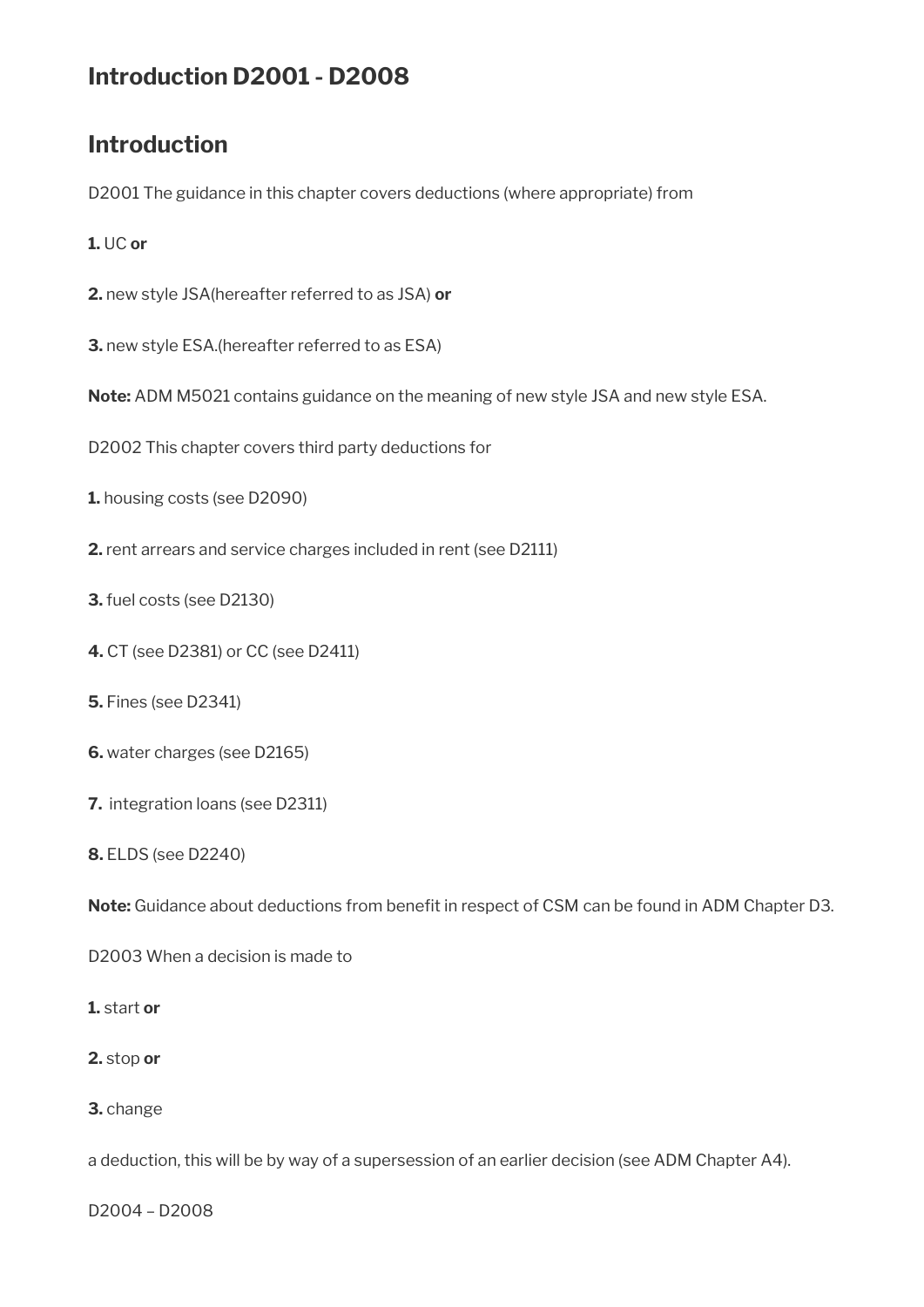# **Introduction D2001 - D2008**

# **Introduction**

D2001 The guidance in this chapter covers deductions (where appropriate) from

#### **1.** UC **or**

- **2.** new style JSA(hereafter referred to as JSA) **or**
- **3.** new style ESA.(hereafter referred to as ESA)
- **Note:** ADM M5021 contains guidance on the meaning of new style JSA and new style ESA.
- D2002 This chapter covers third party deductions for
- **1.** housing costs (see D2090)
- **2.** rent arrears and service charges included in rent (see D2111)
- **3.** fuel costs (see D2130)
- **4.** CT (see D2381) or CC (see D2411)
- **5.** Fines (see D2341)
- **6.** water charges (see D2165)
- **7.** integration loans (see D2311)
- **8.** ELDS (see D2240)

Note: Guidance about deductions from benefit in respect of CSM can be found in ADM Chapter D3.

D2003 When a decision is made to

#### **1.** start **or**

- **2.** stop **or**
- **3.** change

a deduction, this will be by way of a supersession of an earlier decision (see ADM Chapter A4).

D2004 – D2008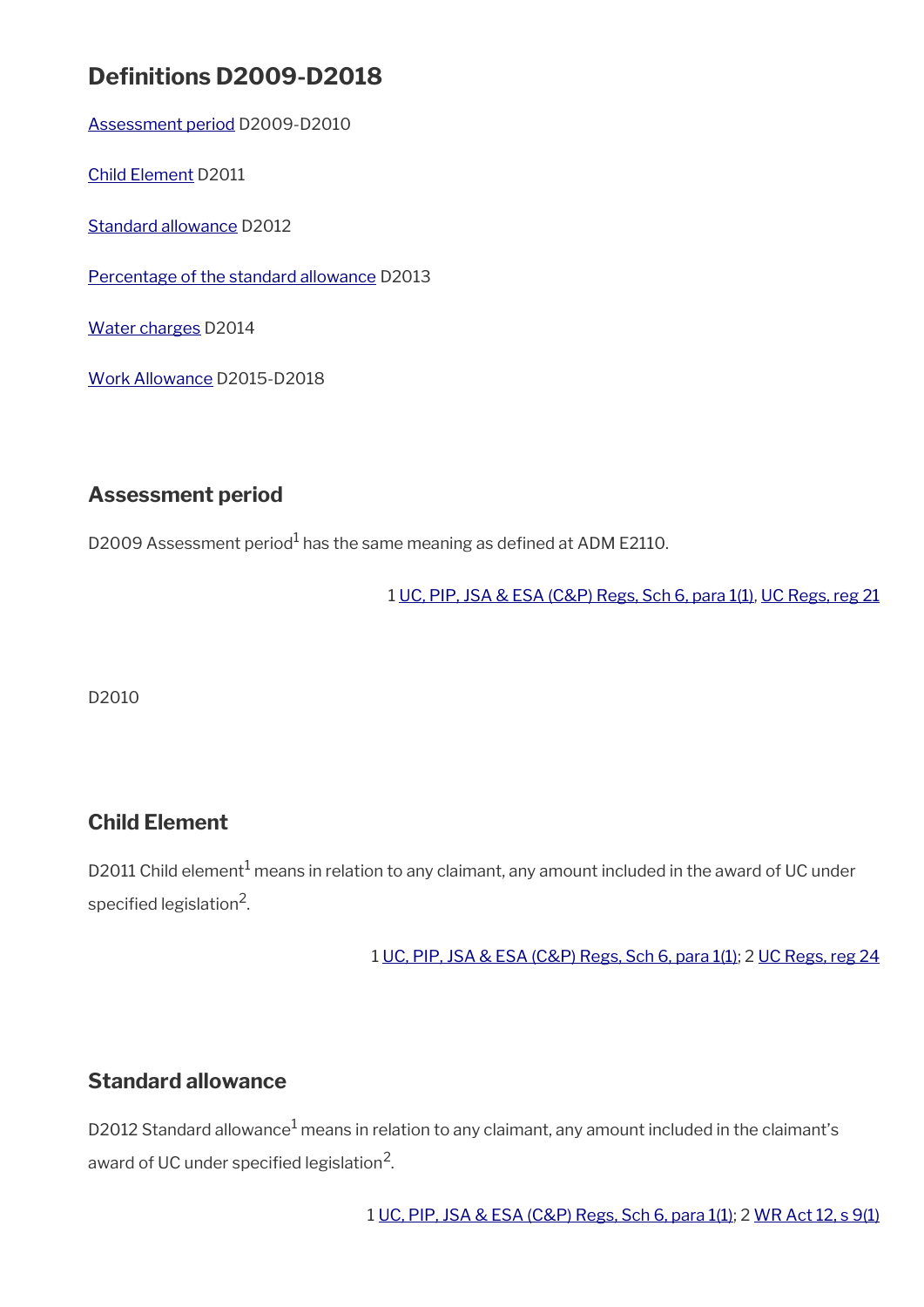# **Definitions D2009-D2018**

[Assessment period](#page-2-0) D2009-D2010

[Child Element](#page-2-2) D2011

[Standard allowance](#page-2-1) D2012

[Percentage of the standard allowance](#page-3-2) D2013

[Water charges](#page-3-1) D2014

[Work Allowance](#page-3-0) D2015-D2018

### <span id="page-2-0"></span>**Assessment period**

D2009 Assessment period<sup>1</sup> has the same meaning as defined at ADM E2110.

1 [UC, PIP, JSA & ESA \(C&P\) Regs, Sch 6, para 1\(1\)](https://www.legislation.gov.uk/uksi/2013/380/schedule/6), [UC Regs, reg 21](https://www.legislation.gov.uk/uksi/2013/376/regulation/21)

D2010

### <span id="page-2-2"></span>**Child Element**

D2011 Child element $^1$  means in relation to any claimant, any amount included in the award of UC under specified legislation $^2$ .

1 [UC, PIP, JSA & ESA \(C&P\) Regs, Sch 6, para 1\(1\)](https://www.legislation.gov.uk/uksi/2013/380/schedule/6); 2 [UC Regs, reg 24](https://www.legislation.gov.uk/uksi/2013/376/regulation/24)

### <span id="page-2-1"></span>**Standard allowance**

D2012 Standard allowance $^1$  means in relation to any claimant, any amount included in the claimant's award of UC under specified legislation $^2\!$ 

1 [UC, PIP, JSA & ESA \(C&P\) Regs, Sch 6, para 1\(1\);](https://www.legislation.gov.uk/uksi/2013/380/schedule/6) 2 [WR Act 12, s 9\(1\)](https://www.legislation.gov.uk/ukpga/2012/5/section/9)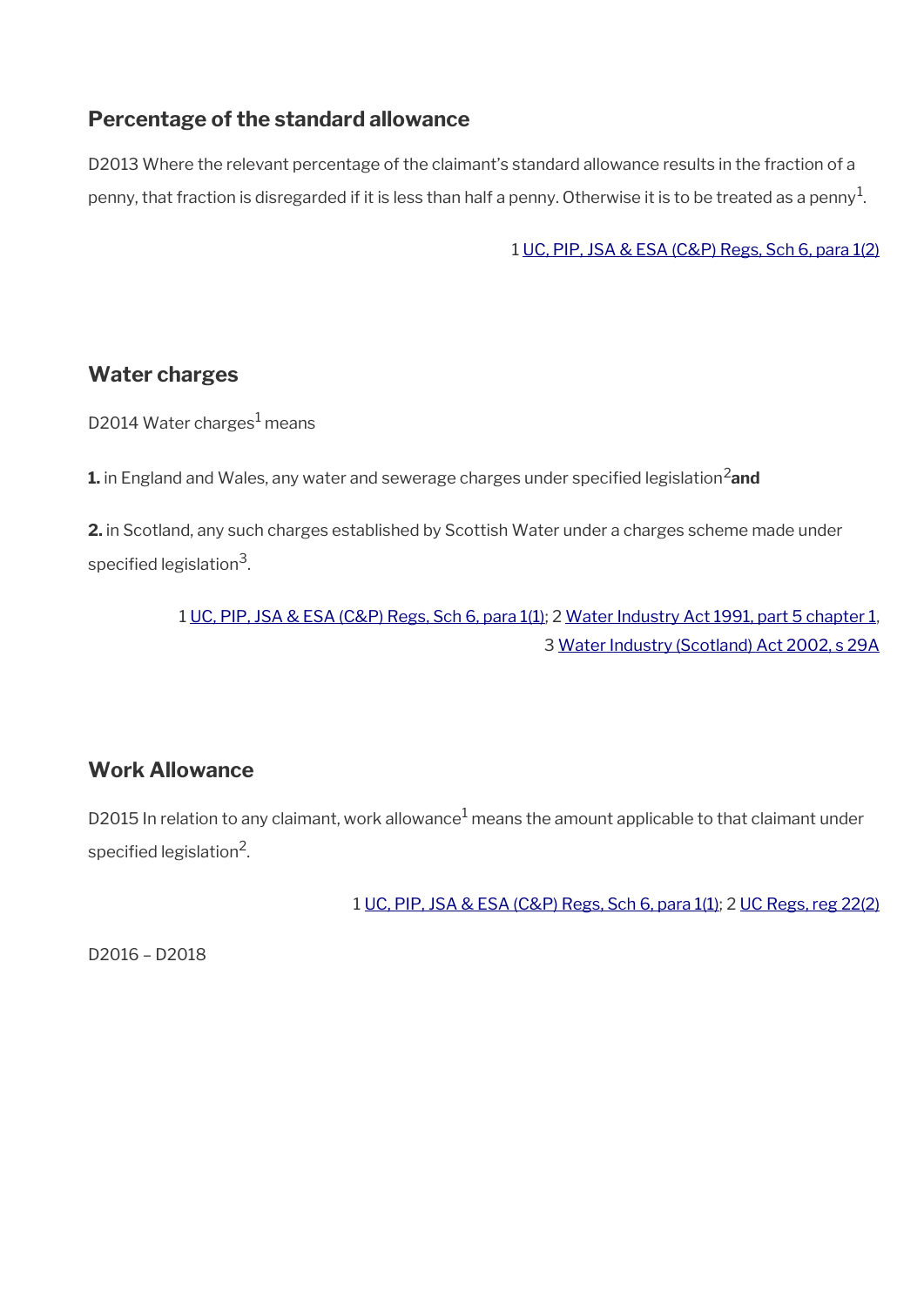### <span id="page-3-2"></span>**Percentage of the standard allowance**

D2013 Where the relevant percentage of the claimant's standard allowance results in the fraction of a penny, that fraction is disregarded if it is less than half a penny. Otherwise it is to be treated as a penny $^{\rm 1}$ .

1 [UC, PIP, JSA & ESA \(C&P\) Regs, Sch 6, para 1\(2\)](https://www.legislation.gov.uk/uksi/2013/380/schedule/6)

### <span id="page-3-1"></span>**Water charges**

D2014 Water charges<sup>1</sup> means

**1.** in England and Wales, any water and sewerage charges under specified legislation<sup>2</sup> and

**2.** in Scotland, any such charges established by Scottish Water under a charges scheme made under specified legislation $^3$ .

> 1 [UC, PIP, JSA & ESA \(C&P\) Regs, Sch 6, para 1\(1\)](https://www.legislation.gov.uk/uksi/2013/380/schedule/6); 2 [Water Industry Act 1991, part 5 chapter 1,](https://www.legislation.gov.uk/ukpga/1991/56/part/V/chapter/I) 3 [Water Industry \(Scotland\) Act 2002, s 29A](https://www.legislation.gov.uk/asp/2002/3/section/29)

## <span id="page-3-0"></span>**Work Allowance**

D2015 In relation to any claimant, work allowance $^1$  means the amount applicable to that claimant under specified legislation $^2$ .

1 [UC, PIP, JSA & ESA \(C&P\) Regs, Sch 6, para 1\(1\);](https://www.legislation.gov.uk/uksi/2013/380/schedule/6) 2 [UC Regs, reg 22\(2\)](https://www.legislation.gov.uk/uksi/2013/376/regulation/22)

D2016 – D2018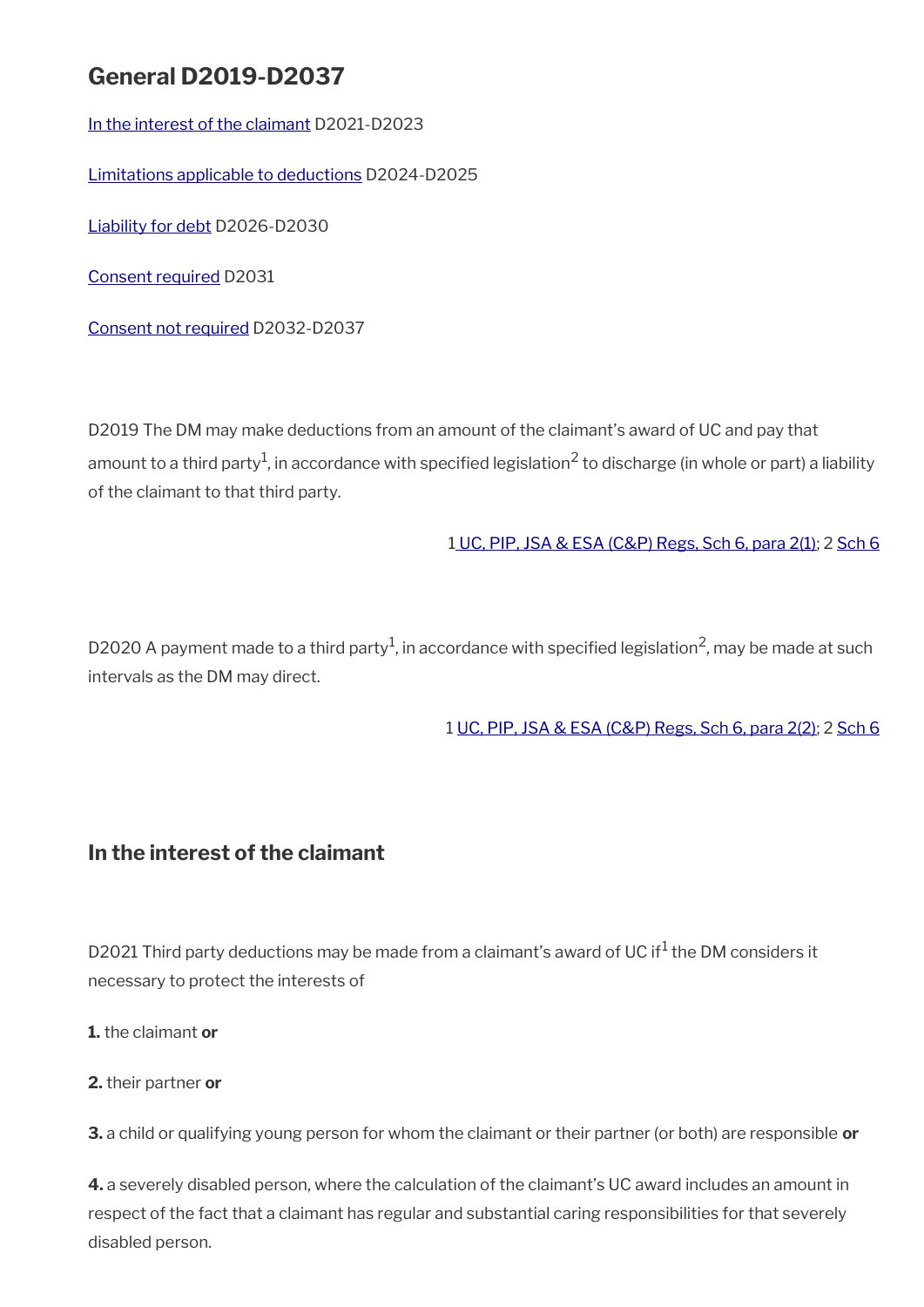# **General D2019-D2037**

[In the interest of the claimant](#page-4-0) D2021-D2023

[Limitations applicable to deductions](#page-5-0) D2024-D2025

[Liability for debt](#page-6-1) D2026-D2030

[Consent required](#page-6-0) D2031

[Consent not required](#page-7-0) D2032-D2037

D2019 The DM may make deductions from an amount of the claimant's award of UC and pay that amount to a third party<sup>1</sup>, in accordance with specified legislation<sup>2</sup> to discharge (in whole or part) a liability of the claimant to that third party.

1 [UC, PIP, JSA & ESA \(C&P\) Regs, Sch 6, para 2\(1\)](https://www.legislation.gov.uk/uksi/2013/380/schedule/6); 2 [Sch 6](https://www.legislation.gov.uk/uksi/2013/380/schedule/6)

D2020 A payment made to a third party $^1$ , in accordance with specified legislation<sup>2</sup>, may be made at such intervals as the DM may direct.

1 [UC, PIP, JSA & ESA \(C&P\) Regs, Sch 6, para 2\(2\)](https://www.legislation.gov.uk/uksi/2013/380/schedule/6); 2 [Sch 6](https://www.legislation.gov.uk/uksi/2013/380/schedule/6)

### <span id="page-4-0"></span>**In the interest of the claimant**

D2021 Third party deductions may be made from a claimant's award of UC if<sup>1</sup> the DM considers it necessary to protect the interests of

**1.** the claimant **or**

**2.** their partner **or**

**3.** a child or qualifying young person for whom the claimant or their partner (or both) are responsible **or**

**4.** a severely disabled person, where the calculation of the claimant's UC award includes an amount in respect of the fact that a claimant has regular and substantial caring responsibilities for that severely disabled person.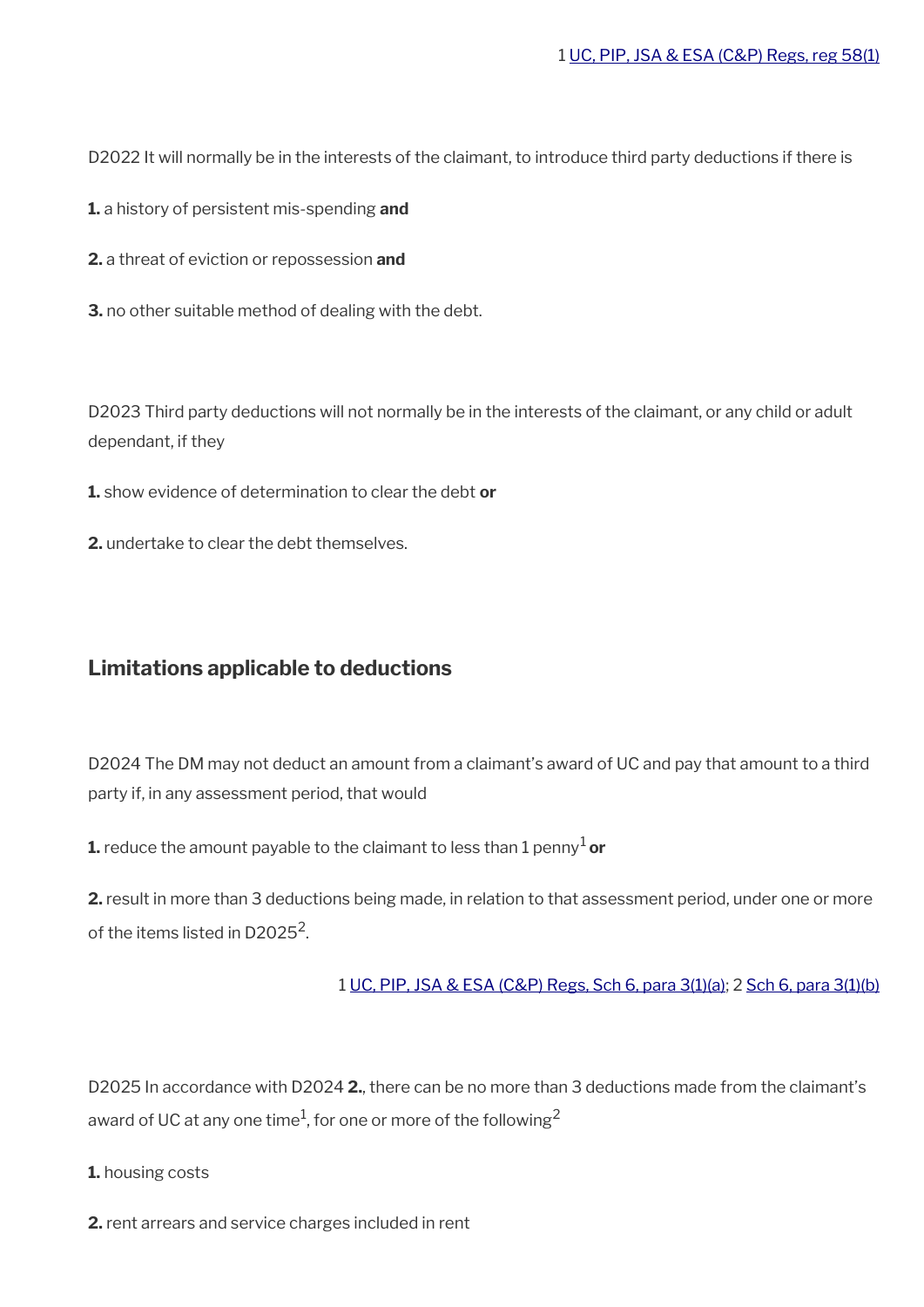D2022 It will normally be in the interests of the claimant, to introduce third party deductions if there is

**1.** a history of persistent mis-spending **and** 

**2.** a threat of eviction or repossession **and** 

**3.** no other suitable method of dealing with the debt.

D2023 Third party deductions will not normally be in the interests of the claimant, or any child or adult dependant, if they

**1.** show evidence of determination to clear the debt **or** 

**2.** undertake to clear the debt themselves.

#### <span id="page-5-0"></span>**Limitations applicable to deductions**

D2024 The DM may not deduct an amount from a claimant's award of UC and pay that amount to a third party if, in any assessment period, that would

**1.** reduce the amount payable to the claimant to less than 1 penny<sup>1</sup> or

**2.** result in more than 3 deductions being made, in relation to that assessment period, under one or more of the items listed in D2025 $^2$ .

1 [UC, PIP, JSA & ESA \(C&P\) Regs, Sch 6, para 3\(1\)\(a\);](https://www.legislation.gov.uk/uksi/2013/380/schedule/6) 2 [Sch 6, para 3\(1\)\(b\)](https://www.legislation.gov.uk/uksi/2013/380/schedule/6)

D2025 In accordance with D2024 **2.**, there can be no more than 3 deductions made from the claimant's award of UC at any one time $^1$ , for one or more of the following $^2$ 

**1.** housing costs

**2.** rent arrears and service charges included in rent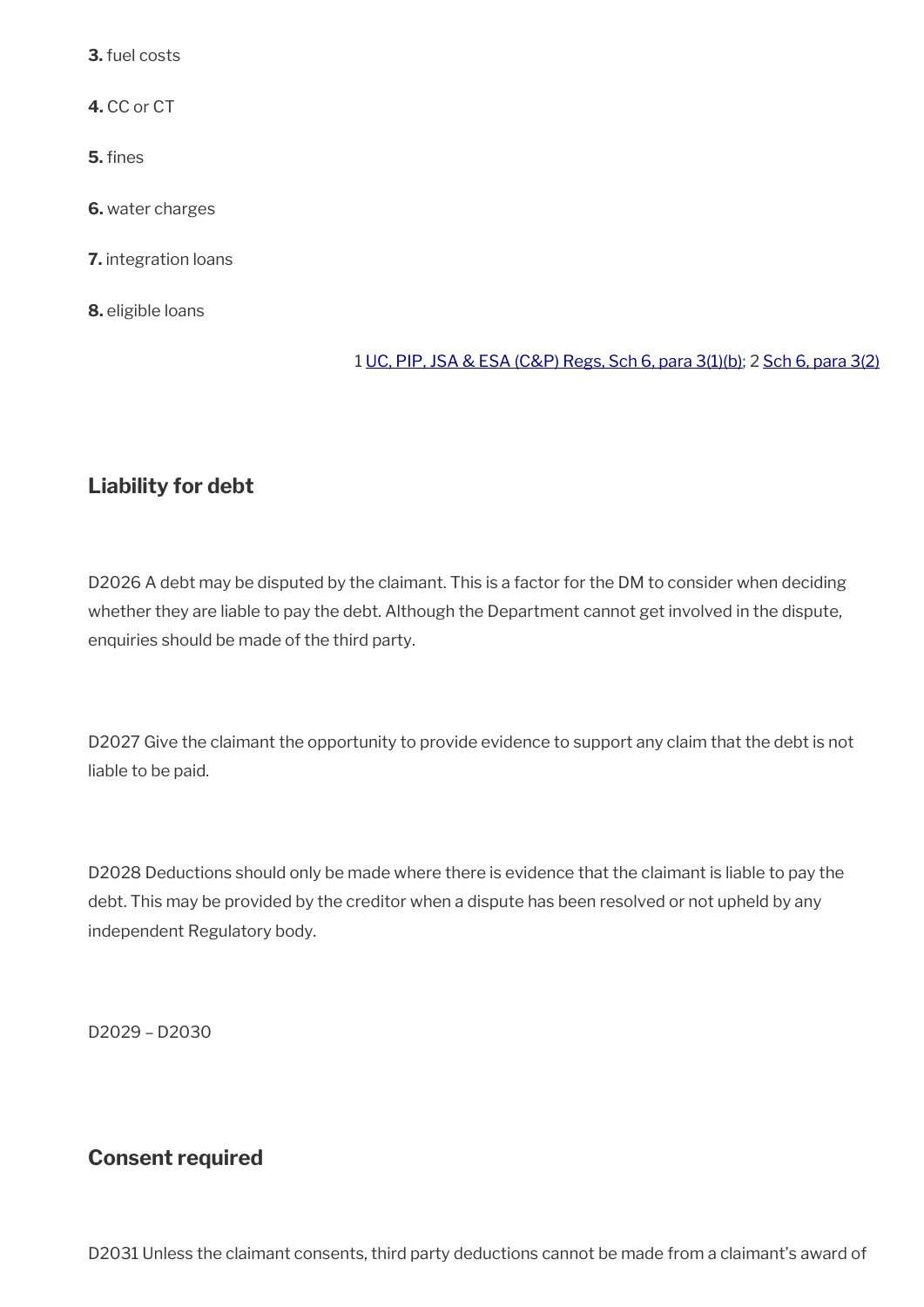**3.** fuel costs

**4.** CC or CT

**5.** fines

**6.** water charges

**7.** integration loans

**8.** eligible loans

#### 1 [UC, PIP, JSA & ESA \(C&P\) Regs, Sch 6, para 3\(1\)\(b\);](https://www.legislation.gov.uk/uksi/2013/380/schedule/6) 2 [Sch 6, para 3\(2\)](https://www.legislation.gov.uk/uksi/2013/380/schedule/6)

### <span id="page-6-1"></span>**Liability for debt**

D2026 A debt may be disputed by the claimant. This is a factor for the DM to consider when deciding whether they are liable to pay the debt. Although the Department cannot get involved in the dispute, enquiries should be made of the third party.

D2027 Give the claimant the opportunity to provide evidence to support any claim that the debt is not liable to be paid.

D2028 Deductions should only be made where there is evidence that the claimant is liable to pay the debt. This may be provided by the creditor when a dispute has been resolved or not upheld by any independent Regulatory body.

D2029 – D2030

### <span id="page-6-0"></span>**Consent required**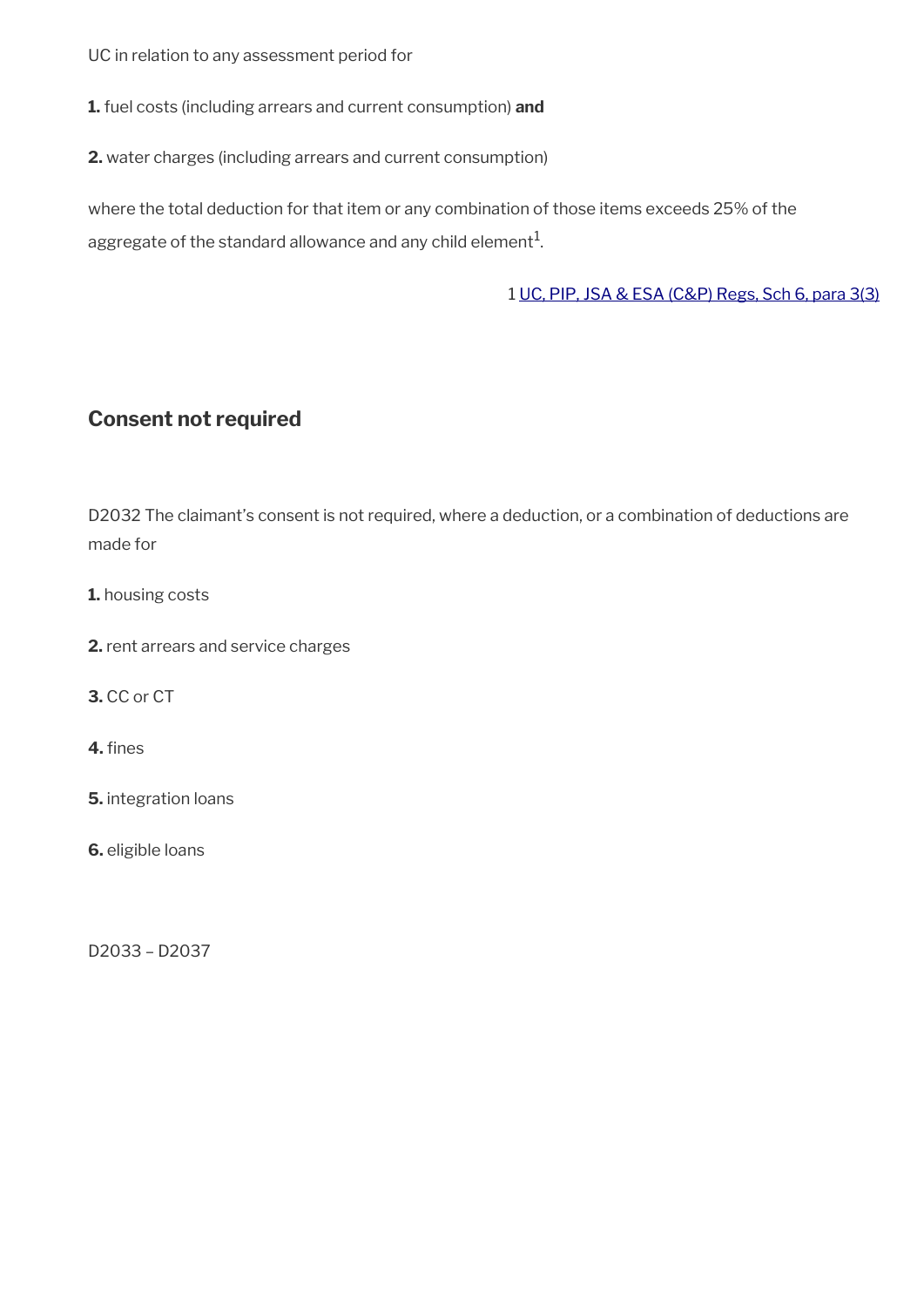UC in relation to any assessment period for

**1.** fuel costs (including arrears and current consumption) **and**

**2.** water charges (including arrears and current consumption)

where the total deduction for that item or any combination of those items exceeds 25% of the aggregate of the standard allowance and any child element $^{\mathrm{1}}$ .

1 [UC, PIP, JSA & ESA \(C&P\) Regs, Sch 6, para 3\(3\)](https://www.legislation.gov.uk/uksi/2013/380/schedule/6)

### <span id="page-7-0"></span>**Consent not required**

D2032 The claimant's consent is not required, where a deduction, or a combination of deductions are made for

**1.** housing costs

**2.** rent arrears and service charges

**3.** CC or CT

**4.** fines

**5.** integration loans

**6.** eligible loans

D2033 – D2037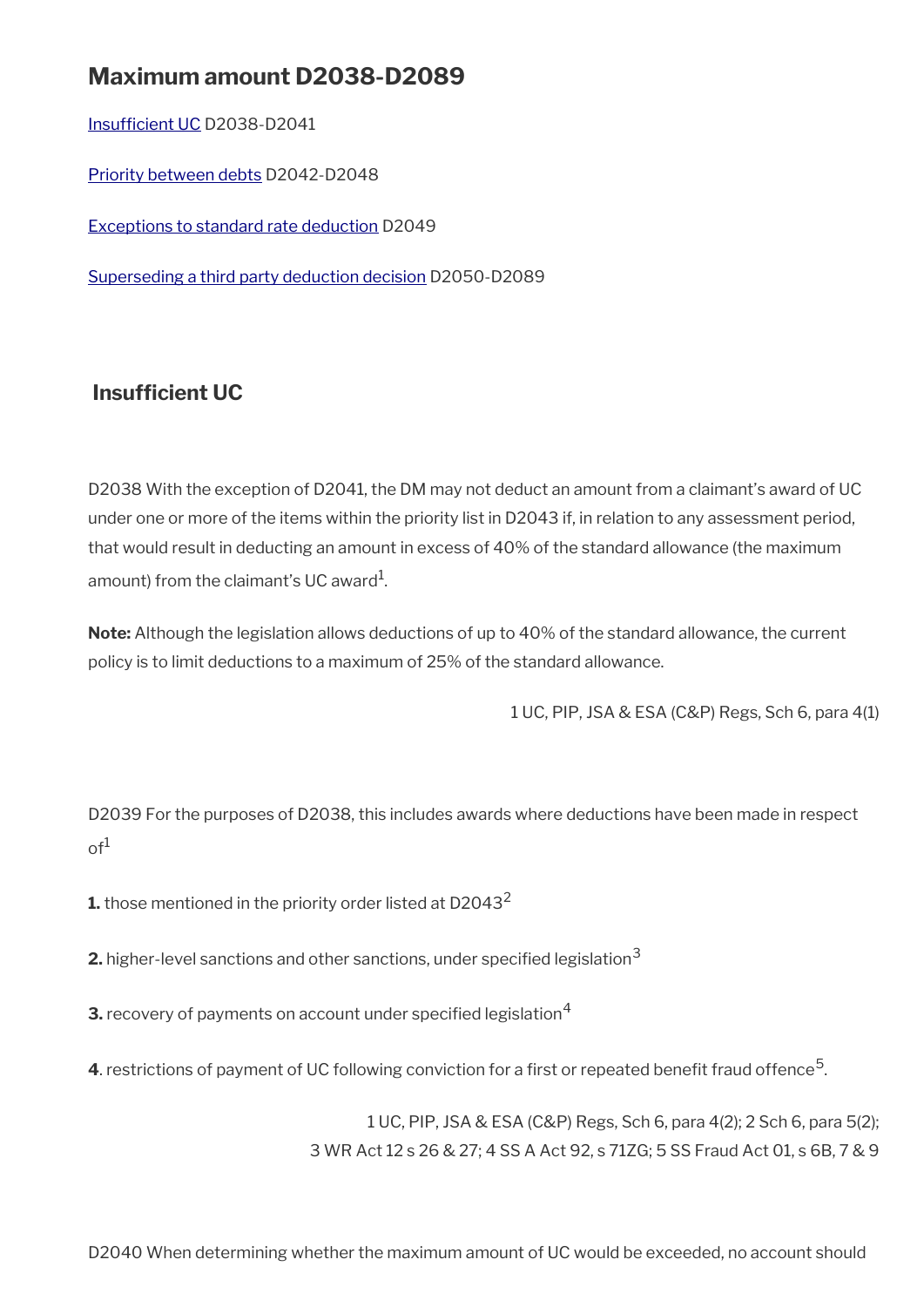# **Maximum amount D2038-D2089**

Insufficient UC D2038-D2041

[Priority between debts](#page-9-0) D2042-D2048

[Exceptions to standard rate deduction](#page-12-1) D2049

[Superseding a third party deduction decision](#page-12-0) D2050-D2089

### <span id="page-8-0"></span>**Insufficient UC**

D2038 With the exception of D2041, the DM may not deduct an amount from a claimant's award of UC under one or more of the items within the priority list in D2043 if, in relation to any assessment period, that would result in deducting an amount in excess of 40% of the standard allowance (the maximum amount) from the claimant's UC award $^{\rm 1}$ .

**Note:** Although the legislation allows deductions of up to 40% of the standard allowance, the current policy is to limit deductions to a maximum of 25% of the standard allowance.

1 UC, PIP, JSA & ESA (C&P) Regs, Sch 6, para 4(1)

D2039 For the purposes of D2038, this includes awards where deductions have been made in respect  $\circ f^1$ 

**1.** those mentioned in the priority order listed at D2043<sup>2</sup>

**2.** higher-level sanctions and other sanctions, under specified legislation<sup>3</sup>

**3.** recovery of payments on account under specified legislation<sup>4</sup>

**4**. restrictions of payment of UC following conviction for a first or repeated benefit fraud offence  $^5$ .

1 UC, PIP, JSA & ESA (C&P) Regs, Sch 6, para 4(2); 2 Sch 6, para 5(2); 3 WR Act 12 s 26 & 27; 4 SS A Act 92, s 71ZG; 5 SS Fraud Act 01, s 6B, 7 & 9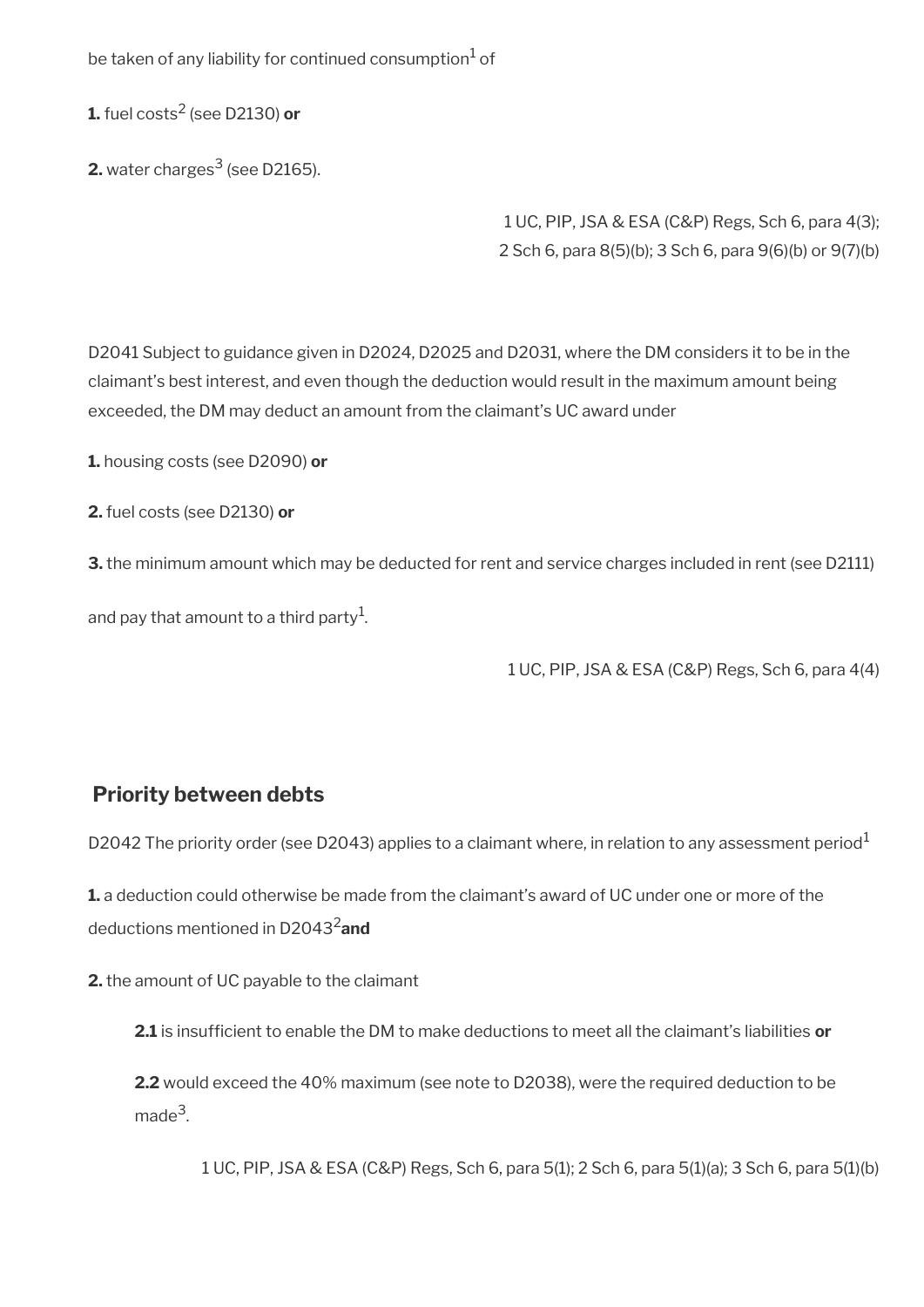be taken of any liability for continued consumption $^{\rm 1}$  of

**1.** fuel costs<sup>2</sup> (see D2130) **or**

**2.** water charges $^3$  (see D2165).

1 UC, PIP, JSA & ESA (C&P) Regs, Sch 6, para 4(3); 2 Sch 6, para 8(5)(b); 3 Sch 6, para 9(6)(b) or 9(7)(b)

D2041 Subject to guidance given in D2024, D2025 and D2031, where the DM considers it to be in the claimant's best interest, and even though the deduction would result in the maximum amount being exceeded, the DM may deduct an amount from the claimant's UC award under

**1.** housing costs (see D2090) **or**

**2.** fuel costs (see D2130) **or**

**3.** the minimum amount which may be deducted for rent and service charges included in rent (see D2111)

and pay that amount to a third party $^{\rm 1}$ .

1 UC, PIP, JSA & ESA (C&P) Regs, Sch 6, para 4(4)

### <span id="page-9-0"></span>**Priority between debts**

D2042 The priority order (see D2043) applies to a claimant where, in relation to any assessment period<sup>1</sup>

**1.** a deduction could otherwise be made from the claimant's award of UC under one or more of the deductions mentioned in D20432**and**

**2.** the amount of UC payable to the claimant

**2.1** is insuffcient to enable the DM to make deductions to meet all the claimant's liabilities **or**

**2.2** would exceed the 40% maximum (see note to D2038), were the required deduction to be made<sup>3</sup>.

1 UC, PIP, JSA & ESA (C&P) Regs, Sch 6, para 5(1); 2 Sch 6, para 5(1)(a); 3 Sch 6, para 5(1)(b)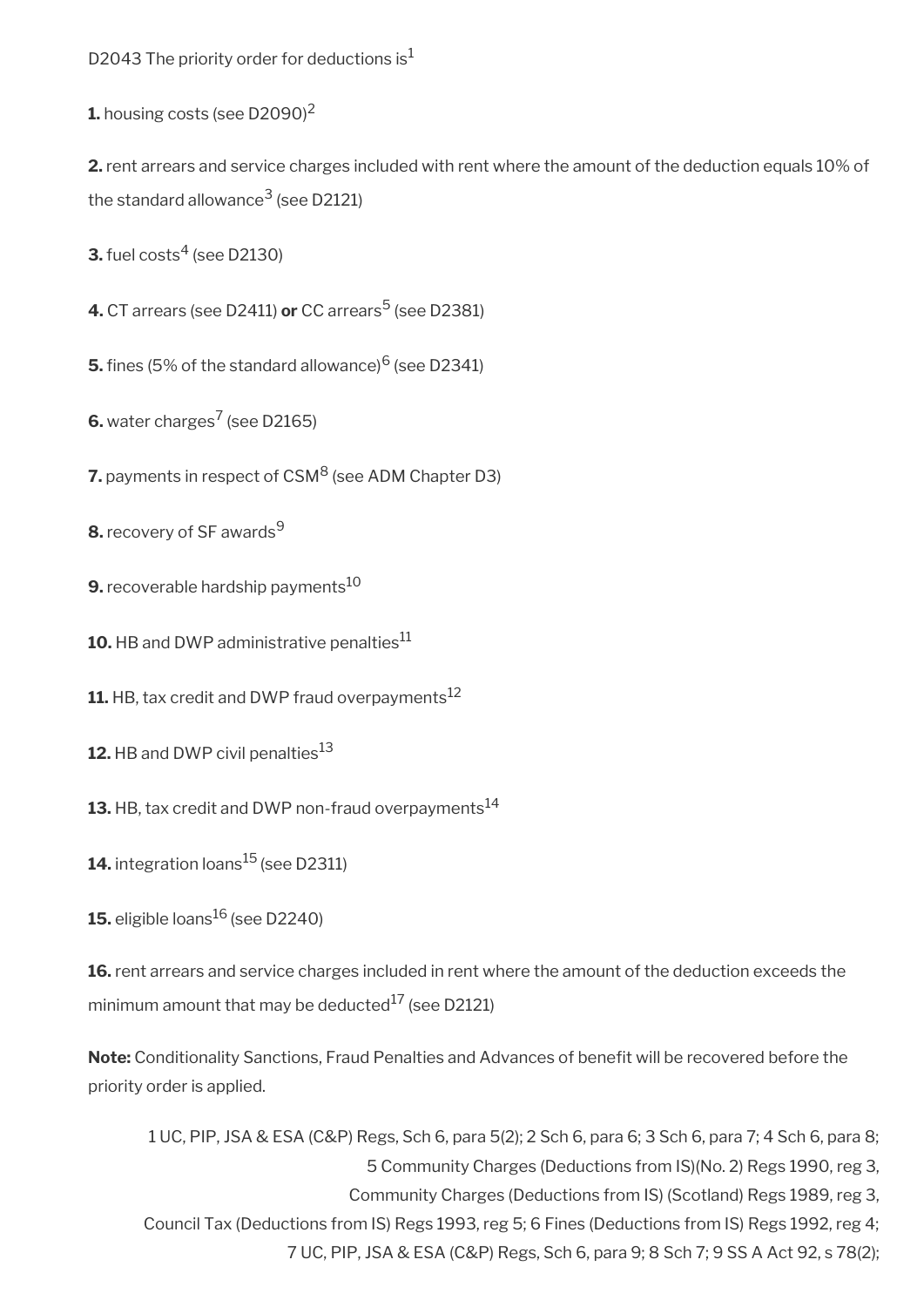D2043 The priority order for deductions is<sup>1</sup>

**1.** housing costs (see D2090)<sup>2</sup>

**2.** rent arrears and service charges included with rent where the amount of the deduction equals 10% of the standard allowance $^3$  (see D2121)

 $\mathbf{3}.$  fuel costs $^4$  (see D2130)

**4.** CT arrears (see D2411) **or** CC arrears<sup>5</sup> (see D2381)

 $\mathbf 5.$  fines (5% of the standard allowance) $^6$  (see D2341)

**6.** water charges<sup>7</sup> (see D2165)

**7.** payments in respect of CSM<sup>8</sup> (see ADM Chapter D3)

**8.** recovery of SF awards<sup>9</sup>

**9.** recoverable hardship payments<sup>10</sup>

10. HB and DWP administrative penalties<sup>11</sup>

**11.** HB, tax credit and DWP fraud overpayments<sup>12</sup>

**12.** HB and DWP civil penalties<sup>13</sup>

**13.** HB, tax credit and DWP non-fraud overpayments<sup>14</sup>

**14.** integration loans<sup>15</sup> (see D2311)

**15.** eligible loans<sup>16</sup> (see D2240)

16. rent arrears and service charges included in rent where the amount of the deduction exceeds the minimum amount that may be deducted $^{17}$  (see D2121)

Note: Conditionality Sanctions, Fraud Penalties and Advances of benefit will be recovered before the priority order is applied.

1 UC, PIP, JSA & ESA (C&P) Regs, Sch 6, para 5(2); 2 Sch 6, para 6; 3 Sch 6, para 7; 4 Sch 6, para 8; 5 Community Charges (Deductions from IS)(No. 2) Regs 1990, reg 3, Community Charges (Deductions from IS) (Scotland) Regs 1989, reg 3, Council Tax (Deductions from IS) Regs 1993, reg 5; 6 Fines (Deductions from IS) Regs 1992, reg 4; 7 UC, PIP, JSA & ESA (C&P) Regs, Sch 6, para 9; 8 Sch 7; 9 SS A Act 92, s 78(2);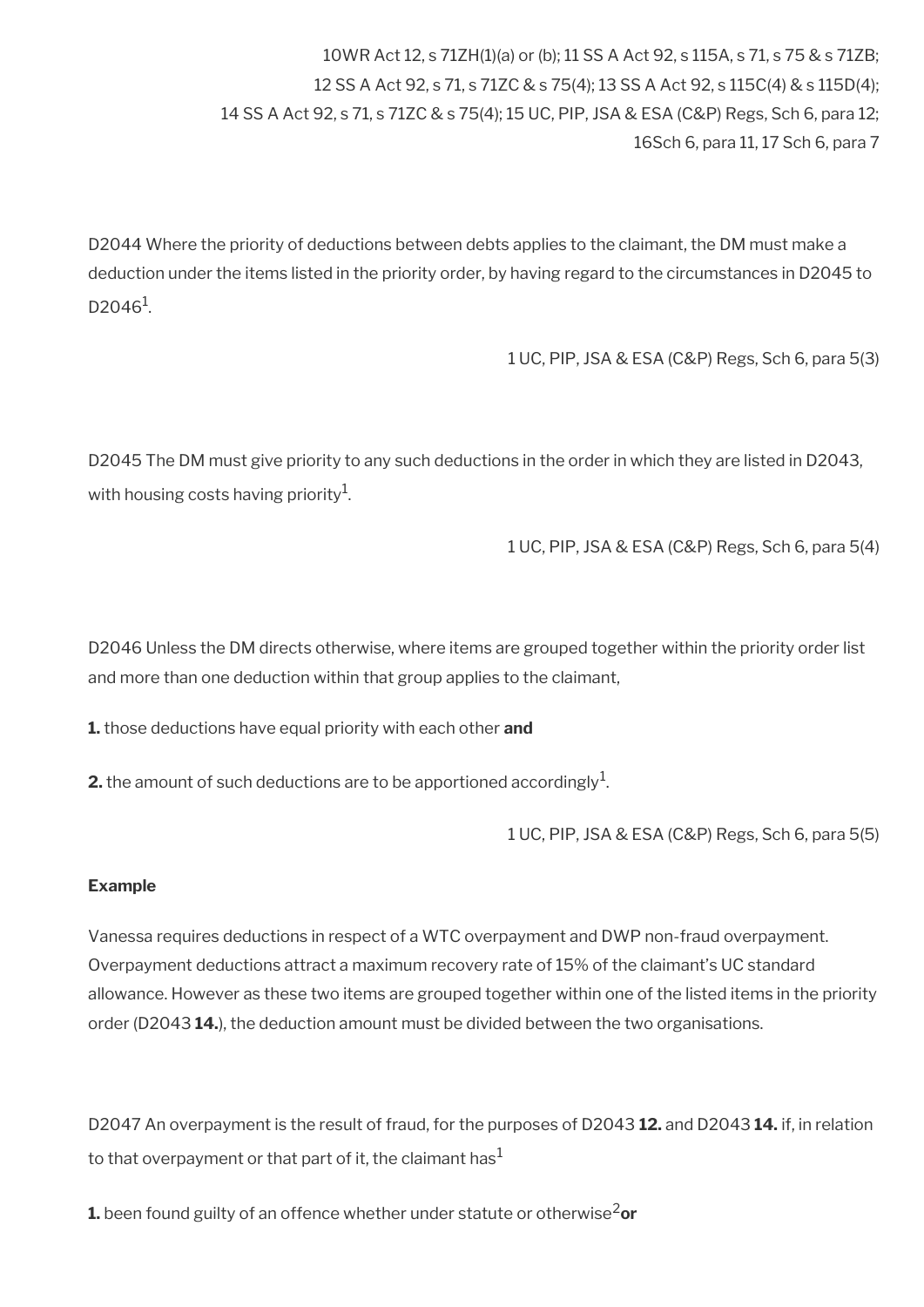10WR Act 12, s 71ZH(1)(a) or (b); 11 SS A Act 92, s 115A, s 71, s 75 & s 71ZB; 12 SS A Act 92, s 71, s 71ZC & s 75(4); 13 SS A Act 92, s 115C(4) & s 115D(4); 14 SS A Act 92, s 71, s 71ZC & s 75(4); 15 UC, PIP, JSA & ESA (C&P) Regs, Sch 6, para 12; 16Sch 6, para 11, 17 Sch 6, para 7

D2044 Where the priority of deductions between debts applies to the claimant, the DM must make a deduction under the items listed in the priority order, by having regard to the circumstances in D2045 to  $D2046^1$ .

1 UC, PIP, JSA & ESA (C&P) Regs, Sch 6, para 5(3)

D2045 The DM must give priority to any such deductions in the order in which they are listed in D2043, with housing costs having priority $^{\rm 1}$ .

1 UC, PIP, JSA & ESA (C&P) Regs, Sch 6, para 5(4)

D2046 Unless the DM directs otherwise, where items are grouped together within the priority order list and more than one deduction within that group applies to the claimant,

**1.** those deductions have equal priority with each other **and**

**2.** the amount of such deductions are to be apportioned accordingly  $^1$ .

1 UC, PIP, JSA & ESA (C&P) Regs, Sch 6, para 5(5)

#### **Example**

Vanessa requires deductions in respect of a WTC overpayment and DWP non-fraud overpayment. Overpayment deductions attract a maximum recovery rate of 15% of the claimant's UC standard allowance. However as these two items are grouped together within one of the listed items in the priority order (D2043 **14.**), the deduction amount must be divided between the two organisations.

D2047 An overpayment is the result of fraud, for the purposes of D2043 **12.** and D2043 **14.** if, in relation to that overpayment or that part of it, the claimant has $1$ 

**1.** been found guilty of an offence whether under statute or otherwise<sup>2</sup>or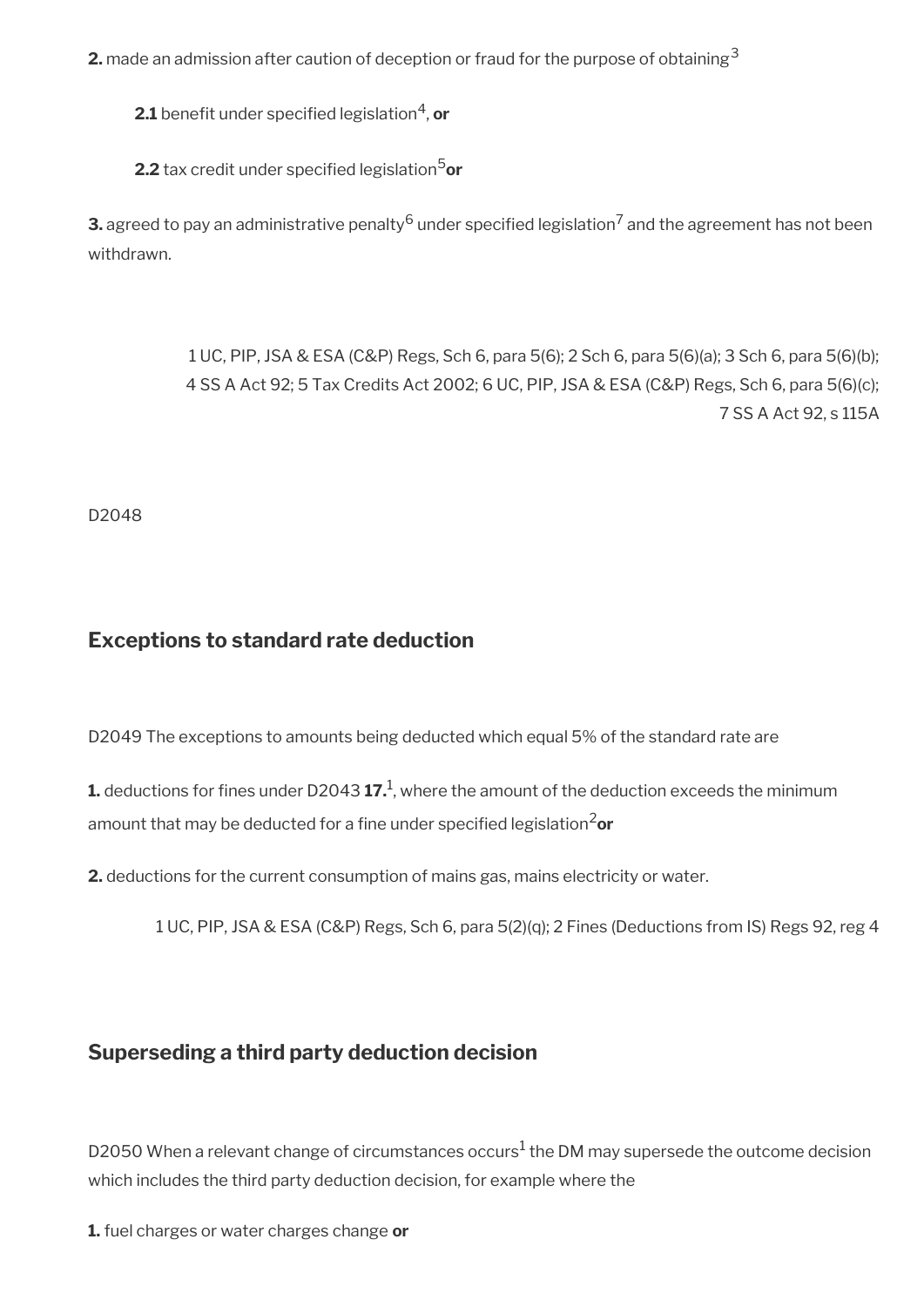**2.** made an admission after caution of deception or fraud for the purpose of obtaining<sup>3</sup>

**2.1** benefit under specified legislation<sup>4</sup>, **or** 

**2.2** tax credit under specified legislation<sup>5</sup>or

 ${\bf 3}$  agreed to pay an administrative penalty  $^6$  under specified legislation  $^7$  and the agreement has not been withdrawn.

> 1 UC, PIP, JSA & ESA (C&P) Regs, Sch 6, para 5(6); 2 Sch 6, para 5(6)(a); 3 Sch 6, para 5(6)(b); 4 SS A Act 92; 5 Tax Credits Act 2002; 6 UC, PIP, JSA & ESA (C&P) Regs, Sch 6, para 5(6)(c); 7 SS A Act 92, s 115A

D2048

### <span id="page-12-1"></span>**Exceptions to standard rate deduction**

D2049 The exceptions to amounts being deducted which equal 5% of the standard rate are

 $\boldsymbol{1}$  deductions for fines under D2043  $\boldsymbol{17}.^{\text{1}}$ , where the amount of the deduction exceeds the minimum amount that may be deducted for a fine under specified legislation<sup>2</sup>or

**2.** deductions for the current consumption of mains gas, mains electricity or water.

1 UC, PIP, JSA & ESA (C&P) Regs, Sch 6, para 5(2)(q); 2 Fines (Deductions from IS) Regs 92, reg 4

### <span id="page-12-0"></span>**Superseding a third party deduction decision**

D2050 When a relevant change of circumstances occurs $^1$  the DM may supersede the outcome decision which includes the third party deduction decision, for example where the

**1.** fuel charges or water charges change **or**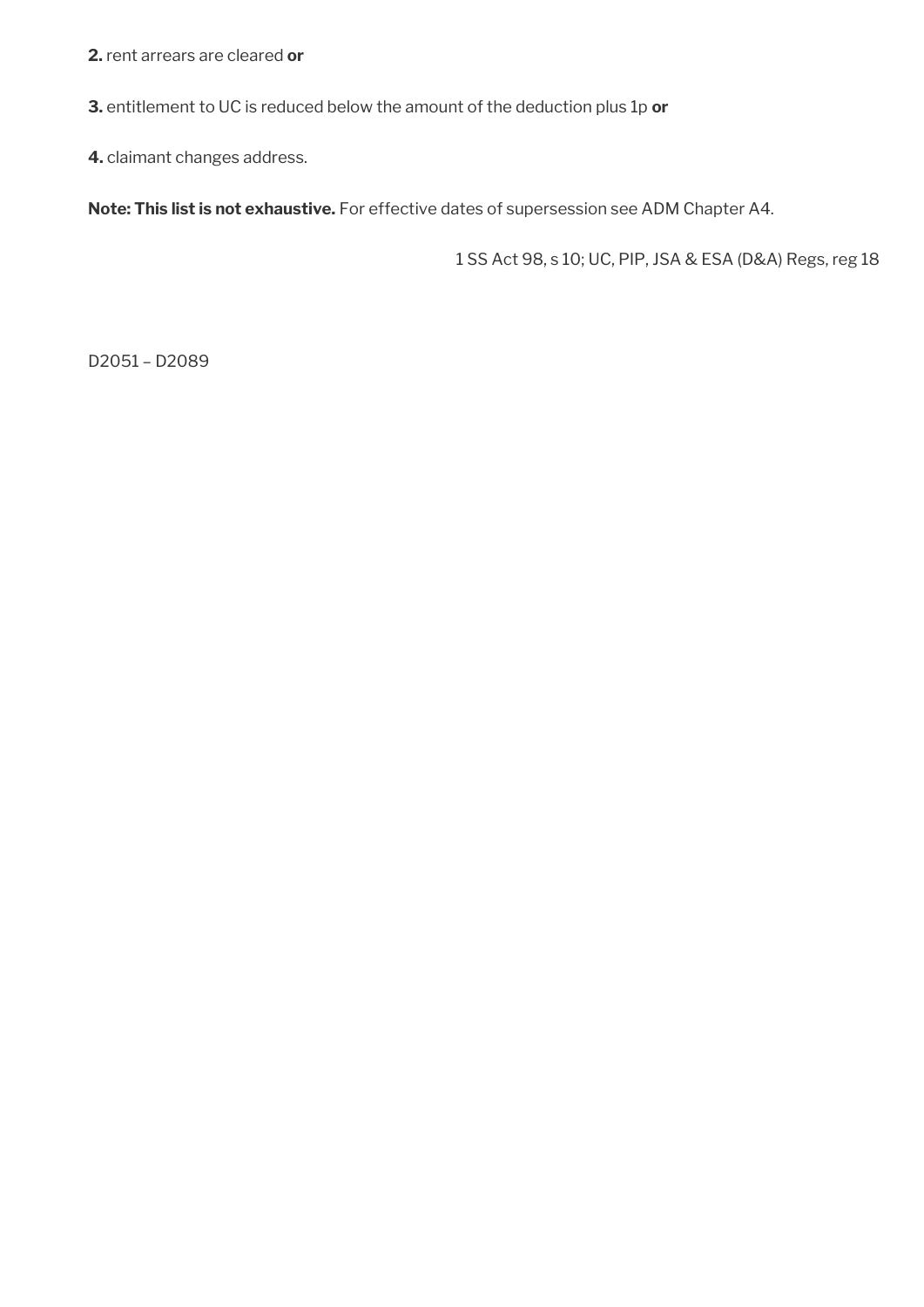**2.** rent arrears are cleared **or** 

**3.** entitlement to UC is reduced below the amount of the deduction plus 1p **or** 

**4.** claimant changes address.

**Note: This list is not exhaustive.** For effective dates of supersession see ADM Chapter A4.

1 SS Act 98, s 10; UC, PIP, JSA & ESA (D&A) Regs, reg 18

D2051 – D2089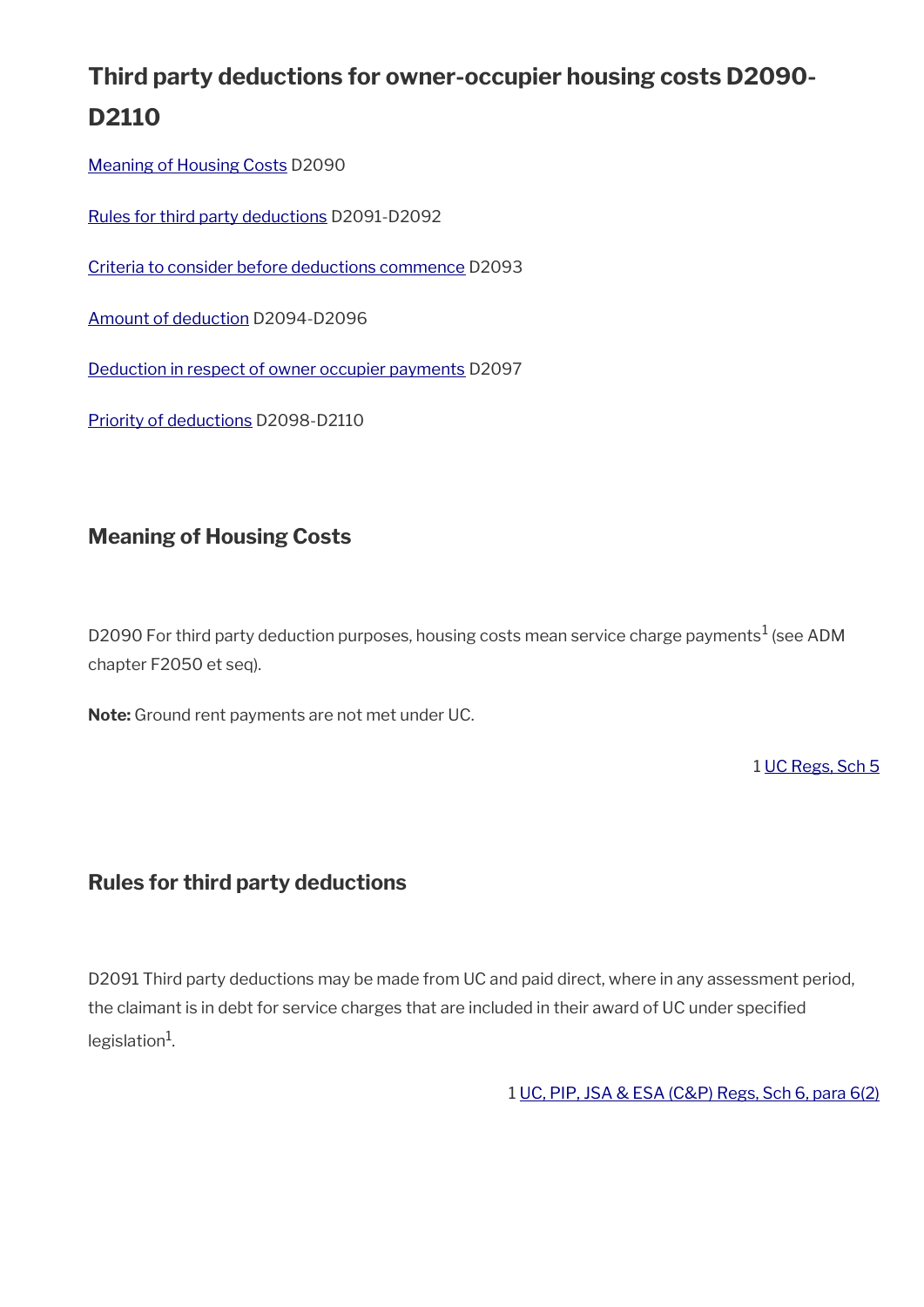# **Third party deductions for owner-occupier housing costs D2090- D2110**

[Meaning of Housing Costs](#page-14-1) D2090

[Rules for third party deductions](#page-14-0) D2091-D2092

[Criteria to consider before deductions commence](#page-15-1) D2093

[Amount of deduction](#page-15-0) D2094-D2096

Deduction in respect of owner occupier payments D2097

Priority of deductions D2098-D2110

### <span id="page-14-1"></span>**Meaning of Housing Costs**

D2090 For third party deduction purposes, housing costs mean service charge payments $^1$  (see ADM chapter F2050 et seq).

**Note:** Ground rent payments are not met under UC.

1 [UC Regs, Sch 5](https://www.legislation.gov.uk/uksi/2013/376/schedule/5)

### <span id="page-14-0"></span>**Rules for third party deductions**

D2091 Third party deductions may be made from UC and paid direct, where in any assessment period, the claimant is in debt for service charges that are included in their award of UC under specifed legislation<sup>1</sup>.

1 [UC, PIP, JSA & ESA \(C&P\) Regs, Sch 6, para 6\(2\)](https://www.legislation.gov.uk/uksi/2013/380/schedule/6)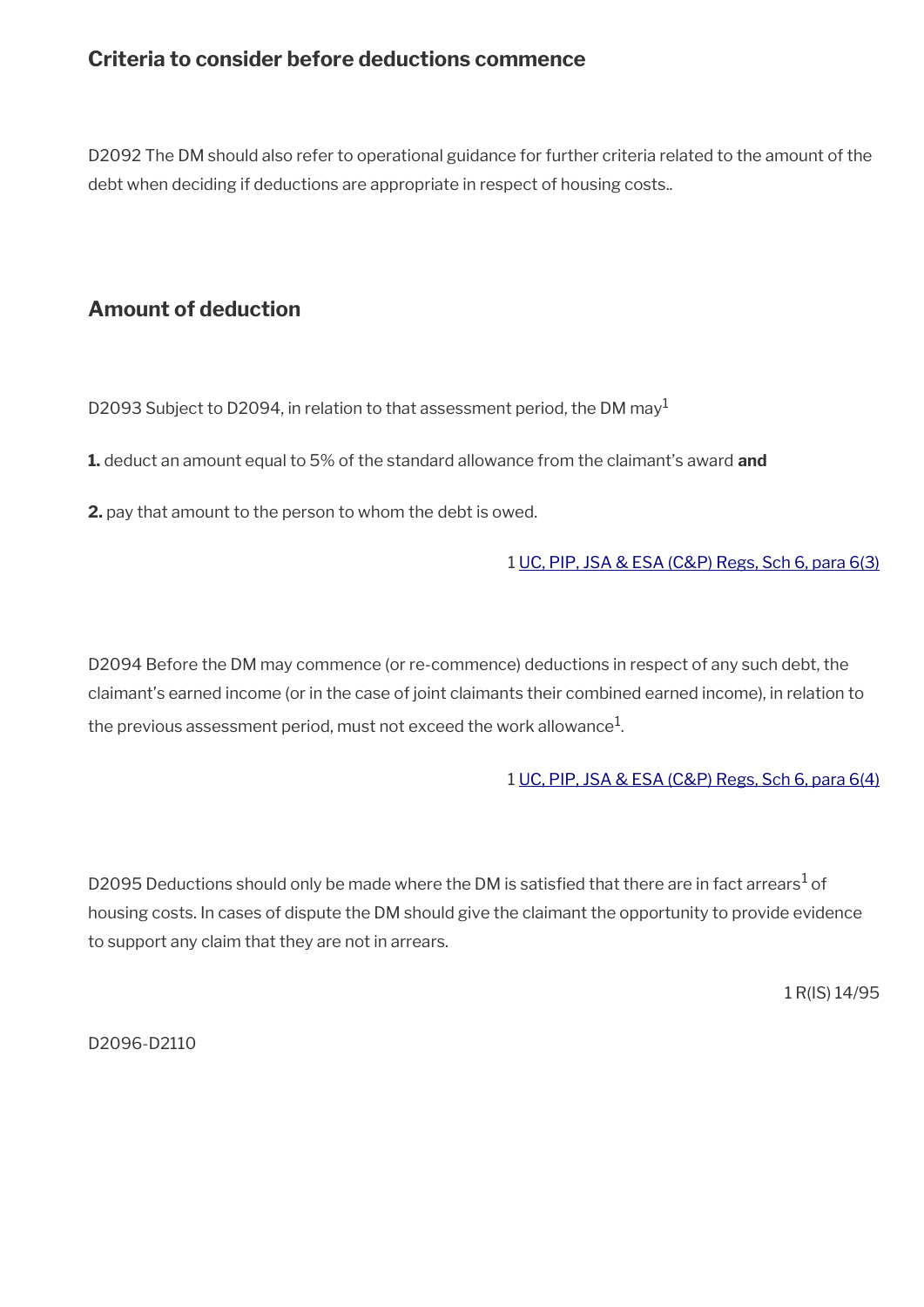### <span id="page-15-1"></span>**Criteria to consider before deductions commence**

D2092 The DM should also refer to operational guidance for further criteria related to the amount of the debt when deciding if deductions are appropriate in respect of housing costs..

### <span id="page-15-0"></span>**Amount of deduction**

D2093 Subject to D2094, in relation to that assessment period, the DM may<sup>1</sup>

**1.** deduct an amount equal to 5% of the standard allowance from the claimant's award **and**

**2.** pay that amount to the person to whom the debt is owed.

#### 1 [UC, PIP, JSA & ESA \(C&P\) Regs, Sch 6, para 6\(3\)](https://www.legislation.gov.uk/uksi/2013/380/schedule/6)

D2094 Before the DM may commence (or re-commence) deductions in respect of any such debt, the claimant's earned income (or in the case of joint claimants their combined earned income), in relation to the previous assessment period, must not exceed the work allowance $^1\!\!$ 

#### 1 [UC, PIP, JSA & ESA \(C&P\) Regs, Sch 6, para 6\(4\)](https://www.legislation.gov.uk/uksi/2013/380/schedule/6)

D2095 Deductions should only be made where the DM is satisfied that there are in fact arrears $^1$  of housing costs. In cases of dispute the DM should give the claimant the opportunity to provide evidence to support any claim that they are not in arrears.

1 R(IS) 14/95

D2096-D2110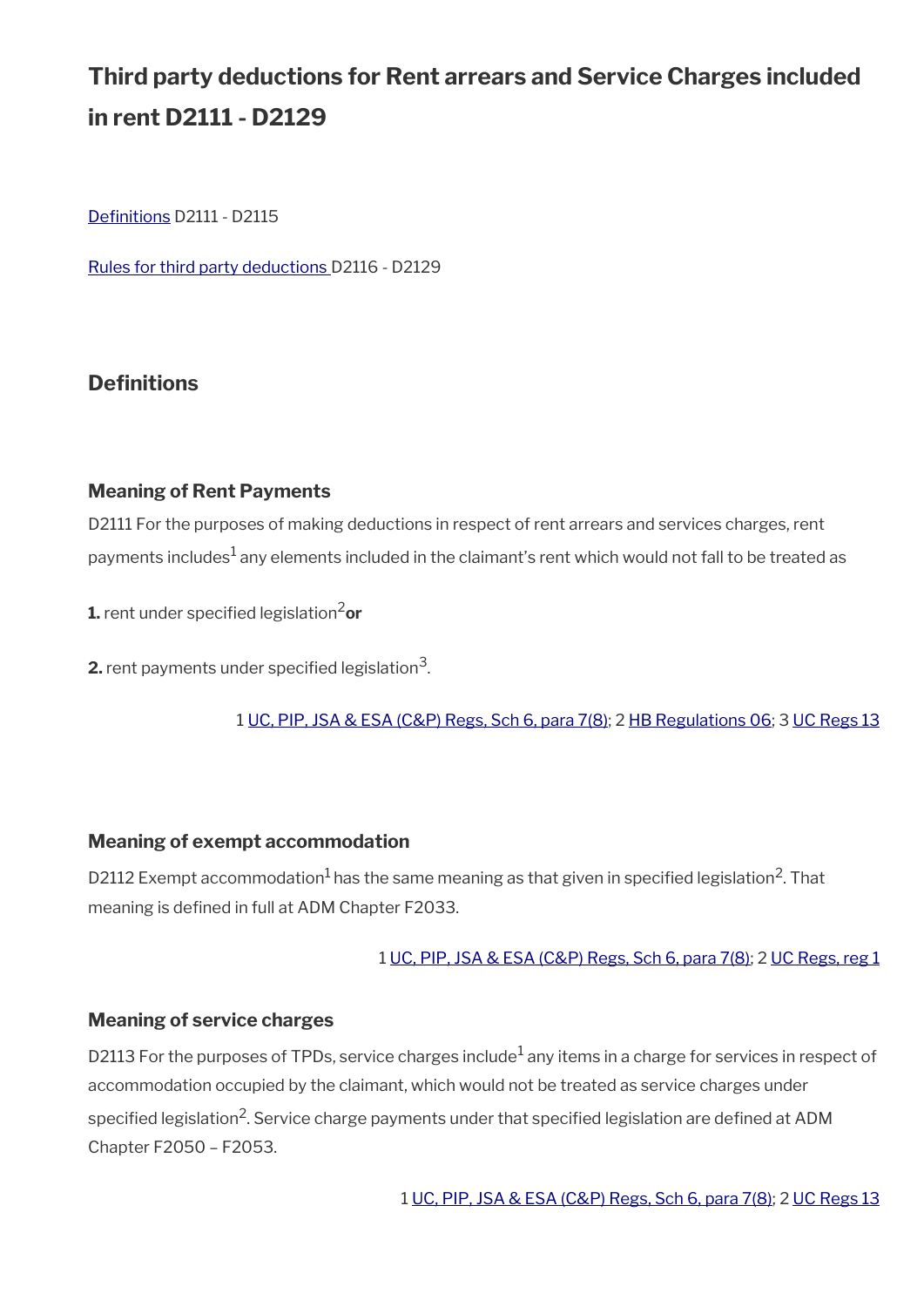# **Third party deductions for Rent arrears and Service Charges included in rent D2111 - D2129**

Definitions D2111 - D2115

[Rules for third party deductions](#page-17-0) D2116 - D2129

### <span id="page-16-0"></span>**Definitions**

#### **Meaning of Rent Payments**

D2111 For the purposes of making deductions in respect of rent arrears and services charges, rent payments includes $^1$  any elements included in the claimant's rent which would not fall to be treated as

**1.** rent under specified legislation<sup>2</sup>or

 $\mathsf{2}\text{-}$  rent payments under specified legislation $^3$ .

1 [UC, PIP, JSA & ESA \(C&P\) Regs, Sch 6, para 7\(8\)](https://www.legislation.gov.uk/uksi/2013/380/schedule/6); 2 [HB Regulations 06](https://www.legislation.gov.uk/uksi/2006/213/contents); 3 [UC Regs 13](https://www.legislation.gov.uk/uksi/2013/376/contents)

#### **Meaning of exempt accommodation**

D2112 Exempt accommodation $^1$  has the same meaning as that given in specified legislation<sup>2</sup>. That meaning is defined in full at ADM Chapter F2033.

#### 1 [UC, PIP, JSA & ESA \(C&P\) Regs, Sch 6, para 7\(8\);](https://www.legislation.gov.uk/uksi/2013/380/schedule/6) 2 [UC Regs, reg 1](https://www.legislation.gov.uk/uksi/2013/376/regulation/1)

#### **Meaning of service charges**

D2113 For the purposes of TPDs, service charges include $^1$  any items in a charge for services in respect of accommodation occupied by the claimant, which would not be treated as service charges under specified legislation<sup>2</sup>. Service charge payments under that specified legislation are defined at <code>ADM</code> Chapter F2050 – F2053.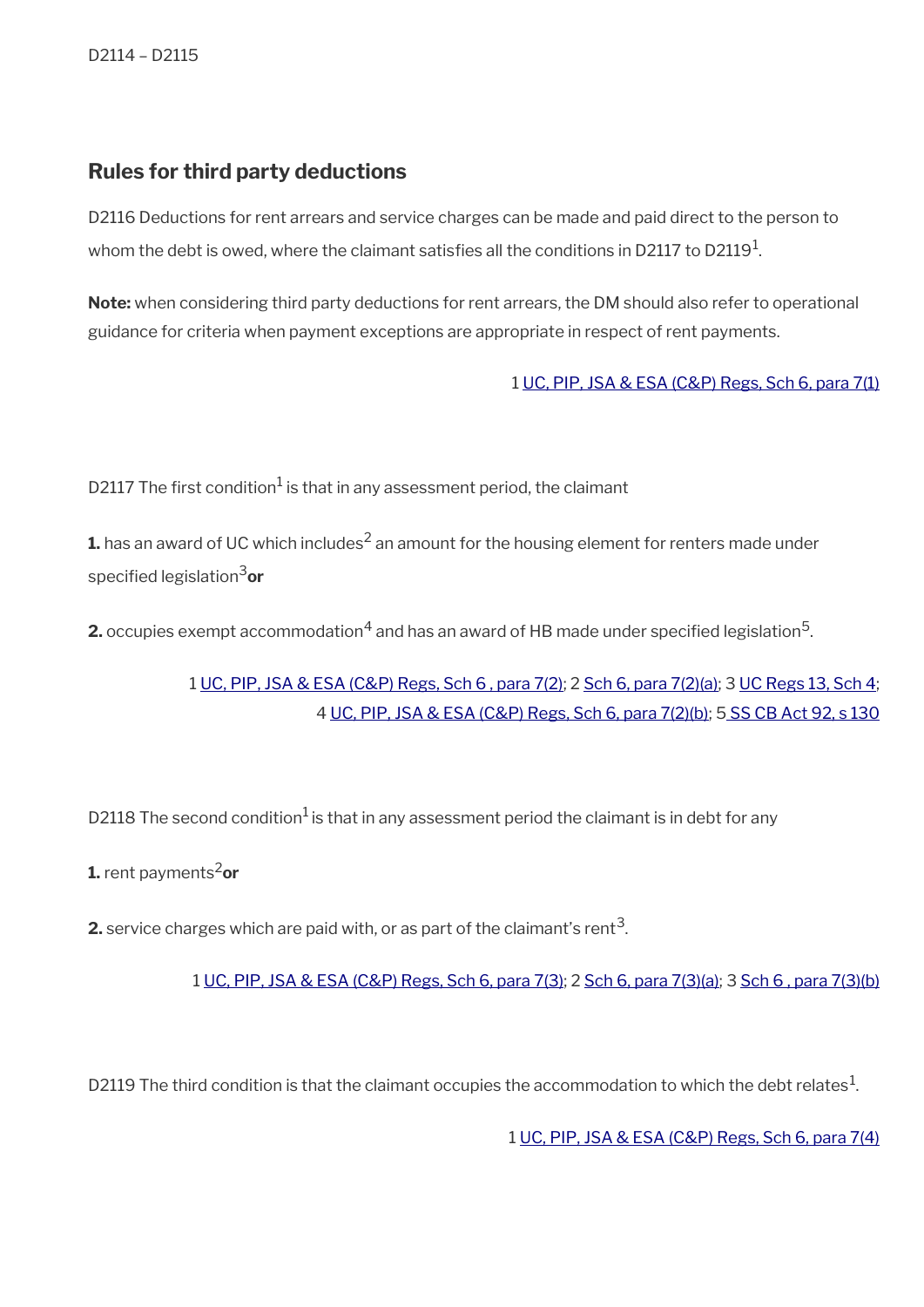### <span id="page-17-0"></span>**Rules for third party deductions**

D2116 Deductions for rent arrears and service charges can be made and paid direct to the person to whom the debt is owed, where the claimant satisfies all the conditions in D2117 to D2119 $^{\rm 1}$ .

**Note:** when considering third party deductions for rent arrears, the DM should also refer to operational guidance for criteria when payment exceptions are appropriate in respect of rent payments.

1 [UC, PIP, JSA & ESA \(C&P\) Regs, Sch 6, para 7\(1\)](https://www.legislation.gov.uk/uksi/2013/380/schedule/6)

D2117 The first condition $^1$  is that in any assessment period, the claimant

 ${\mathbf 1}$ . has an award of UC which includes<sup>2</sup> an amount for the housing element for renters made under specifed legislation3**or**

**2.** occupies exempt accommodation $^4$  and has an award of HB made under specified legislation $^5$ .

1 [UC, PIP, JSA & ESA \(C&P\) Regs, Sch 6 , para 7\(2\)](https://www.legislation.gov.uk/uksi/2013/380/schedule/6); 2 [Sch 6, para 7\(2\)\(a\);](https://www.legislation.gov.uk/uksi/2013/380/schedule/6) 3 [UC Regs 13, Sch 4;](https://www.legislation.gov.uk/uksi/2013/376/schedule/4) 4 [UC, PIP, JSA & ESA \(C&P\) Regs, Sch 6, para 7\(2\)\(b\);](https://www.legislation.gov.uk/uksi/2013/380/schedule/6) [5 SS CB Act 92, s 130](https://www.legislation.gov.uk/ukpga/1992/4/section/130)

D2118 The second condition<sup>1</sup> is that in any assessment period the claimant is in debt for any

**1.** rent payments<sup>2</sup>or

**2.** service charges which are paid with, or as part of the claimant's rent $^3$ .

1 [UC, PIP, JSA & ESA \(C&P\) Regs, Sch 6, para 7\(3\)](https://www.legislation.gov.uk/uksi/2013/380/schedule/6); 2 [Sch 6, para 7\(3\)\(a\);](https://www.legislation.gov.uk/uksi/2013/380/schedule/6) 3 [Sch 6 , para 7\(3\)\(b\)](https://www.legislation.gov.uk/uksi/2013/380/schedule/6)

D2119 The third condition is that the claimant occupies the accommodation to which the debt relates $^1$ .

1 [UC, PIP, JSA & ESA \(C&P\) Regs, Sch 6, para 7\(4\)](https://www.legislation.gov.uk/uksi/2013/380/schedule/6)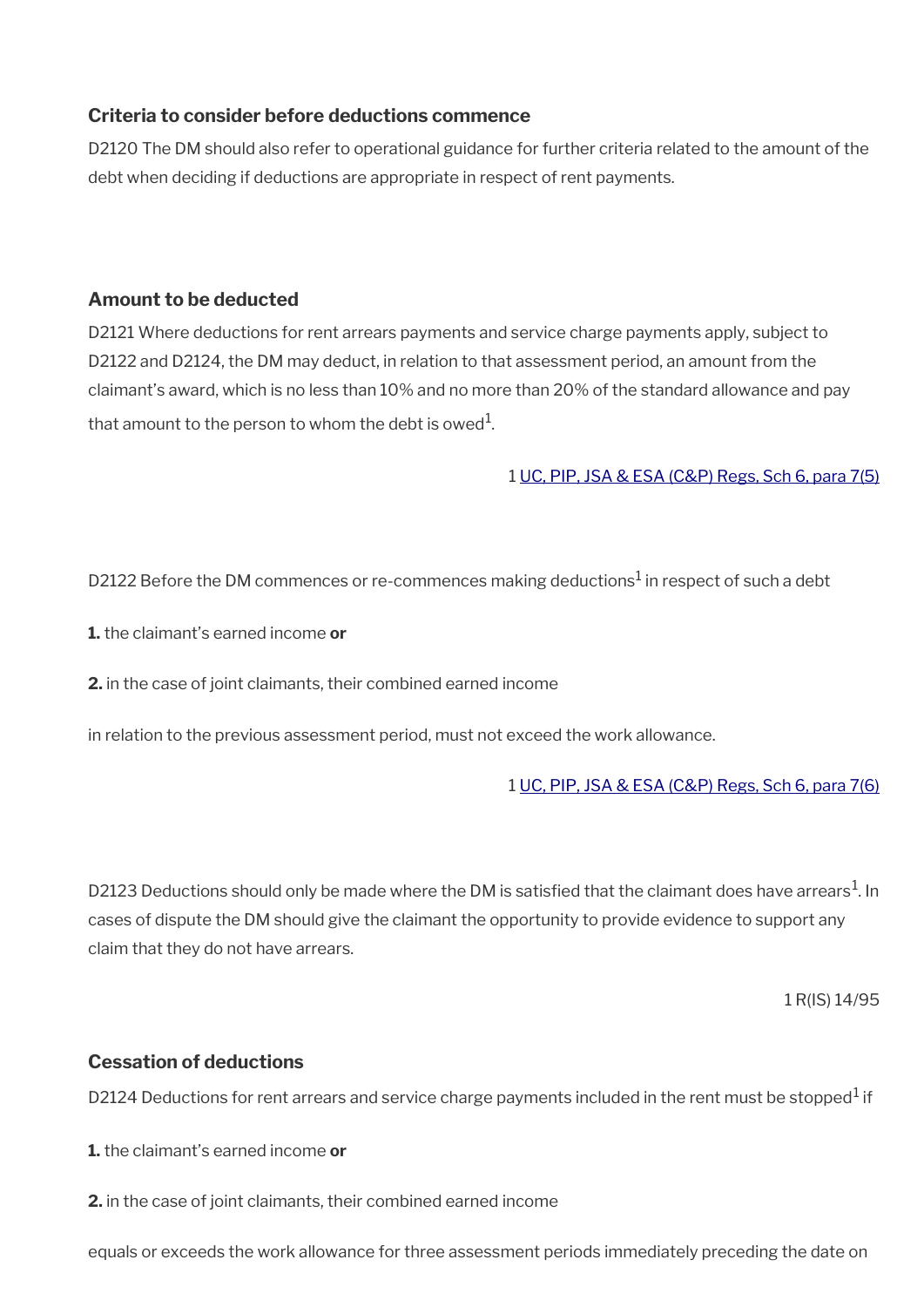#### **Criteria to consider before deductions commence**

D2120 The DM should also refer to operational guidance for further criteria related to the amount of the debt when deciding if deductions are appropriate in respect of rent payments.

#### **Amount to be deducted**

D2121 Where deductions for rent arrears payments and service charge payments apply, subject to D2122 and D2124, the DM may deduct, in relation to that assessment period, an amount from the claimant's award, which is no less than 10% and no more than 20% of the standard allowance and pay that amount to the person to whom the debt is owed $^{\rm 1}$ .

1 [UC, PIP, JSA & ESA \(C&P\) Regs, Sch 6, para 7\(5\)](https://www.legislation.gov.uk/uksi/2013/380/schedule/6)

D2122 Before the DM commences or re-commences making deductions $^1$  in respect of such a debt

**1.** the claimant's earned income **or**

**2.** in the case of joint claimants, their combined earned income

in relation to the previous assessment period, must not exceed the work allowance.

1 [UC, PIP, JSA & ESA \(C&P\) Regs, Sch 6, para 7\(6\)](https://www.legislation.gov.uk/uksi/2013/380/schedule/6)

D2123 Deductions should only be made where the DM is satisfied that the claimant does have arrears $^1$ . In cases of dispute the DM should give the claimant the opportunity to provide evidence to support any claim that they do not have arrears.

1 R(IS) 14/95

#### **Cessation of deductions**

D2124 Deductions for rent arrears and service charge payments included in the rent must be stopped $^1$  if

**1.** the claimant's earned income **or**

**2.** in the case of joint claimants, their combined earned income

equals or exceeds the work allowance for three assessment periods immediately preceding the date on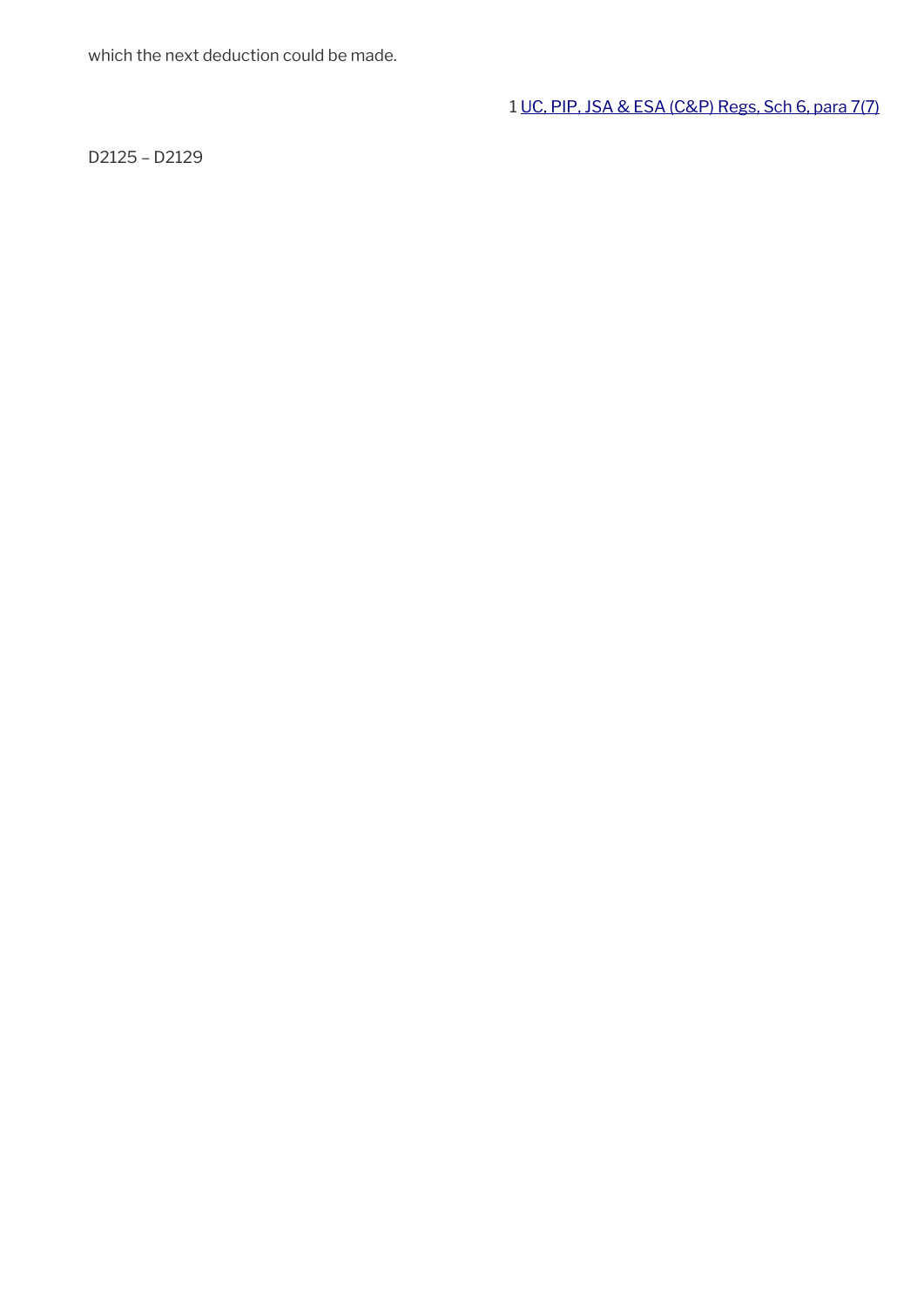which the next deduction could be made.

1 [UC, PIP, JSA & ESA \(C&P\) Regs, Sch 6, para 7\(7\)](https://www.legislation.gov.uk/uksi/2013/380/schedule/6)

D2125 – D2129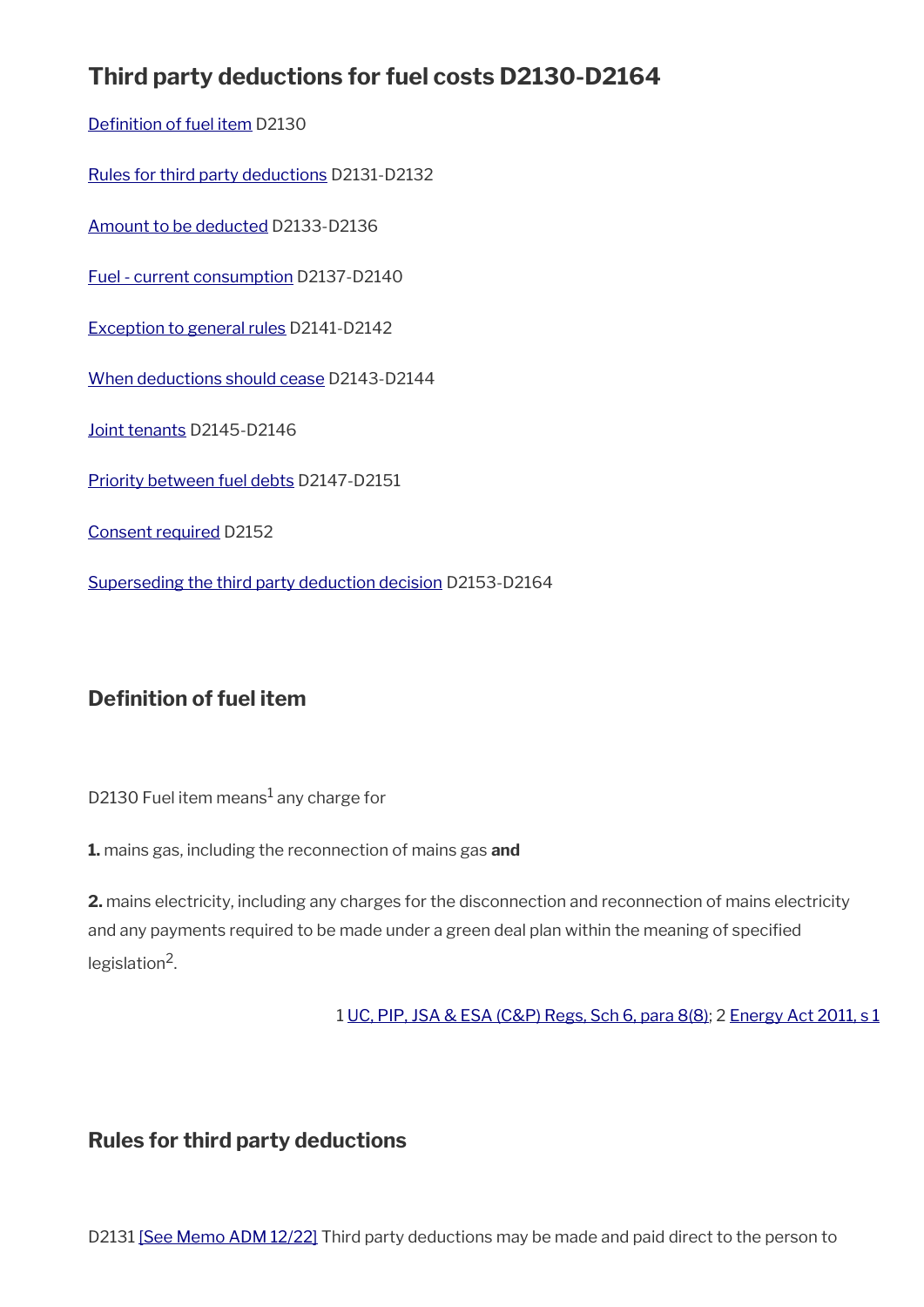# **Third party deductions for fuel costs D2130-D2164**

Definition of fuel item D2130

[Rules for third party deductions](#page-14-0) D2131-D2132

[Amount to be deducted](#page-21-0) D2133-D2136

[Fuel - current consumption](#page-22-1) D2137-D2140

[Exception to general rules](#page-22-0) D2141-D2142

[When deductions should cease](#page-23-1) D2143-D2144

[Joint tenants](#page-23-0) D2145-D2146

[Priority between fuel debts](#page-24-0) D2147-D2151

[Consent required](#page-6-0) D2152

[Superseding the third party deduction decision](#page-25-0) D2153-D2164

### <span id="page-20-0"></span>**Definition of fuel item**

D2130 Fuel item means $^{\rm 1}$  any charge for

**1.** mains gas, including the reconnection of mains gas **and**

**2.** mains electricity, including any charges for the disconnection and reconnection of mains electricity and any payments required to be made under a green deal plan within the meaning of specifed legislation<sup>2</sup>.

1 [UC, PIP, JSA & ESA \(C&P\) Regs, Sch 6, para 8\(8\)](https://www.legislation.gov.uk/uksi/2013/380/schedule/6); 2 [Energy Act 2011, s 1](https://www.legislation.gov.uk/ukpga/2011/16/section/1)

### **Rules for third party deductions**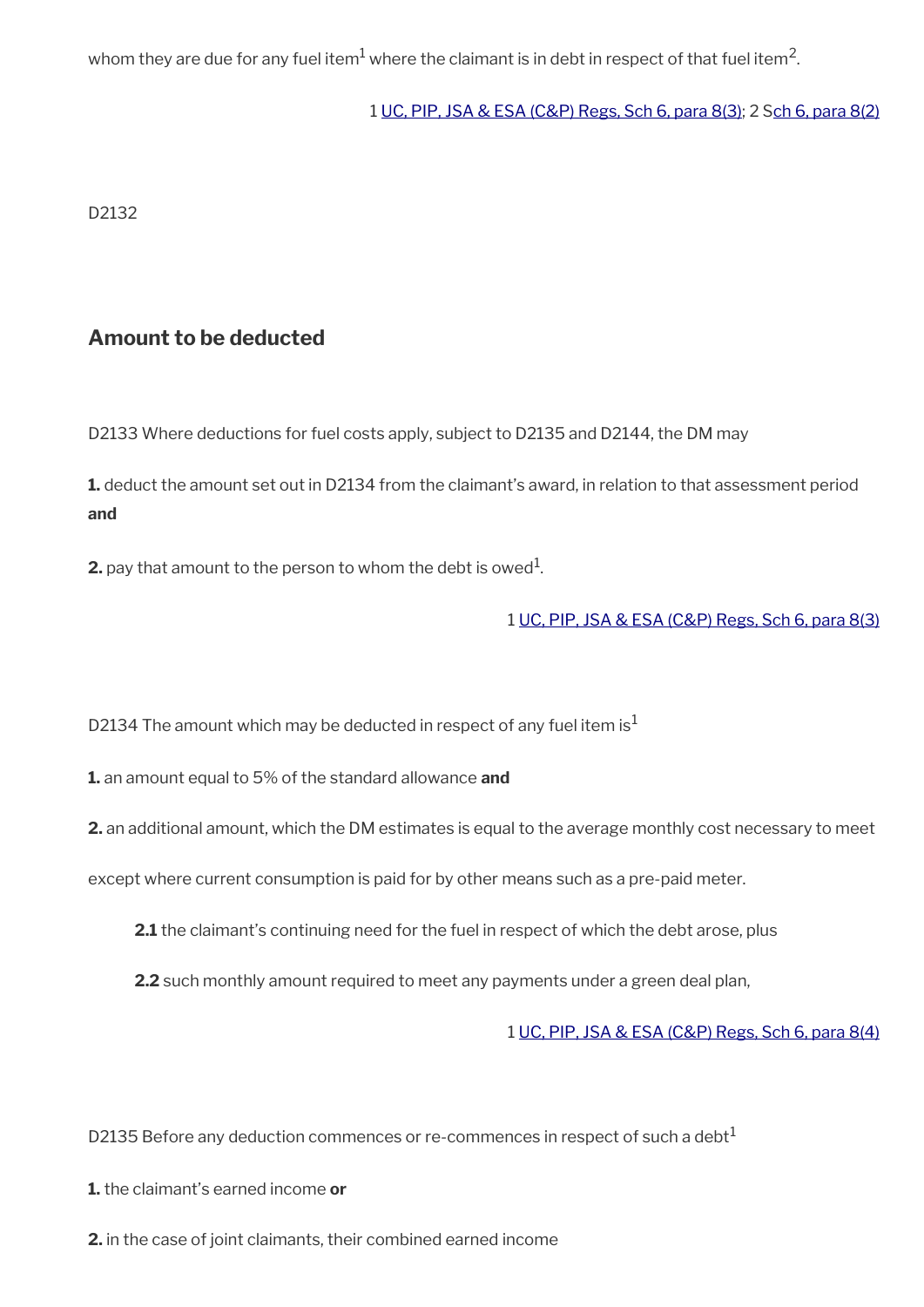whom they are due for any fuel item $^1$  where the claimant is in debt in respect of that fuel item $^2\!$ 

#### 1 [UC, PIP, JSA & ESA \(C&P\) Regs, Sch 6, para 8\(3\)](https://www.legislation.gov.uk/ukpga/2011/16/section/1); 2 [Sch 6, para 8\(2\)](https://www.legislation.gov.uk/ukpga/2011/16/section/1)

D2132

### <span id="page-21-0"></span>**Amount to be deducted**

D2133 Where deductions for fuel costs apply, subject to D2135 and D2144, the DM may

**1.** deduct the amount set out in D2134 from the claimant's award, in relation to that assessment period **and**

**2.** pay that amount to the person to whom the debt is owed $^1$ .

#### 1 [UC, PIP, JSA & ESA \(C&P\) Regs, Sch 6, para 8\(3\)](https://www.legislation.gov.uk/ukpga/2011/16/section/1)

D2134 The amount which may be deducted in respect of any fuel item is<sup>1</sup>

**1.** an amount equal to 5% of the standard allowance **and**

**2.** an additional amount, which the DM estimates is equal to the average monthly cost necessary to meet

except where current consumption is paid for by other means such as a pre-paid meter.

- **2.1** the claimant's continuing need for the fuel in respect of which the debt arose, plus
- **2.2** such monthly amount required to meet any payments under a green deal plan,

1 [UC, PIP, JSA & ESA \(C&P\) Regs, Sch 6, para 8\(4\)](https://www.legislation.gov.uk/ukpga/2011/16/section/1)

D2135 Before any deduction commences or re-commences in respect of such a debt $<sup>1</sup>$ </sup>

- **1.** the claimant's earned income **or**
- **2.** in the case of joint claimants, their combined earned income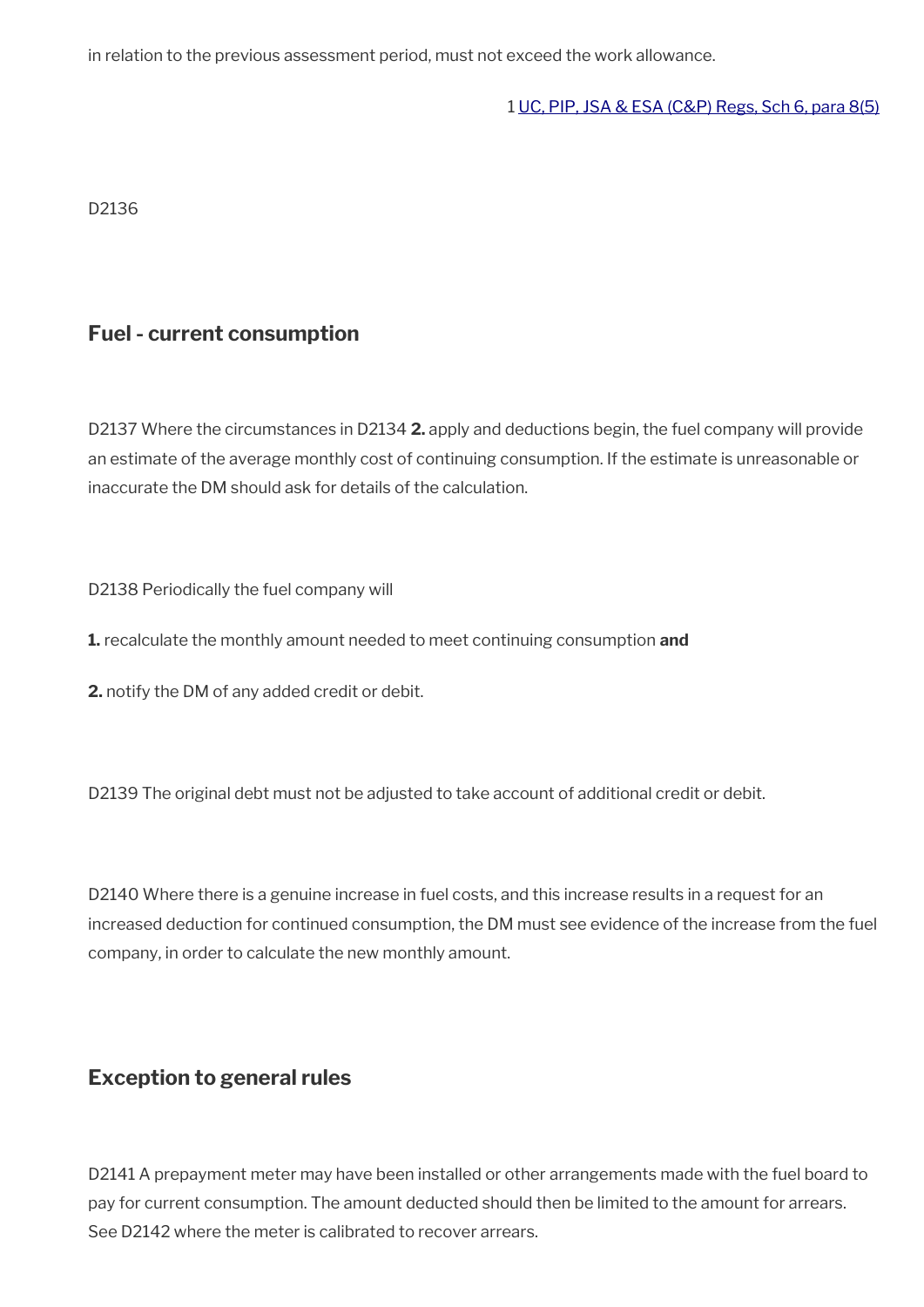in relation to the previous assessment period, must not exceed the work allowance.

1 [UC, PIP, JSA & ESA \(C&P\) Regs, Sch 6, para 8\(5\)](https://www.legislation.gov.uk/ukpga/2011/16/section/1)

D2136

### <span id="page-22-1"></span>**Fuel - current consumption**

D2137 Where the circumstances in D2134 **2.** apply and deductions begin, the fuel company will provide an estimate of the average monthly cost of continuing consumption. If the estimate is unreasonable or inaccurate the DM should ask for details of the calculation.

D2138 Periodically the fuel company will

**1.** recalculate the monthly amount needed to meet continuing consumption **and** 

**2.** notify the DM of any added credit or debit.

D2139 The original debt must not be adjusted to take account of additional credit or debit.

D2140 Where there is a genuine increase in fuel costs, and this increase results in a request for an increased deduction for continued consumption, the DM must see evidence of the increase from the fuel company, in order to calculate the new monthly amount.

### <span id="page-22-0"></span>**Exception to general rules**

D2141 A prepayment meter may have been installed or other arrangements made with the fuel board to pay for current consumption. The amount deducted should then be limited to the amount for arrears. See D2142 where the meter is calibrated to recover arrears.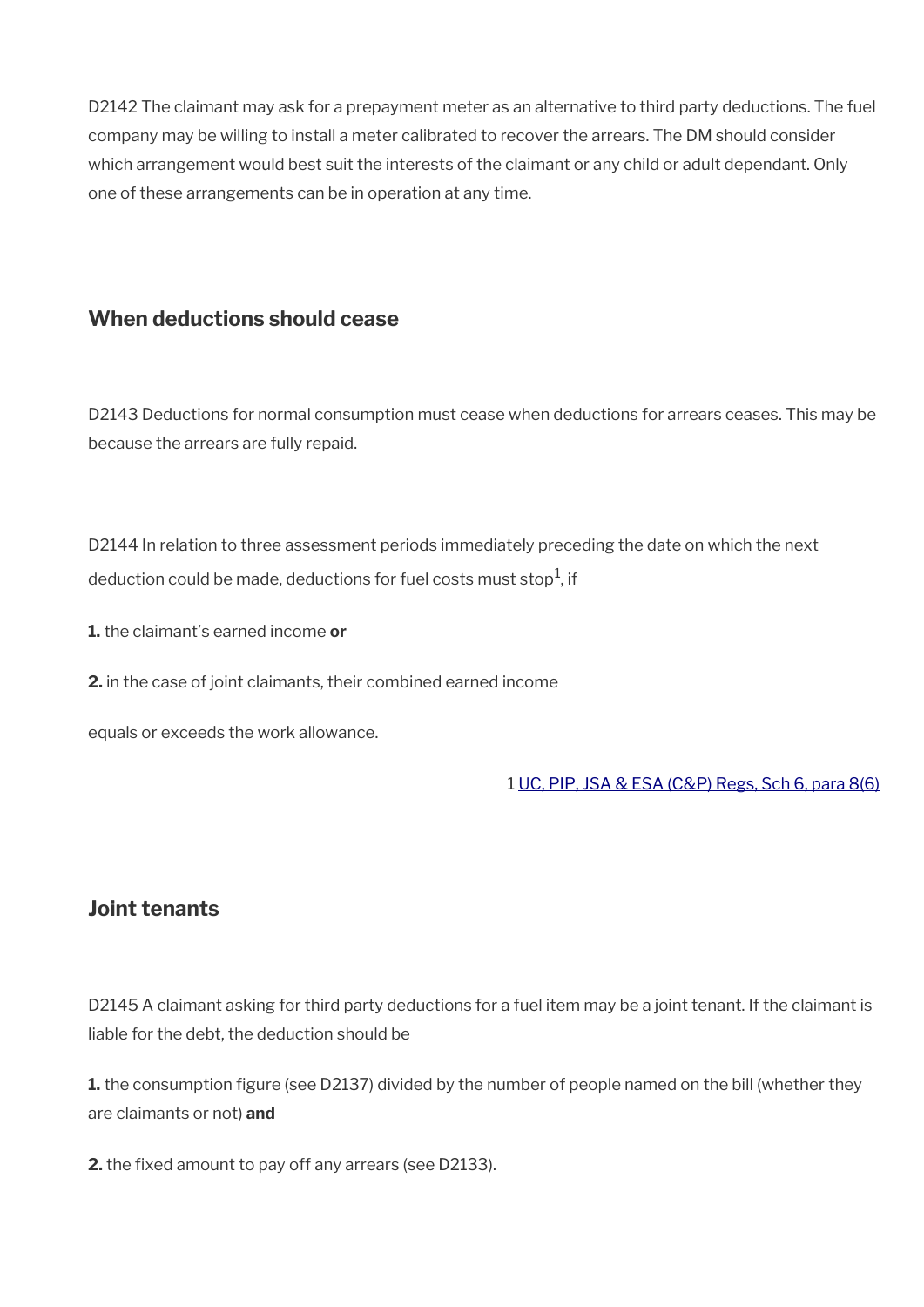D2142 The claimant may ask for a prepayment meter as an alternative to third party deductions. The fuel company may be willing to install a meter calibrated to recover the arrears. The DM should consider which arrangement would best suit the interests of the claimant or any child or adult dependant. Only one of these arrangements can be in operation at any time.

### <span id="page-23-1"></span>**When deductions should cease**

D2143 Deductions for normal consumption must cease when deductions for arrears ceases. This may be because the arrears are fully repaid.

D2144 In relation to three assessment periods immediately preceding the date on which the next deduction could be made, deductions for fuel costs must stop $^1$ , if

**1.** the claimant's earned income **or**

**2.** in the case of joint claimants, their combined earned income

equals or exceeds the work allowance.

1 [UC, PIP, JSA & ESA \(C&P\) Regs, Sch 6, para 8\(6\)](https://www.legislation.gov.uk/ukpga/2011/16/section/1)

### <span id="page-23-0"></span>**Joint tenants**

D2145 A claimant asking for third party deductions for a fuel item may be a joint tenant. If the claimant is liable for the debt, the deduction should be

**1.** the consumption figure (see D2137) divided by the number of people named on the bill (whether they are claimants or not) **and** 

**2.** the fixed amount to pay off any arrears (see D2133).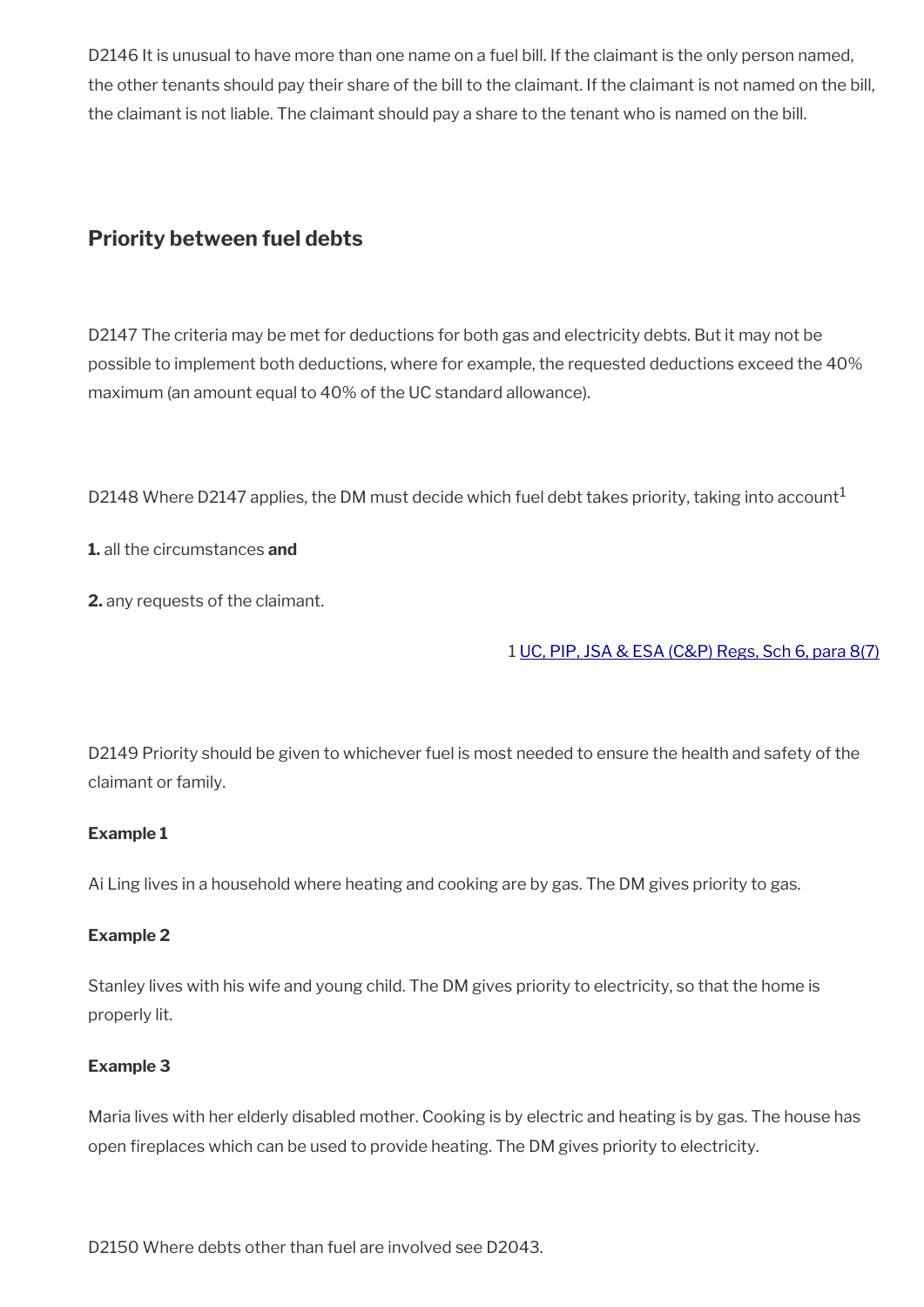D2146 It is unusual to have more than one name on a fuel bill. If the claimant is the only person named, the other tenants should pay their share of the bill to the claimant. If the claimant is not named on the bill, the claimant is not liable. The claimant should pay a share to the tenant who is named on the bill.

## <span id="page-24-0"></span>**Priority between fuel debts**

D2147 The criteria may be met for deductions for both gas and electricity debts. But it may not be possible to implement both deductions, where for example, the requested deductions exceed the 40% maximum (an amount equal to 40% of the UC standard allowance).

D2148 Where D2147 applies, the DM must decide which fuel debt takes priority, taking into account<sup>1</sup>

**1.** all the circumstances **and** 

**2.** any requests of the claimant.

#### 1 [UC, PIP, JSA & ESA \(C&P\) Regs, Sch 6, para 8\(7\)](https://www.legislation.gov.uk/ukpga/2011/16/section/1)

D2149 Priority should be given to whichever fuel is most needed to ensure the health and safety of the claimant or family.

#### **Example 1**

Ai Ling lives in a household where heating and cooking are by gas. The DM gives priority to gas.

#### **Example 2**

Stanley lives with his wife and young child. The DM gives priority to electricity, so that the home is properly lit.

#### **Example 3**

Maria lives with her elderly disabled mother. Cooking is by electric and heating is by gas. The house has open freplaces which can be used to provide heating. The DM gives priority to electricity.

D2150 Where debts other than fuel are involved see D2043.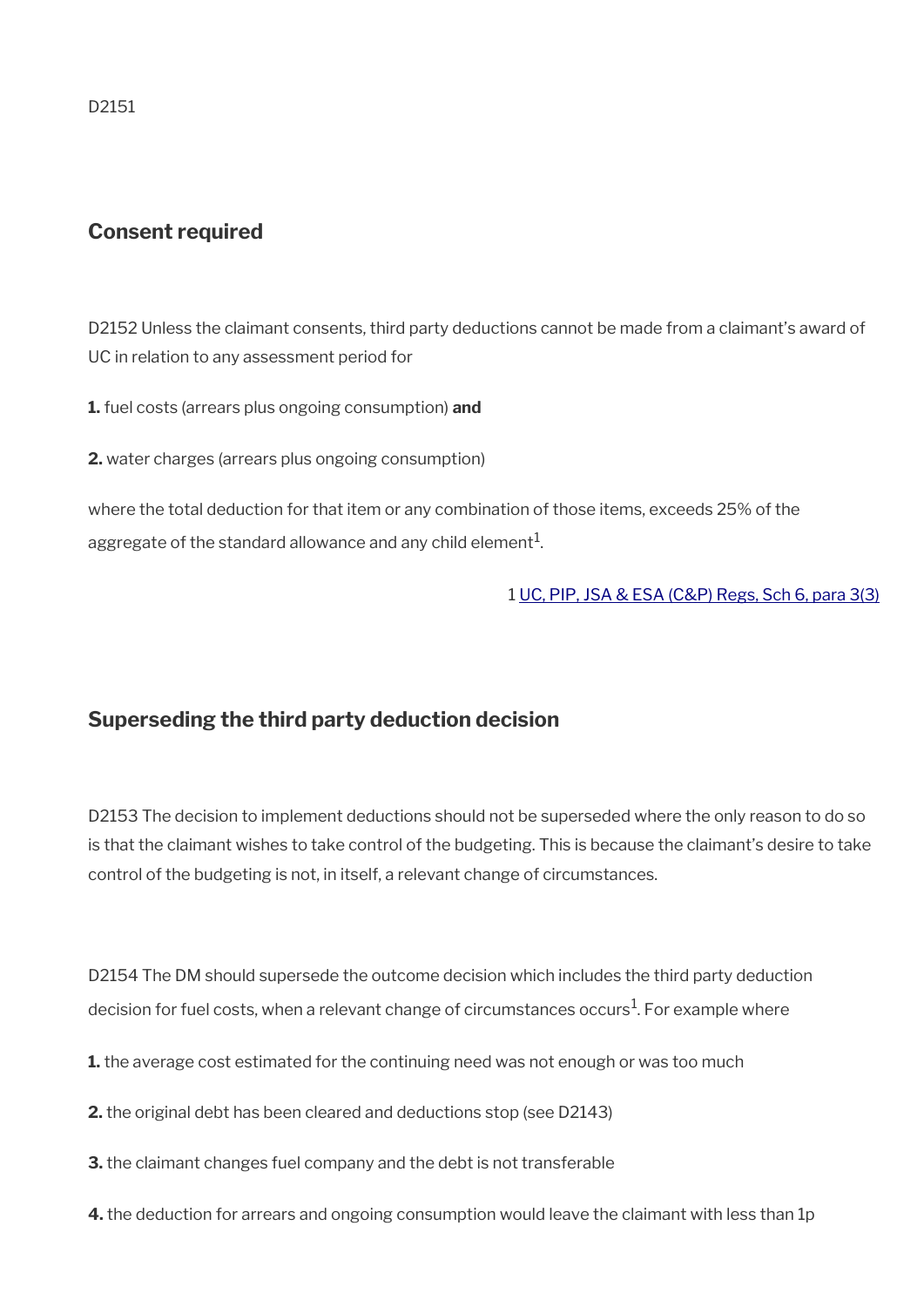D2151

### **Consent required**

D2152 Unless the claimant consents, third party deductions cannot be made from a claimant's award of UC in relation to any assessment period for

**1.** fuel costs (arrears plus ongoing consumption) **and**

**2.** water charges (arrears plus ongoing consumption)

where the total deduction for that item or any combination of those items, exceeds 25% of the aggregate of the standard allowance and any child element $^{\mathrm{1}}$ .

1 [UC, PIP, JSA & ESA \(C&P\) Regs, Sch 6, para 3\(3\)](https://www.legislation.gov.uk/ukpga/2011/16/section/1)

### <span id="page-25-0"></span>**Superseding the third party deduction decision**

D2153 The decision to implement deductions should not be superseded where the only reason to do so is that the claimant wishes to take control of the budgeting. This is because the claimant's desire to take control of the budgeting is not, in itself, a relevant change of circumstances.

D2154 The DM should supersede the outcome decision which includes the third party deduction decision for fuel costs, when a relevant change of circumstances occurs $^1$ . For example where

- **1.** the average cost estimated for the continuing need was not enough or was too much
- **2.** the original debt has been cleared and deductions stop (see D2143)
- **3.** the claimant changes fuel company and the debt is not transferable
- **4.** the deduction for arrears and ongoing consumption would leave the claimant with less than 1p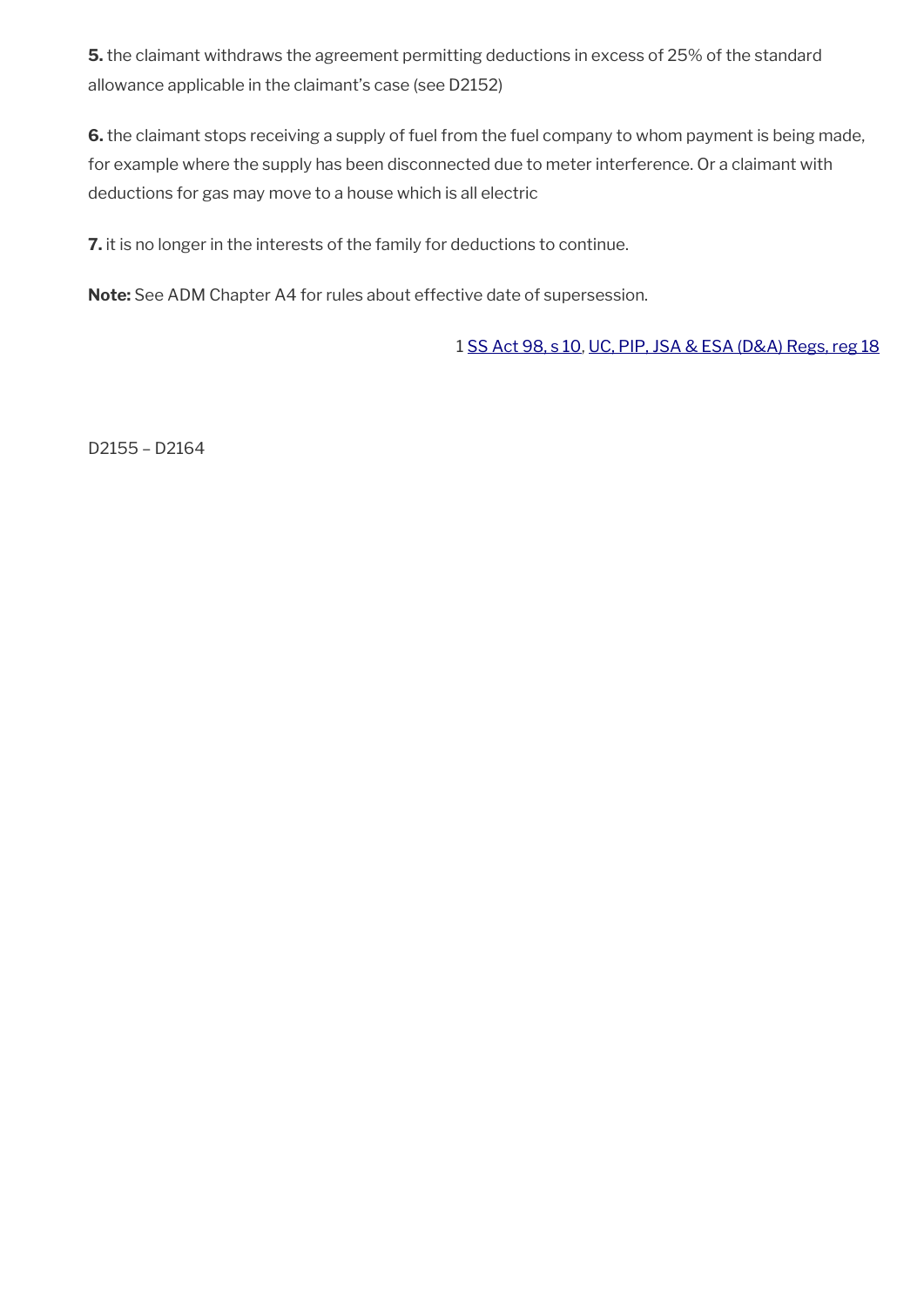**5.** the claimant withdraws the agreement permitting deductions in excess of 25% of the standard allowance applicable in the claimant's case (see D2152)

**6.** the claimant stops receiving a supply of fuel from the fuel company to whom payment is being made, for example where the supply has been disconnected due to meter interference. Or a claimant with deductions for gas may move to a house which is all electric

**7.** it is no longer in the interests of the family for deductions to continue.

**Note:** See ADM Chapter A4 for rules about effective date of supersession.

1 [SS Act 98, s 10,](https://www.legislation.gov.uk/ukpga/1998/14/section/10) [UC, PIP, JSA & ESA \(D&A\) Regs, reg 18](https://www.legislation.gov.uk/nisr/2016/221/regulation/18)

D2155 – D2164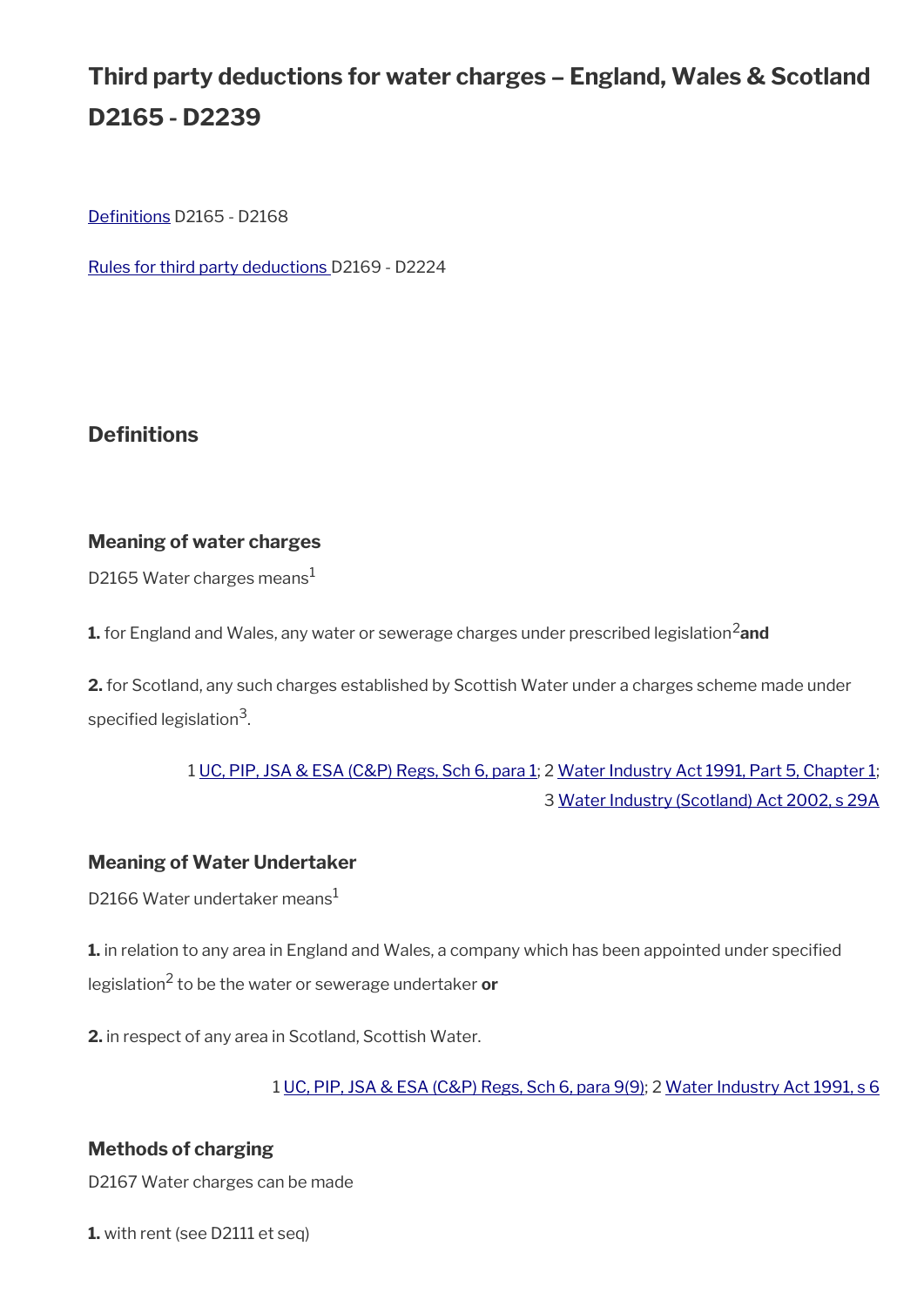# **Third party deductions for water charges – England, Wales & Scotland D2165 - D2239**

Definitions D2165 - D2168

[Rules for third party deductions](#page-17-0) D2169 - D2224

### **Definitions**

#### **Meaning of water charges**

D2165 Water charges means<sup>1</sup>

**1.** for England and Wales, any water or sewerage charges under prescribed legislation<sup>2</sup> and

**2.** for Scotland, any such charges established by Scottish Water under a charges scheme made under specified legislation $^3$ .

### 1 [UC, PIP, JSA & ESA \(C&P\) Regs, Sch 6, para 1](https://www.legislation.gov.uk/uksi/2013/380/schedule/6); 2 [Water Industry Act 1991, Part 5, Chapter 1;](https://www.legislation.gov.uk/ukpga/1991/56/part/V/chapter/I) 3 [Water Industry \(Scotland\) Act 2002, s 29A](https://www.legislation.gov.uk/asp/2002/3/section/29A)

#### **Meaning of Water Undertaker**

D2166 Water undertaker means<sup>1</sup>

**1.** in relation to any area in England and Wales, a company which has been appointed under specified legislation<sup>2</sup> to be the water or sewerage undertaker **or**

**2.** in respect of any area in Scotland, Scottish Water.

1 [UC, PIP, JSA & ESA \(C&P\) Regs, Sch 6, para 9\(9\);](https://www.legislation.gov.uk/uksi/2013/380/schedule/6) 2 [Water Industry Act 1991, s 6](https://www.legislation.gov.uk/ukpga/1991/56/section/6)

#### **Methods of charging**

D2167 Water charges can be made

**1.** with rent (see D2111 et seq)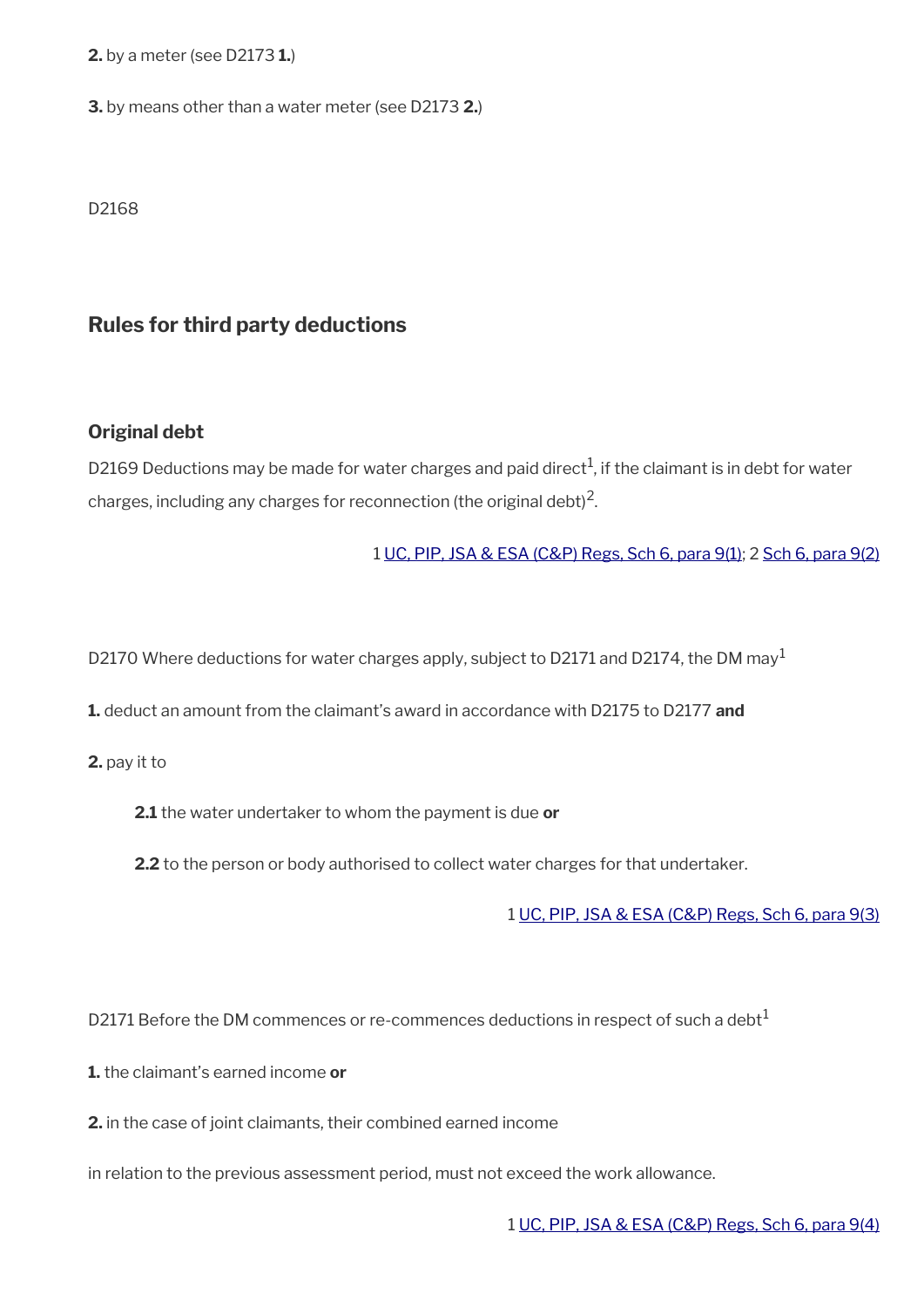**2.** by a meter (see D2173 **1.**)

**3.** by means other than a water meter (see D2173 **2.**)

D2168

### **Rules for third party deductions**

#### **Original debt**

D2169 Deductions may be made for water charges and paid direct<sup>1</sup>, if the claimant is in debt for water charges, including any charges for reconnection (the original debt) $^2$ .

#### 1 [UC, PIP, JSA & ESA \(C&P\) Regs, Sch 6, para 9\(1\)](https://www.legislation.gov.uk/uksi/2013/380/schedule/6); 2 [Sch 6, para 9\(2\)](https://www.legislation.gov.uk/uksi/2013/380/schedule/6)

D2170 Where deductions for water charges apply, subject to D2171 and D2174, the DM may<sup>1</sup>

**1.** deduct an amount from the claimant's award in accordance with D2175 to D2177 **and** 

**2.** pay it to

**2.1** the water undertaker to whom the payment is due **or**

**2.2** to the person or body authorised to collect water charges for that undertaker.

1 [UC, PIP, JSA & ESA \(C&P\) Regs, Sch 6, para 9\(3\)](https://www.legislation.gov.uk/uksi/2013/380/schedule/6)

D2171 Before the DM commences or re-commences deductions in respect of such a debt $<sup>1</sup>$ </sup>

**1.** the claimant's earned income **or**

**2.** in the case of joint claimants, their combined earned income

in relation to the previous assessment period, must not exceed the work allowance.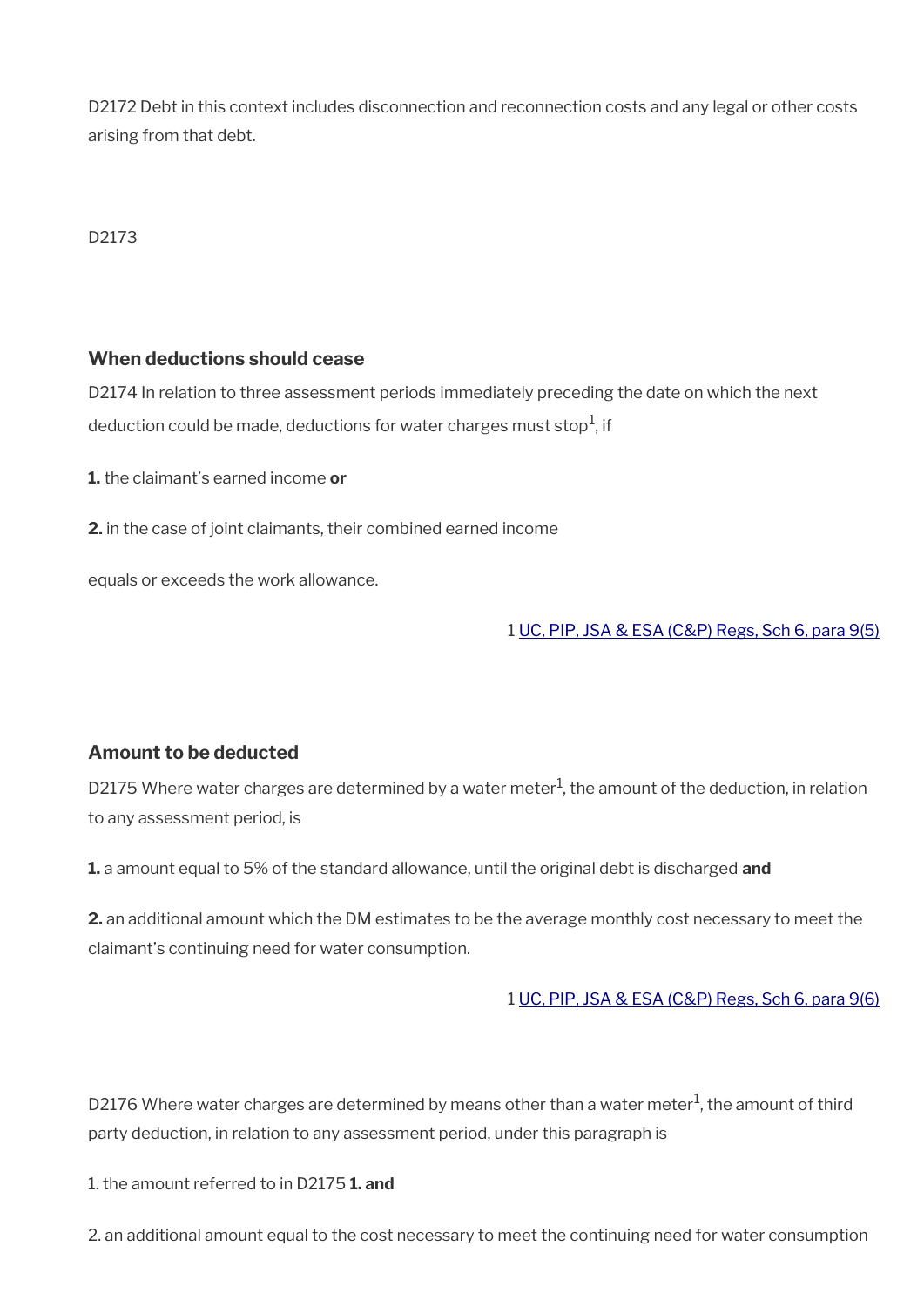D2172 Debt in this context includes disconnection and reconnection costs and any legal or other costs arising from that debt.

#### D2173

#### **When deductions should cease**

D2174 In relation to three assessment periods immediately preceding the date on which the next deduction could be made, deductions for water charges must stop $^1$ , if

**1.** the claimant's earned income **or**

**2.** in the case of joint claimants, their combined earned income

equals or exceeds the work allowance.

1 [UC, PIP, JSA & ESA \(C&P\) Regs, Sch 6, para 9\(5\)](https://www.legislation.gov.uk/uksi/2013/380/schedule/6)

#### **Amount to be deducted**

D2175 Where water charges are determined by a water meter<sup>1</sup>, the amount of the deduction, in relation to any assessment period, is

**1.** a amount equal to 5% of the standard allowance, until the original debt is discharged **and**

**2.** an additional amount which the DM estimates to be the average monthly cost necessary to meet the claimant's continuing need for water consumption.

#### 1 [UC, PIP, JSA & ESA \(C&P\) Regs, Sch 6, para 9\(6\)](https://www.legislation.gov.uk/uksi/2013/380/schedule/6)

D2176 Where water charges are determined by means other than a water meter $^1$ , the amount of third party deduction, in relation to any assessment period, under this paragraph is

1. the amount referred to in D2175 **1. and** 

2. an additional amount equal to the cost necessary to meet the continuing need for water consumption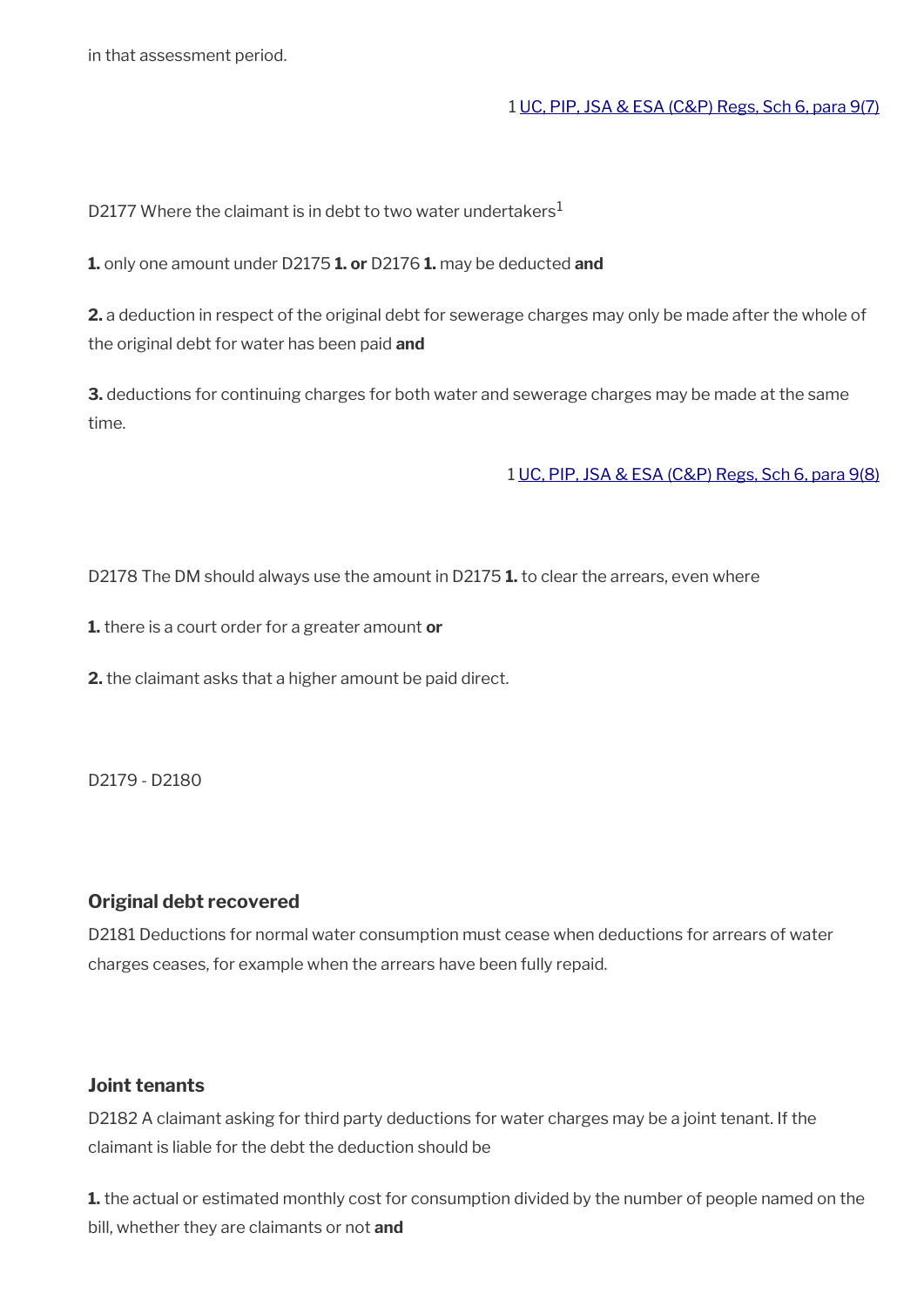in that assessment period.

#### 1 [UC, PIP, JSA & ESA \(C&P\) Regs, Sch 6, para 9\(7\)](https://www.legislation.gov.uk/uksi/2013/380/schedule/6)

D2177 Where the claimant is in debt to two water undertakers<sup>1</sup>

**1.** only one amount under D2175 **1. or** D2176 **1.** may be deducted **and**

**2.** a deduction in respect of the original debt for sewerage charges may only be made after the whole of the original debt for water has been paid **and**

**3.** deductions for continuing charges for both water and sewerage charges may be made at the same time.

1 [UC, PIP, JSA & ESA \(C&P\) Regs, Sch 6, para 9\(8\)](https://www.legislation.gov.uk/uksi/2013/380/schedule/6)

D2178 The DM should always use the amount in D2175 **1.** to clear the arrears, even where

**1.** there is a court order for a greater amount **or** 

**2.** the claimant asks that a higher amount be paid direct.

D2179 - D2180

#### **Original debt recovered**

D2181 Deductions for normal water consumption must cease when deductions for arrears of water charges ceases, for example when the arrears have been fully repaid.

#### **Joint tenants**

D2182 A claimant asking for third party deductions for water charges may be a joint tenant. If the claimant is liable for the debt the deduction should be

**1.** the actual or estimated monthly cost for consumption divided by the number of people named on the bill, whether they are claimants or not **and**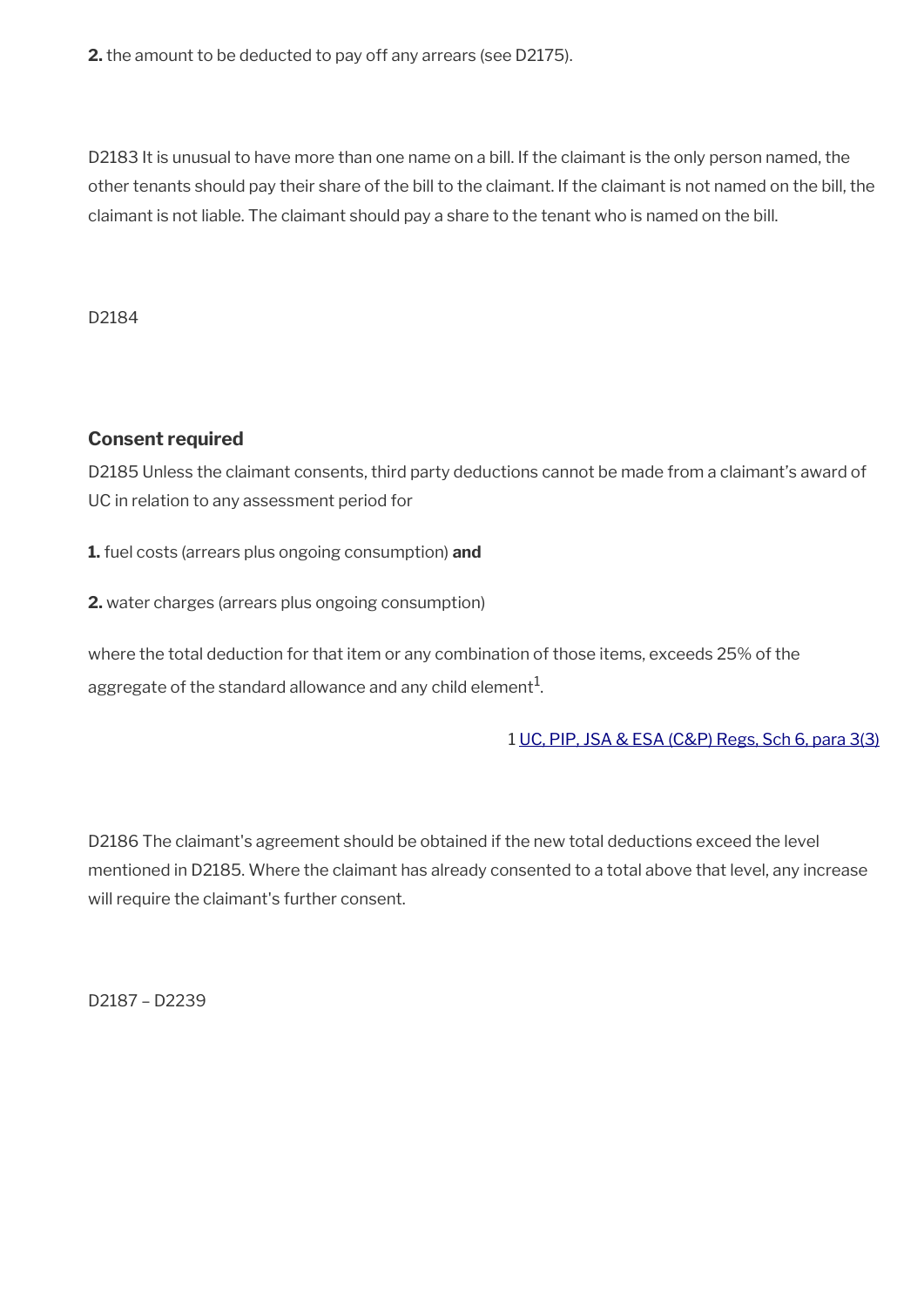**2.** the amount to be deducted to pay off any arrears (see D2175).

D2183 It is unusual to have more than one name on a bill. If the claimant is the only person named, the other tenants should pay their share of the bill to the claimant. If the claimant is not named on the bill, the claimant is not liable. The claimant should pay a share to the tenant who is named on the bill.

D2184

#### **Consent required**

D2185 Unless the claimant consents, third party deductions cannot be made from a claimant's award of UC in relation to any assessment period for

**1.** fuel costs (arrears plus ongoing consumption) **and**

**2.** water charges (arrears plus ongoing consumption)

where the total deduction for that item or any combination of those items, exceeds 25% of the aggregate of the standard allowance and any child element $^{\mathrm{1}}$ .

1 [UC, PIP, JSA & ESA \(C&P\) Regs, Sch 6, para 3\(3\)](https://www.legislation.gov.uk/uksi/2013/380/schedule/6)

D2186 The claimant's agreement should be obtained if the new total deductions exceed the level mentioned in D2185. Where the claimant has already consented to a total above that level, any increase will require the claimant's further consent.

D2187 – D2239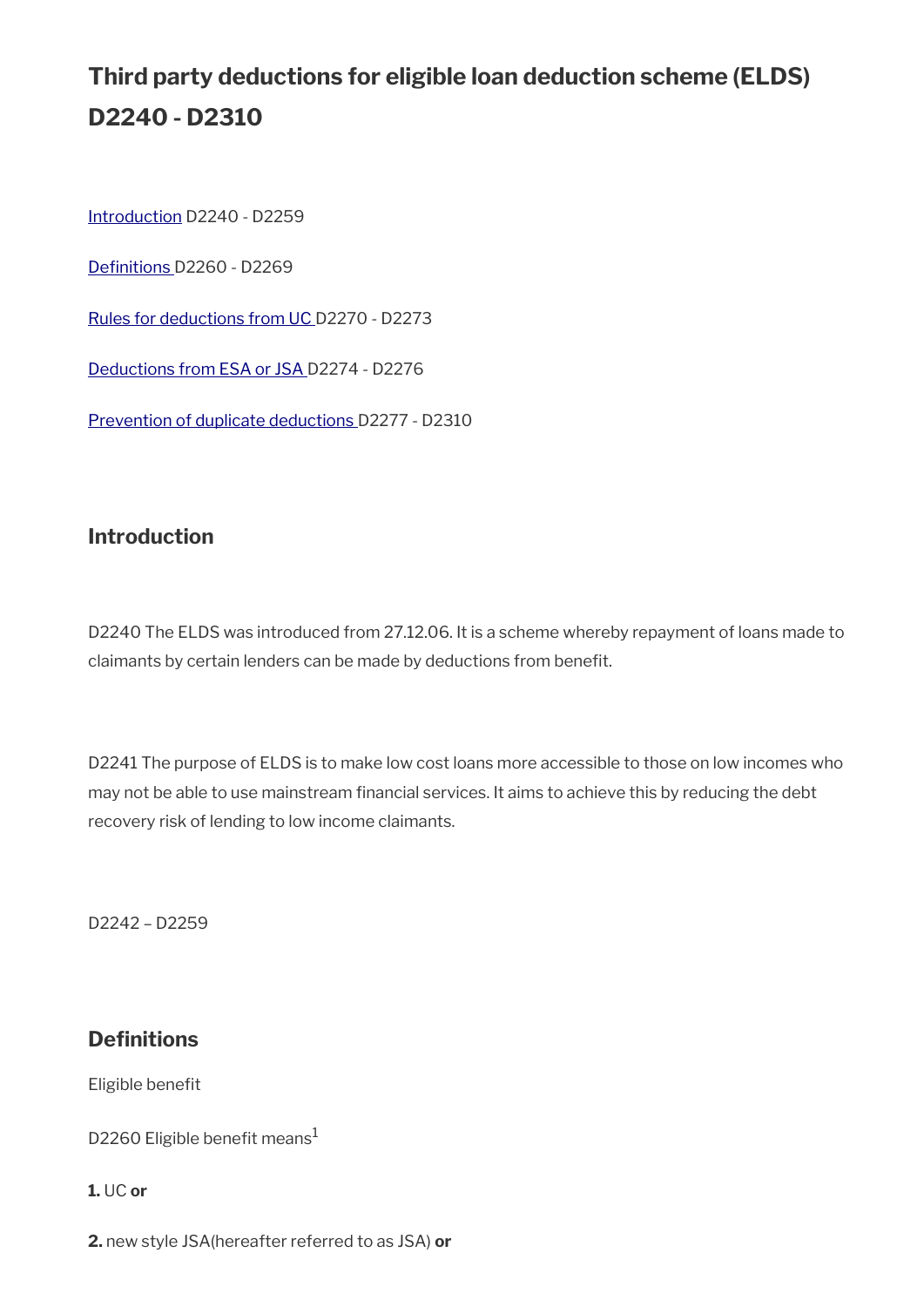# **Third party deductions for eligible loan deduction scheme (ELDS) D2240 - D2310**

[Introduction](#page-32-0) D2240 - D2259

Definitions D2260 - D2269

[Rules for deductions from UC](#page-34-0) D2270 - D2273

[Deductions from ESA or JSA](#page-35-0) D2274 - D2276

[Prevention of duplicate deductions D](#page-36-0)2277 - D2310

### <span id="page-32-0"></span>**Introduction**

D2240 The ELDS was introduced from 27.12.06. It is a scheme whereby repayment of loans made to claimants by certain lenders can be made by deductions from beneft.

D2241 The purpose of ELDS is to make low cost loans more accessible to those on low incomes who may not be able to use mainstream fnancial services. It aims to achieve this by reducing the debt recovery risk of lending to low income claimants.

D2242 – D2259

### **Definitions**

Eligible benefit

D2260 Eligible benefit means $<sup>1</sup>$ </sup>

**1.** UC **or**

**2.** new style JSA(hereafter referred to as JSA) **or**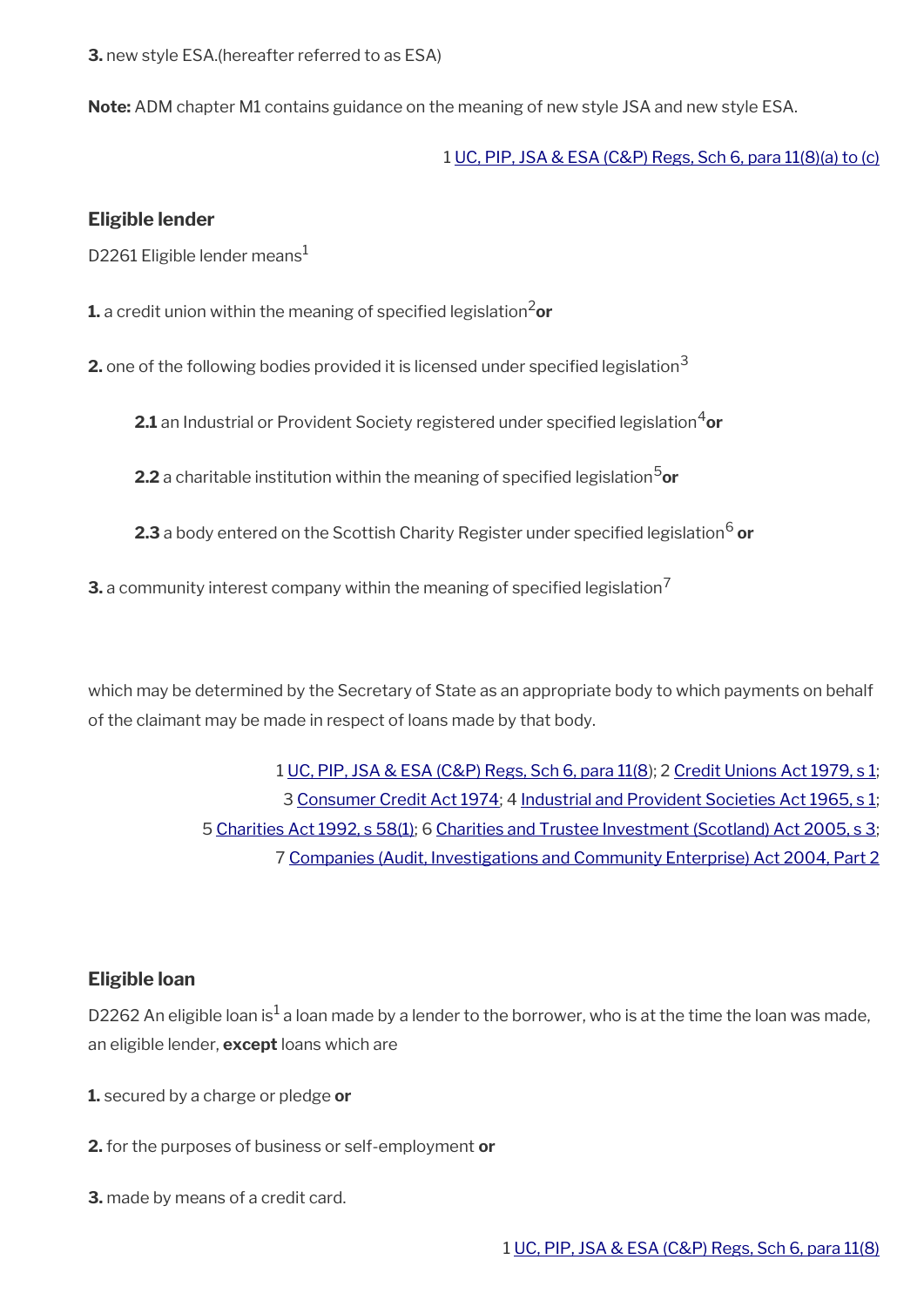**3.** new style ESA.(hereafter referred to as ESA)

**Note:** ADM chapter M1 contains guidance on the meaning of new style JSA and new style ESA.

1 [UC, PIP, JSA & ESA \(C&P\) Regs, Sch 6, para 11\(8\)\(a\) to \(c\)](https://www.legislation.gov.uk/uksi/2013/380/schedule/6)

#### **Eligible lender**

D2261 Eligible lender means<sup>1</sup>

**1.** a credit union within the meaning of specified legislation<sup>2</sup>or

**2.** one of the following bodies provided it is licensed under specified legislation<sup>3</sup>

**2.1** an Industrial or Provident Society registered under specified legislation<sup>4</sup>or

**2.2** a charitable institution within the meaning of specifed legislation5**or**

**2.3** a body entered on the Scottish Charity Register under specified legislation<sup>6</sup> **or** 

**3.** a community interest company within the meaning of specified legislation<sup>7</sup>

which may be determined by the Secretary of State as an appropriate body to which payments on behalf of the claimant may be made in respect of loans made by that body.

> [UC, PIP, JSA & ESA \(C&P\) Regs, Sch 6, para 11\(8](https://www.legislation.gov.uk/uksi/2013/380/schedule/6)); 2 [Credit Unions Act 1979, s 1;](https://www.legislation.gov.uk/ukpga/1979/34/section/1)  [Consumer Credit Act 1974](https://www.legislation.gov.uk/ukpga/1974/39/contents); 4 [Industrial and Provident Societies Act 1965, s 1;](https://www.legislation.gov.uk/uksi/1965/2051/article/1/made)  [Charities Act 1992, s 58\(1\)](https://www.legislation.gov.uk/ukpga/1992/41/section/58); 6 [Charities and Trustee Investment \(Scotland\) Act 2005, s 3;](https://www.legislation.gov.uk/asp/2005/10/section/3)  [Companies \(Audit, Investigations and Community Enterprise\) Act 2004, Part 2](https://www.legislation.gov.uk/ukpga/2004/27/part/2)

#### **Eligible loan**

D2262 An eligible loan is $^1$  a loan made by a lender to the borrower, who is at the time the loan was made, an eligible lender, **except** loans which are

- **1.** secured by a charge or pledge **or**
- **2.** for the purposes of business or self-employment **or**
- **3.** made by means of a credit card.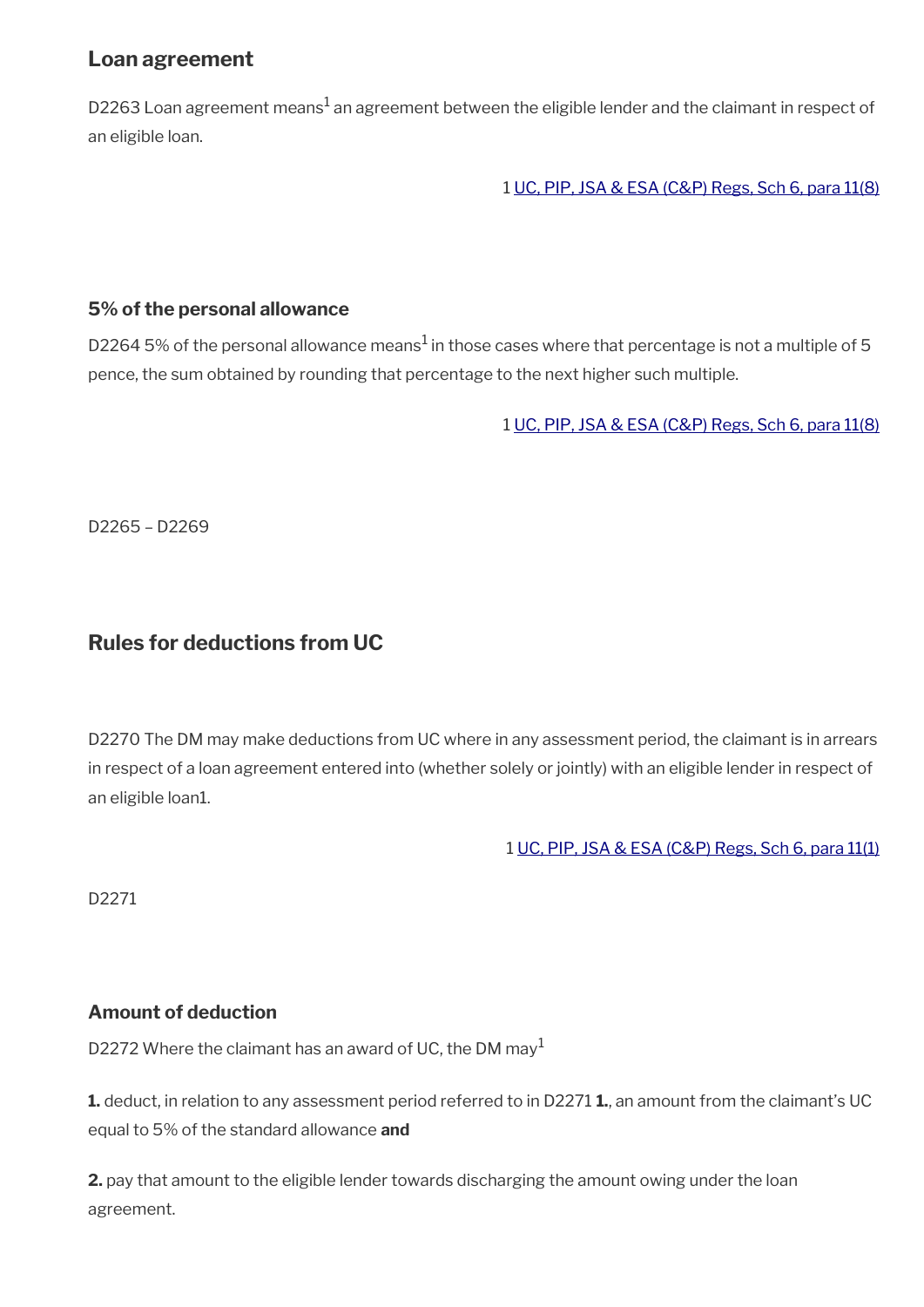### **Loan agreement**

D2263 Loan agreement means $^1$  an agreement between the eligible lender and the claimant in respect of an eligible loan.

1 [UC, PIP, JSA & ESA \(C&P\) Regs, Sch 6, para 11\(8\)](https://www.legislation.gov.uk/uksi/2013/380/schedule/6)

#### **5% of the personal allowance**

D2264 5% of the personal allowance means $^1$  in those cases where that percentage is not a multiple of 5 pence, the sum obtained by rounding that percentage to the next higher such multiple.

1 [UC, PIP, JSA & ESA \(C&P\) Regs, Sch 6, para 11\(8\)](https://www.legislation.gov.uk/uksi/2013/380/schedule/6)

D2265 – D2269

### <span id="page-34-0"></span>**Rules for deductions from UC**

D2270 The DM may make deductions from UC where in any assessment period, the claimant is in arrears in respect of a loan agreement entered into (whether solely or jointly) with an eligible lender in respect of an eligible loan1.

1 [UC, PIP, JSA & ESA \(C&P\) Regs, Sch 6, para 11\(1\)](https://www.legislation.gov.uk/uksi/2013/380/schedule/6)

D2271

#### **Amount of deduction**

D2272 Where the claimant has an award of UC, the DM may<sup>1</sup>

**1.** deduct, in relation to any assessment period referred to in D2271 **1.**, an amount from the claimant's UC equal to 5% of the standard allowance **and**

**2.** pay that amount to the eligible lender towards discharging the amount owing under the loan agreement.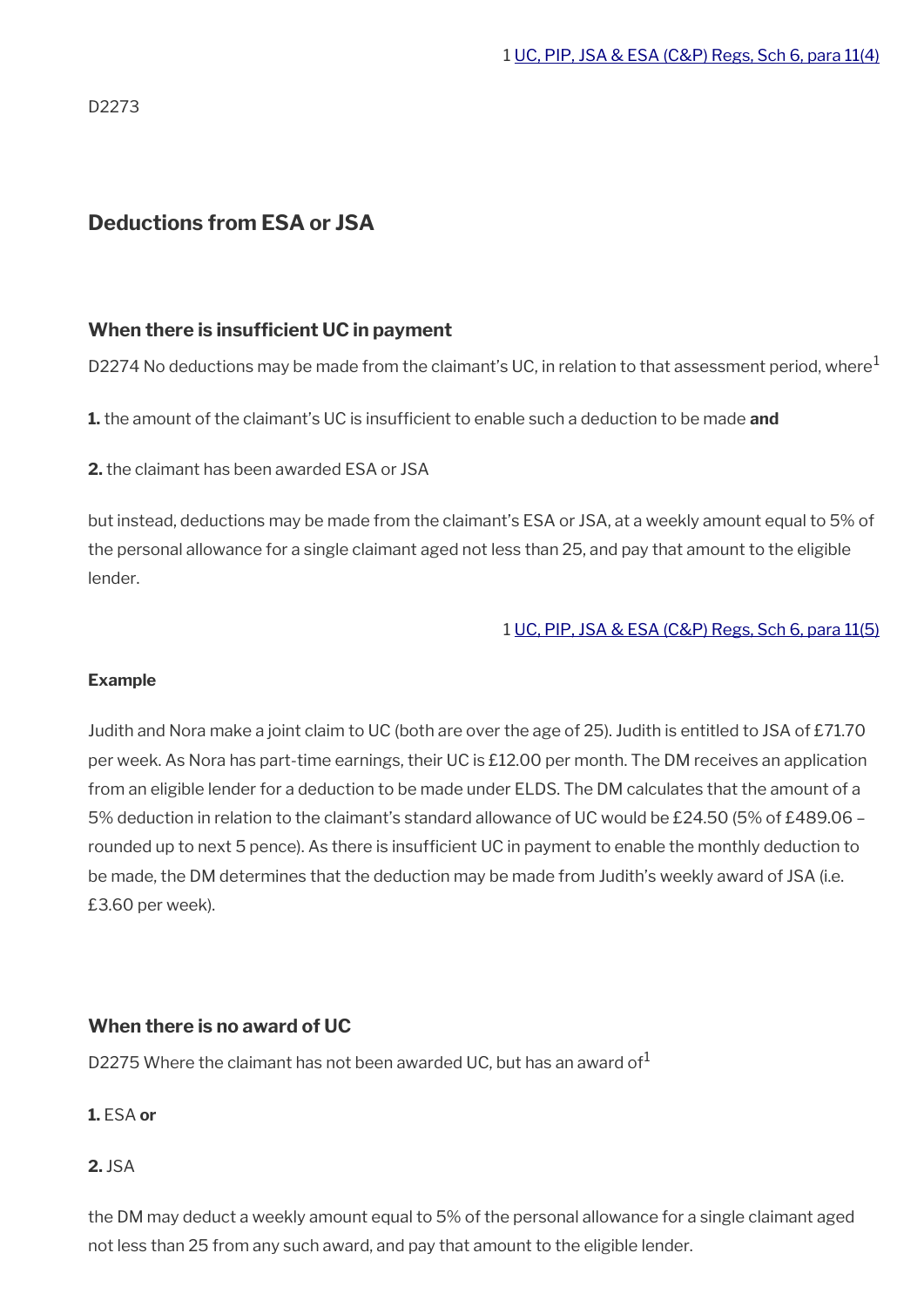D2273

### <span id="page-35-0"></span>**Deductions from ESA or JSA**

#### **When there is insufficient UC in payment**

D2274 No deductions may be made from the claimant's UC, in relation to that assessment period, where<sup>1</sup>

**1.** the amount of the claimant's UC is insuffcient to enable such a deduction to be made **and**

**2.** the claimant has been awarded ESA or JSA

but instead, deductions may be made from the claimant's ESA or JSA, at a weekly amount equal to 5% of the personal allowance for a single claimant aged not less than 25, and pay that amount to the eligible lender.

#### 1 [UC, PIP, JSA & ESA \(C&P\) Regs, Sch 6, para 11\(5\)](https://www.legislation.gov.uk/uksi/2013/380/schedule/6)

#### **Example**

Judith and Nora make a joint claim to UC (both are over the age of 25). Judith is entitled to JSA of £71.70 per week. As Nora has part-time earnings, their UC is £12.00 per month. The DM receives an application from an eligible lender for a deduction to be made under ELDS. The DM calculates that the amount of a 5% deduction in relation to the claimant's standard allowance of UC would be £24.50 (5% of £489.06 – rounded up to next 5 pence). As there is insufficient UC in payment to enable the monthly deduction to be made, the DM determines that the deduction may be made from Judith's weekly award of JSA (i.e. £3.60 per week).

#### **When there is no award of UC**

D2275 Where the claimant has not been awarded UC, but has an award of  $1$ 

#### **1.** ESA **or**

#### **2.** JSA

the DM may deduct a weekly amount equal to 5% of the personal allowance for a single claimant aged not less than 25 from any such award, and pay that amount to the eligible lender.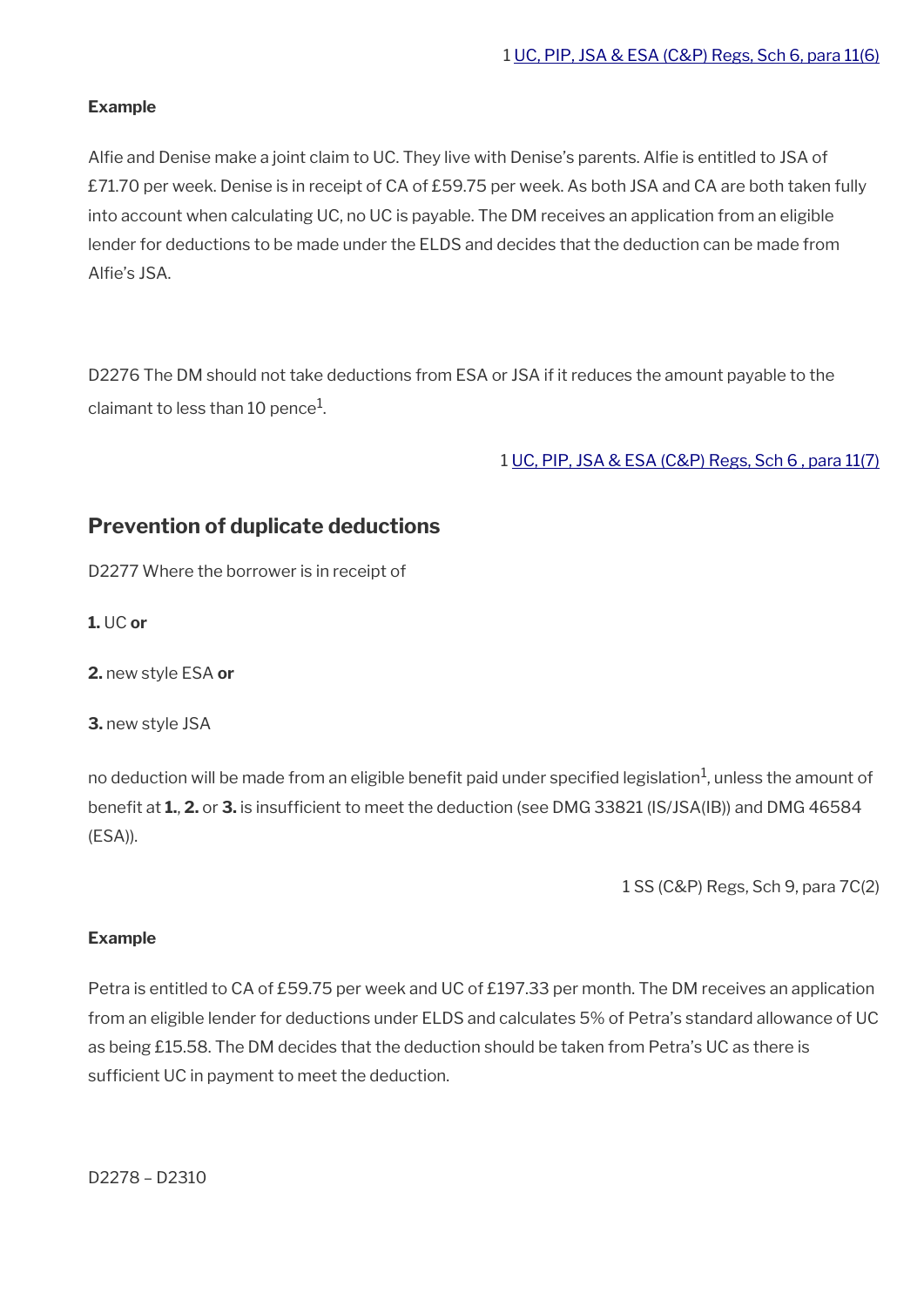#### **Example**

Alfie and Denise make a joint claim to UC. They live with Denise's parents. Alfie is entitled to JSA of £71.70 per week. Denise is in receipt of CA of £59.75 per week. As both JSA and CA are both taken fully into account when calculating UC, no UC is payable. The DM receives an application from an eligible lender for deductions to be made under the ELDS and decides that the deduction can be made from Alfie's JSA.

D2276 The DM should not take deductions from ESA or JSA if it reduces the amount payable to the claimant to less than 10 pence $^{\rm 1}$ .

1 [UC, PIP, JSA & ESA \(C&P\) Regs, Sch 6 , para 11\(7\)](https://www.legislation.gov.uk/uksi/2013/380/schedule/6)

### <span id="page-36-0"></span>**Prevention of duplicate deductions**

D2277 Where the borrower is in receipt of

**1.** UC **or**

**2.** new style ESA **or**

**3.** new style JSA

no deduction will be made from an eligible benefit paid under specified legislation $^{\rm 1}$ , unless the amount of beneft at **1.**, **2.** or **3.** is insuffcient to meet the deduction (see DMG 33821 (IS/JSA(IB)) and DMG 46584 (ESA)).

1 SS (C&P) Regs, Sch 9, para 7C(2)

#### **Example**

Petra is entitled to CA of £59.75 per week and UC of £197.33 per month. The DM receives an application from an eligible lender for deductions under ELDS and calculates 5% of Petra's standard allowance of UC as being £15.58. The DM decides that the deduction should be taken from Petra's UC as there is sufficient UC in payment to meet the deduction.

D2278 – D2310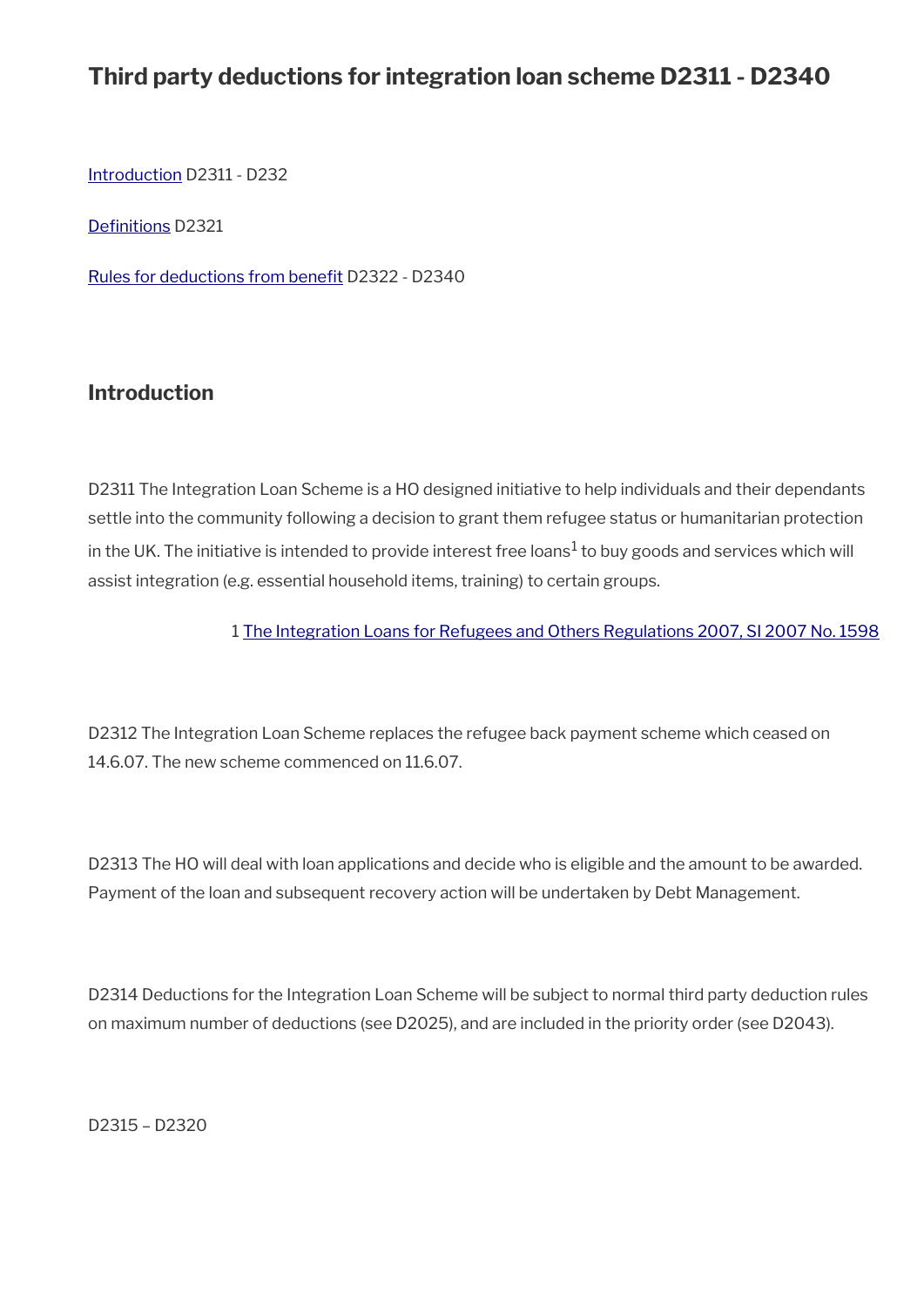# **Third party deductions for integration loan scheme D2311 - D2340**

[Introduction](#page-37-0) D2311 - D232

Definitions D2321

Rules for deductions from benefit D2322 - D2340

### <span id="page-37-0"></span>**Introduction**

D2311 The Integration Loan Scheme is a HO designed initiative to help individuals and their dependants settle into the community following a decision to grant them refugee status or humanitarian protection in the UK. The initiative is intended to provide interest free loans $^1$  to buy goods and services which will assist integration (e.g. essential household items, training) to certain groups.

1 [The Integration Loans for Refugees and Others Regulations 2007, SI 2007 No. 1598](https://www.legislation.gov.uk/uksi/2007/1598/contents/made)

D2312 The Integration Loan Scheme replaces the refugee back payment scheme which ceased on 14.6.07. The new scheme commenced on 11.6.07.

D2313 The HO will deal with loan applications and decide who is eligible and the amount to be awarded. Payment of the loan and subsequent recovery action will be undertaken by Debt Management.

D2314 Deductions for the Integration Loan Scheme will be subject to normal third party deduction rules on maximum number of deductions (see D2025), and are included in the priority order (see D2043).

D2315 – D2320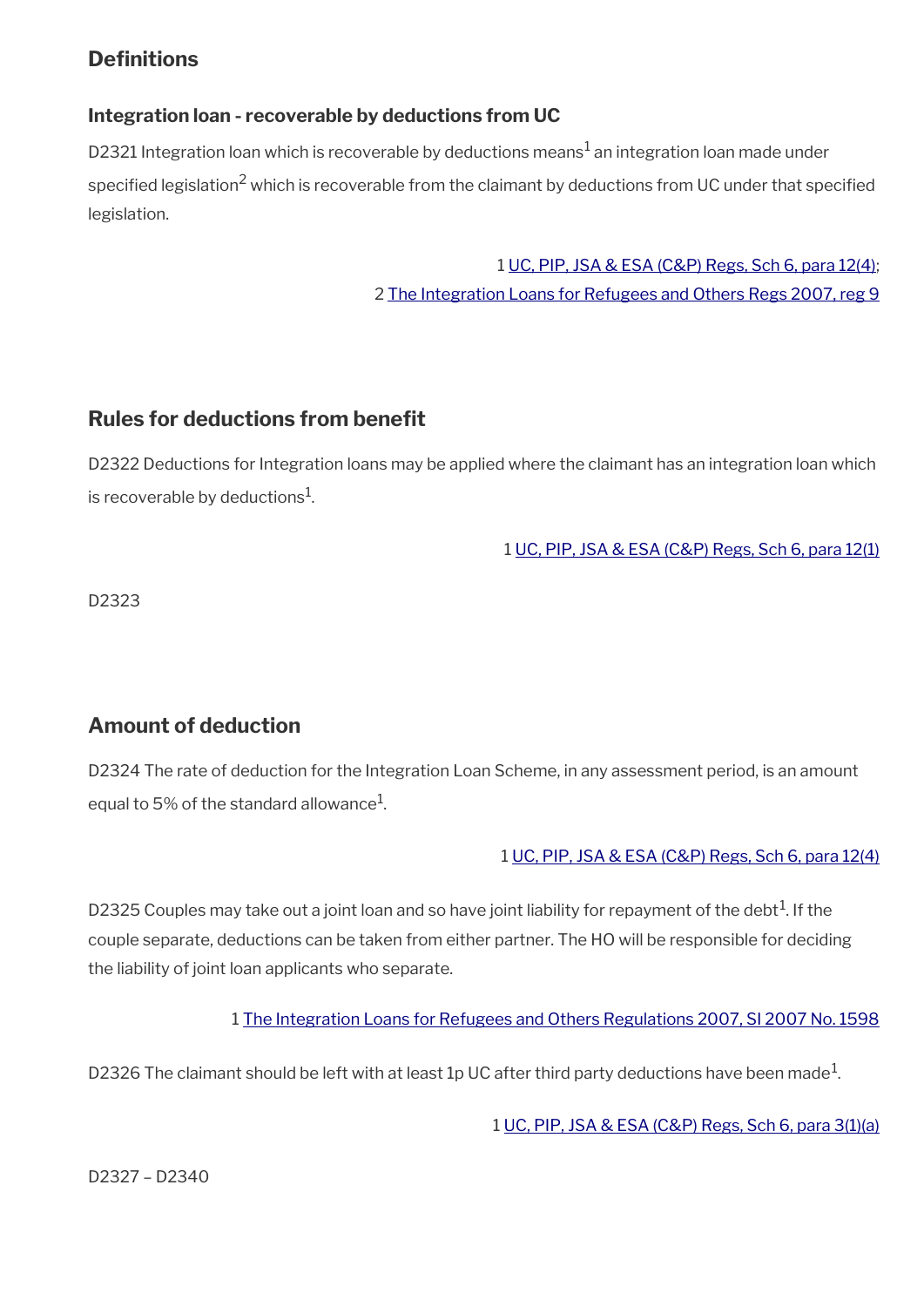### **Definitions**

### **Integration loan - recoverable by deductions from UC**

D2321 Integration loan which is recoverable by deductions means $^1$  an integration loan made under specified legislation<sup>2</sup> which is recoverable from the claimant by deductions from UC under that specified legislation.

> 1 [UC, PIP, JSA & ESA \(C&P\) Regs, Sch 6, para 12\(4\);](https://www.legislation.gov.uk/uksi/2013/380/schedule/6) 2 [The Integration Loans for Refugees and Others Regs 2007, reg 9](https://www.legislation.gov.uk/uksi/2007/1598/regulation/9/made)

### **Rules for deductions from beneft**

D2322 Deductions for Integration loans may be applied where the claimant has an integration loan which is recoverable by deductions $^{\rm 1}$ .

1 [UC, PIP, JSA & ESA \(C&P\) Regs, Sch 6, para 12\(1\)](https://www.legislation.gov.uk/uksi/2013/380/schedule/6)

D2323

## **Amount of deduction**

D2324 The rate of deduction for the Integration Loan Scheme, in any assessment period, is an amount equal to 5% of the standard allowance $^{\rm 1}$ .

#### 1 [UC, PIP, JSA & ESA \(C&P\) Regs, Sch 6, para 12\(4\)](https://www.legislation.gov.uk/uksi/2013/380/schedule/6)

D2325 Couples may take out a joint loan and so have joint liability for repayment of the debt<sup>1</sup>. If the couple separate, deductions can be taken from either partner. The HO will be responsible for deciding the liability of joint loan applicants who separate.

1 [The Integration Loans for Refugees and Others Regulations 2007, SI 2007 No. 1598](https://www.legislation.gov.uk/uksi/2007/1598/contents/made)

D2326 The claimant should be left with at least 1p UC after third party deductions have been made $^1\!$ 

1 [UC, PIP, JSA & ESA \(C&P\) Regs, Sch 6, para 3\(1\)\(a\)](https://www.legislation.gov.uk/uksi/2013/380/schedule/6)

D2327 – D2340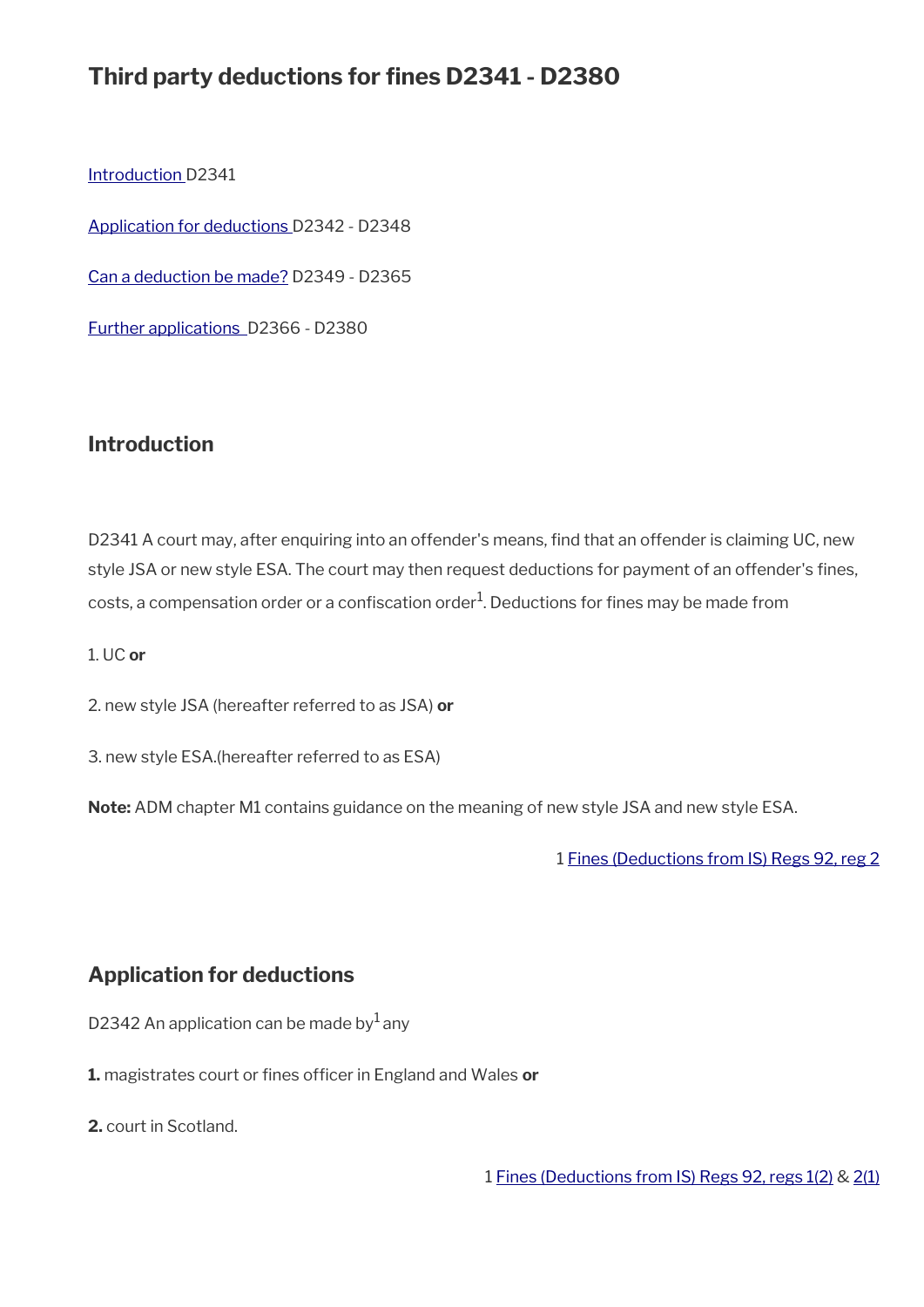# **Third party deductions for fines D2341 - D2380**

[Introduction D](#page-32-0)2341

[Application for deductions](#page-40-0) D2342 - D2348

[Can a deduction be made?](#page-42-0) D2349 - D2365

[Further applications](#page-46-0) D2366 - D2380

#### **Introduction**

D2341 A court may, after enquiring into an offender's means, find that an offender is claiming UC, new style JSA or new style ESA. The court may then request deductions for payment of an offender's fines, costs, a compensation order or a confiscation order $^1$ . Deductions for fines may be made from

1. UC **or**

2. new style JSA (hereafter referred to as JSA) **or**

3. new style ESA.(hereafter referred to as ESA)

**Note:** ADM chapter M1 contains guidance on the meaning of new style JSA and new style ESA.

1 [Fines \(Deductions from IS\) Regs 92, reg 2](https://www.legislation.gov.uk/uksi/1992/2182/regulation/2)

### <span id="page-40-0"></span>**Application for deductions**

D2342 An application can be made by  $1$  any

1. magistrates court or fines officer in England and Wales or

**2.** court in Scotland.

1 [Fines \(Deductions from IS\) Regs 92, regs 1\(2\)](https://www.legislation.gov.uk/uksi/1992/2182/regulation/1) & [2\(1\)](https://www.legislation.gov.uk/uksi/1992/2182/regulation/2)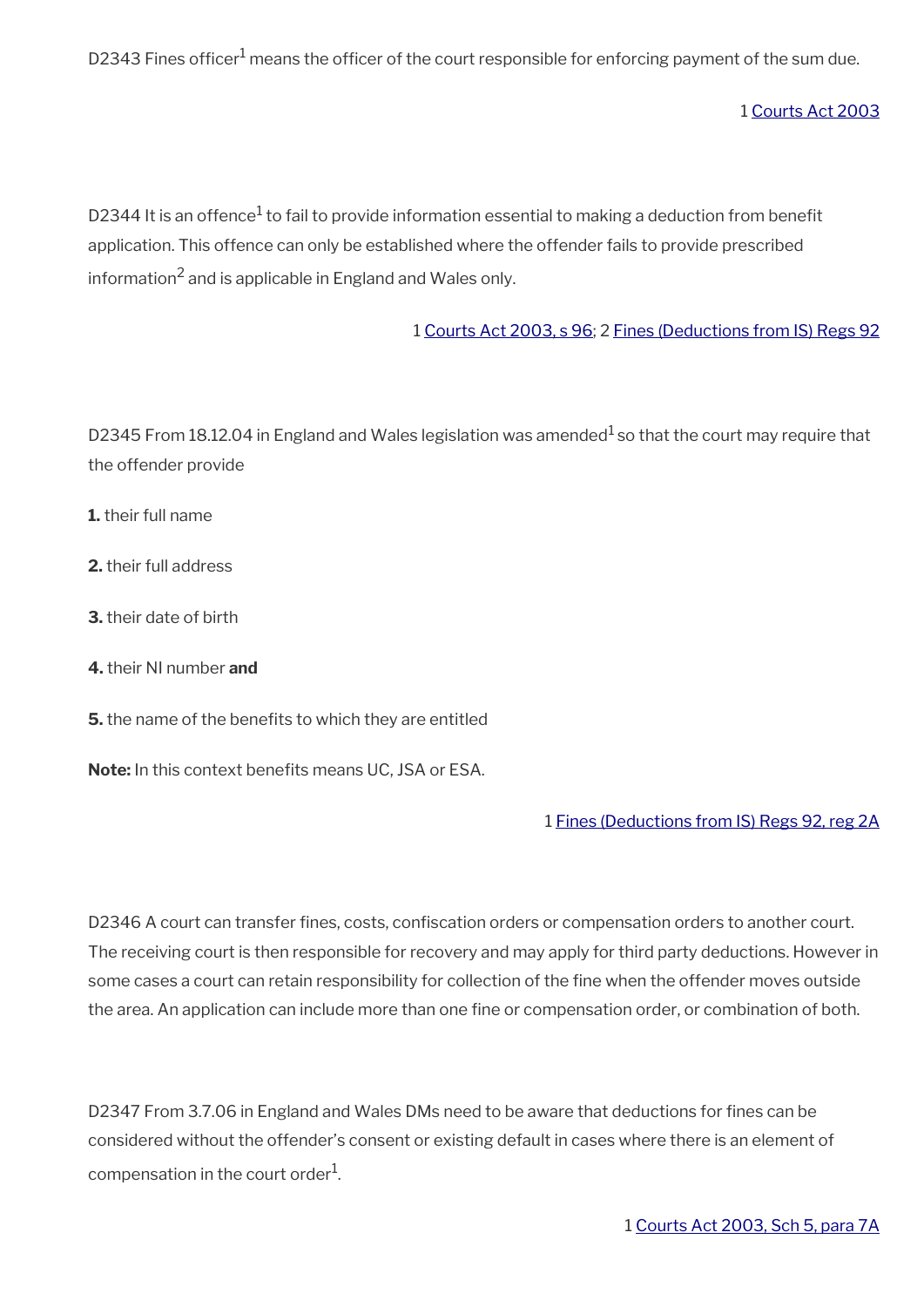D2343 Fines officer<sup>1</sup> means the officer of the court responsible for enforcing payment of the sum due.

1 [Courts Act 2003](https://www.legislation.gov.uk/ukpga/2003/39/contents)

D2344 It is an offence $^1$  to fail to provide information essential to making a deduction from benefit application. This offence can only be established where the offender fails to provide prescribed information $^2$  and is applicable in England and Wales only.

1 [Courts Act 2003, s 96](https://www.legislation.gov.uk/ukpga/2003/39/section/96); 2 [Fines \(Deductions from IS\) Regs 92](https://www.legislation.gov.uk/uksi/1992/2182/contents)

D2345 From 18.12.04 in England and Wales legislation was amended<sup>1</sup> so that the court may require that the offender provide

- **1.** their full name
- **2.** their full address
- **3.** their date of birth
- **4.** their NI number **and**
- **5.** the name of the benefits to which they are entitled

Note: In this context benefits means UC, JSA or ESA.

#### 1 [Fines \(Deductions from IS\) Regs 92, reg 2A](https://www.legislation.gov.uk/uksi/1992/2182/regulation/2A)

D2346 A court can transfer fines, costs, confiscation orders or compensation orders to another court. The receiving court is then responsible for recovery and may apply for third party deductions. However in some cases a court can retain responsibility for collection of the fine when the offender moves outside the area. An application can include more than one fine or compensation order, or combination of both.

D2347 From 3.7.06 in England and Wales DMs need to be aware that deductions for fines can be considered without the offender's consent or existing default in cases where there is an element of compensation in the court order $^1\!\!$ .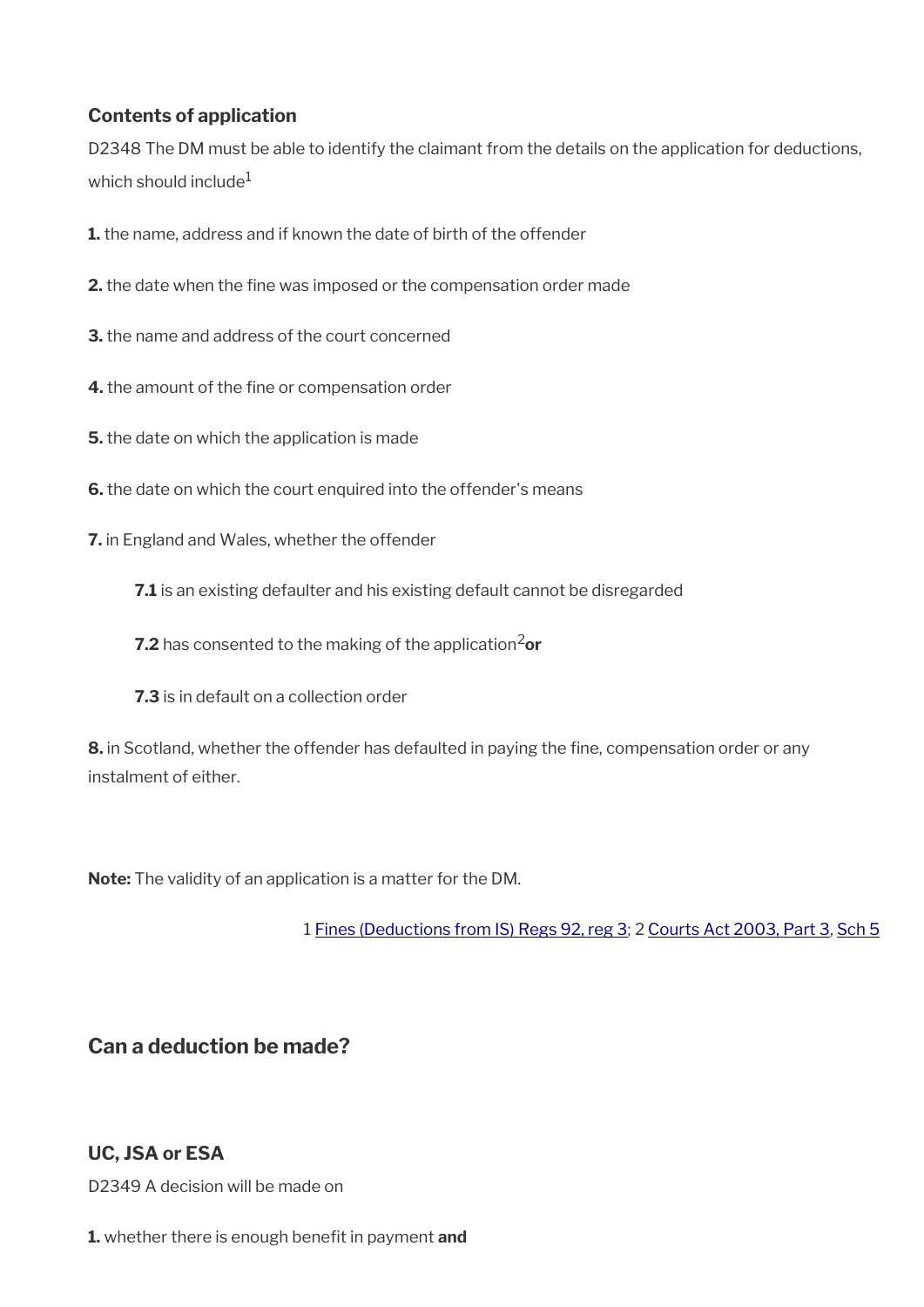### **Contents of application**

D2348 The DM must be able to identify the claimant from the details on the application for deductions, which should include $1$ 

- **1.** the name, address and if known the date of birth of the offender
- **2.** the date when the fine was imposed or the compensation order made
- **3.** the name and address of the court concerned
- **4.** the amount of the fine or compensation order
- **5.** the date on which the application is made
- **6.** the date on which the court enquired into the offender's means
- **7.** in England and Wales, whether the offender
	- **7.1** is an existing defaulter and his existing default cannot be disregarded
	- **7.2** has consented to the making of the application<sup>2</sup>or
	- **7.3** is in default on a collection order

**8.** in Scotland, whether the offender has defaulted in paying the fine, compensation order or any instalment of either.

**Note:** The validity of an application is a matter for the DM.

1 [Fines \(Deductions from IS\) Regs 92, reg 3](https://www.legislation.gov.uk/uksi/1992/2182/regulation/3); 2 [Courts Act 2003, Part 3,](https://www.legislation.gov.uk/ukpga/2003/39/part/3) [Sch 5](https://www.legislation.gov.uk/ukpga/2003/39/schedule/5)

<span id="page-42-0"></span>**Can a deduction be made?**

### **UC, JSA or ESA**

D2349 A decision will be made on

**1.** whether there is enough benefit in payment and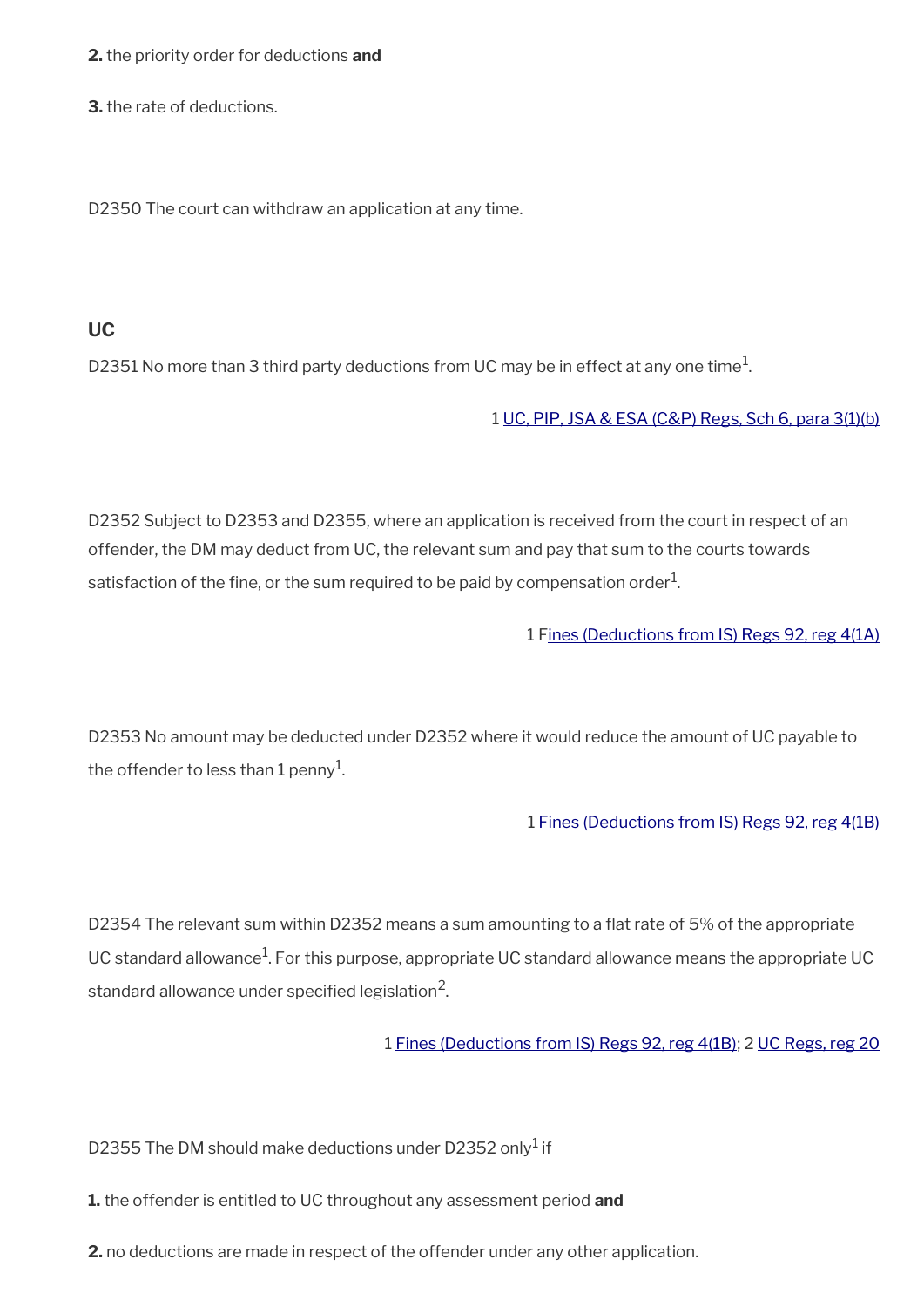**2.** the priority order for deductions **and** 

**3.** the rate of deductions.

D2350 The court can withdraw an application at any time.

#### **UC**

D2351 No more than 3 third party deductions from UC may be in effect at any one time $^1\!$ 

#### 1 [UC, PIP, JSA & ESA \(C&P\) Regs, Sch 6, para 3\(1\)\(b\)](https://www.legislation.gov.uk/uksi/2013/376/schedule/6)

D2352 Subject to D2353 and D2355, where an application is received from the court in respect of an offender, the DM may deduct from UC, the relevant sum and pay that sum to the courts towards satisfaction of the fine, or the sum required to be paid by compensation order $^1$ .

1 [Fines \(Deductions from IS\) Regs 92, reg 4\(1A\)](https://www.legislation.gov.uk/uksi/1992/2182/regulation/4)

D2353 No amount may be deducted under D2352 where it would reduce the amount of UC payable to the offender to less than 1 penny $^{\rm 1}$ .

1 [Fines \(Deductions from IS\) Regs 92, reg 4\(1B\)](https://www.legislation.gov.uk/uksi/1992/2182/regulation/4)

D2354 The relevant sum within D2352 means a sum amounting to a flat rate of 5% of the appropriate UC standard allowance<sup>1</sup>. For this purpose, appropriate UC standard allowance means the appropriate UC standard allowance under specified legislation $^2\!$ 

1 [Fines \(Deductions from IS\) Regs 92, reg 4\(1B\)](https://www.legislation.gov.uk/uksi/1992/2182/regulation/4); 2 [UC Regs, reg 20](https://www.legislation.gov.uk/uksi/2013/376/regulation/20)

D2355 The DM should make deductions under D2352 only $^1$  if

**1.** the offender is entitled to UC throughout any assessment period **and**

**2.** no deductions are made in respect of the offender under any other application.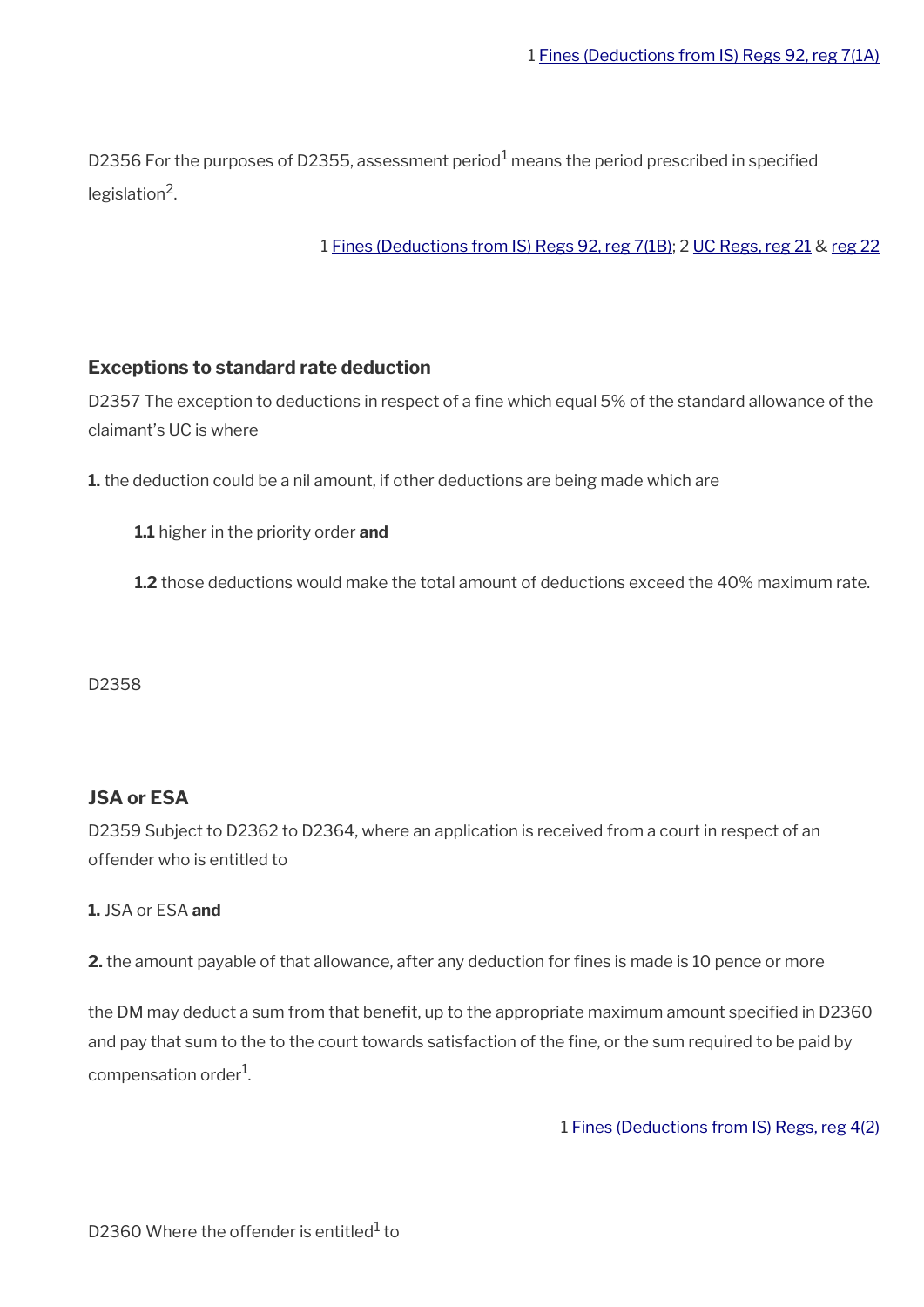D2356 For the purposes of D2355, assessment period $^{\rm 1}$  means the period prescribed in specified legislation<sup>2</sup>.

1 [Fines \(Deductions from IS\) Regs 92, reg 7\(1B\)](https://www.legislation.gov.uk/uksi/1992/2182/regulation/7); 2 [UC Regs, reg 21](https://www.legislation.gov.uk/uksi/2013/376/regulation/21) & [reg 22](https://www.legislation.gov.uk/uksi/2013/376/regulation/22)

#### **Exceptions to standard rate deduction**

D2357 The exception to deductions in respect of a fine which equal 5% of the standard allowance of the claimant's UC is where

**1.** the deduction could be a nil amount, if other deductions are being made which are

**1.1** higher in the priority order **and**

**1.2** those deductions would make the total amount of deductions exceed the 40% maximum rate.

D2358

#### **JSA or ESA**

D2359 Subject to D2362 to D2364, where an application is received from a court in respect of an offender who is entitled to

#### **1.** JSA or ESA **and**

**2.** the amount payable of that allowance, after any deduction for fines is made is 10 pence or more

the DM may deduct a sum from that benefit, up to the appropriate maximum amount specified in D2360 and pay that sum to the to the court towards satisfaction of the fine, or the sum required to be paid by compensation order<sup>1</sup>.

1 [Fines \(Deductions from IS\) Regs, reg 4\(2\)](https://www.legislation.gov.uk/uksi/1992/2182/regulation/4)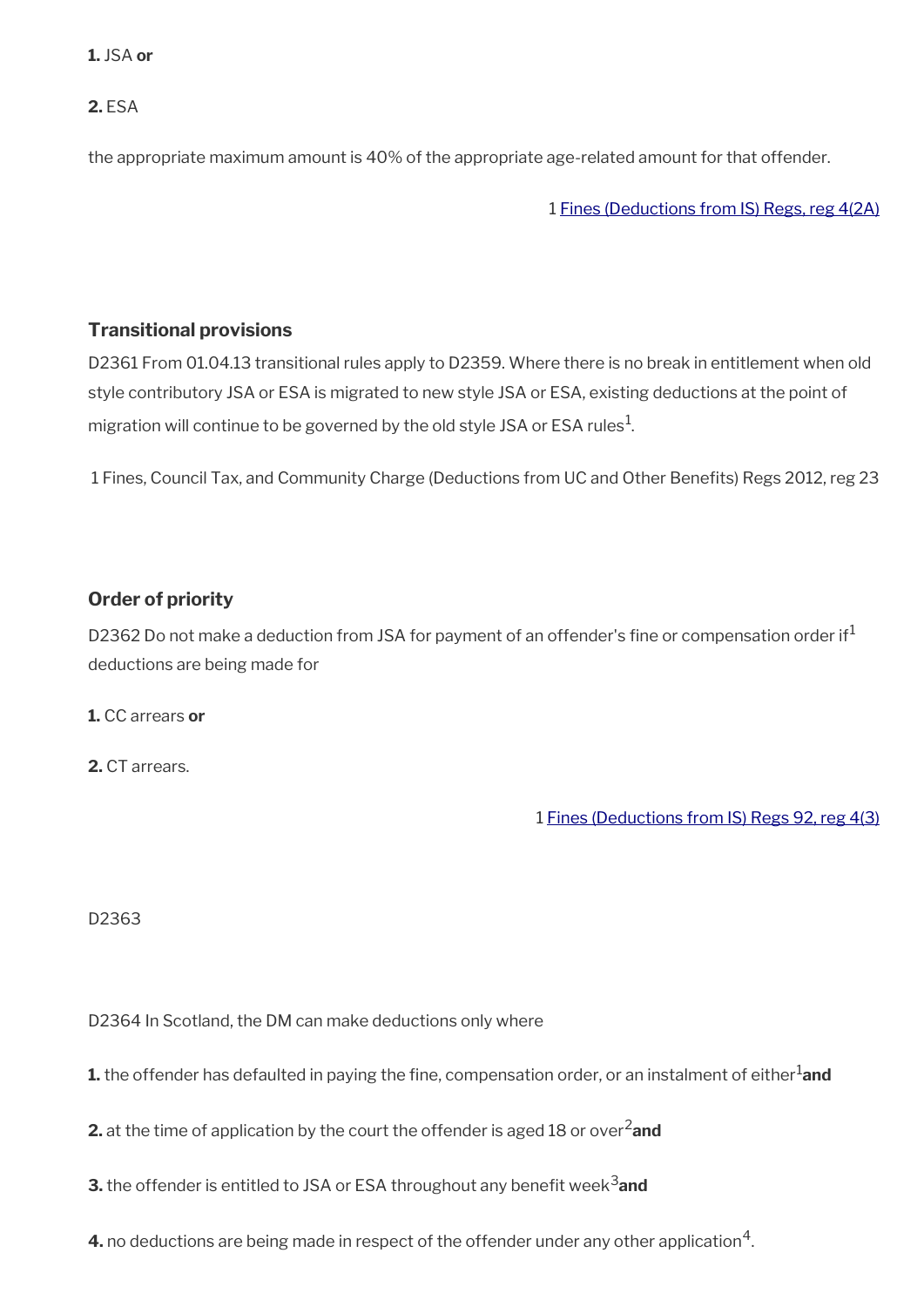#### **1.** JSA **or**

**2.** ESA

the appropriate maximum amount is 40% of the appropriate age-related amount for that offender.

1 [Fines \(Deductions from IS\) Regs, reg 4\(2A\)](https://www.legislation.gov.uk/uksi/1992/2182/regulation/4)

#### **Transitional provisions**

D2361 From 01.04.13 transitional rules apply to D2359. Where there is no break in entitlement when old style contributory JSA or ESA is migrated to new style JSA or ESA, existing deductions at the point of migration will continue to be governed by the old style JSA or ESA rules $^1\!$ 

1 Fines, Council Tax, and Community Charge (Deductions from UC and Other Benefts) Regs 2012, reg 23

### **Order of priority**

D2362 Do not make a deduction from JSA for payment of an offender's fine or compensation order if<sup>1</sup> deductions are being made for

**1.** CC arrears **or**

**2.** CT arrears.

1 [Fines \(Deductions from IS\) Regs 92, reg 4\(3\)](https://www.legislation.gov.uk/uksi/1992/2182/regulation/4)

D2363

D2364 In Scotland, the DM can make deductions only where

**1.** the offender has defaulted in paying the fine, compensation order, or an instalment of either<sup>1</sup>and

**2.** at the time of application by the court the offender is aged 18 or over<sup>2</sup>and

**3.** the offender is entitled to JSA or ESA throughout any benefit week<sup>3</sup>and

**4.** no deductions are being made in respect of the offender under any other application $^4$ .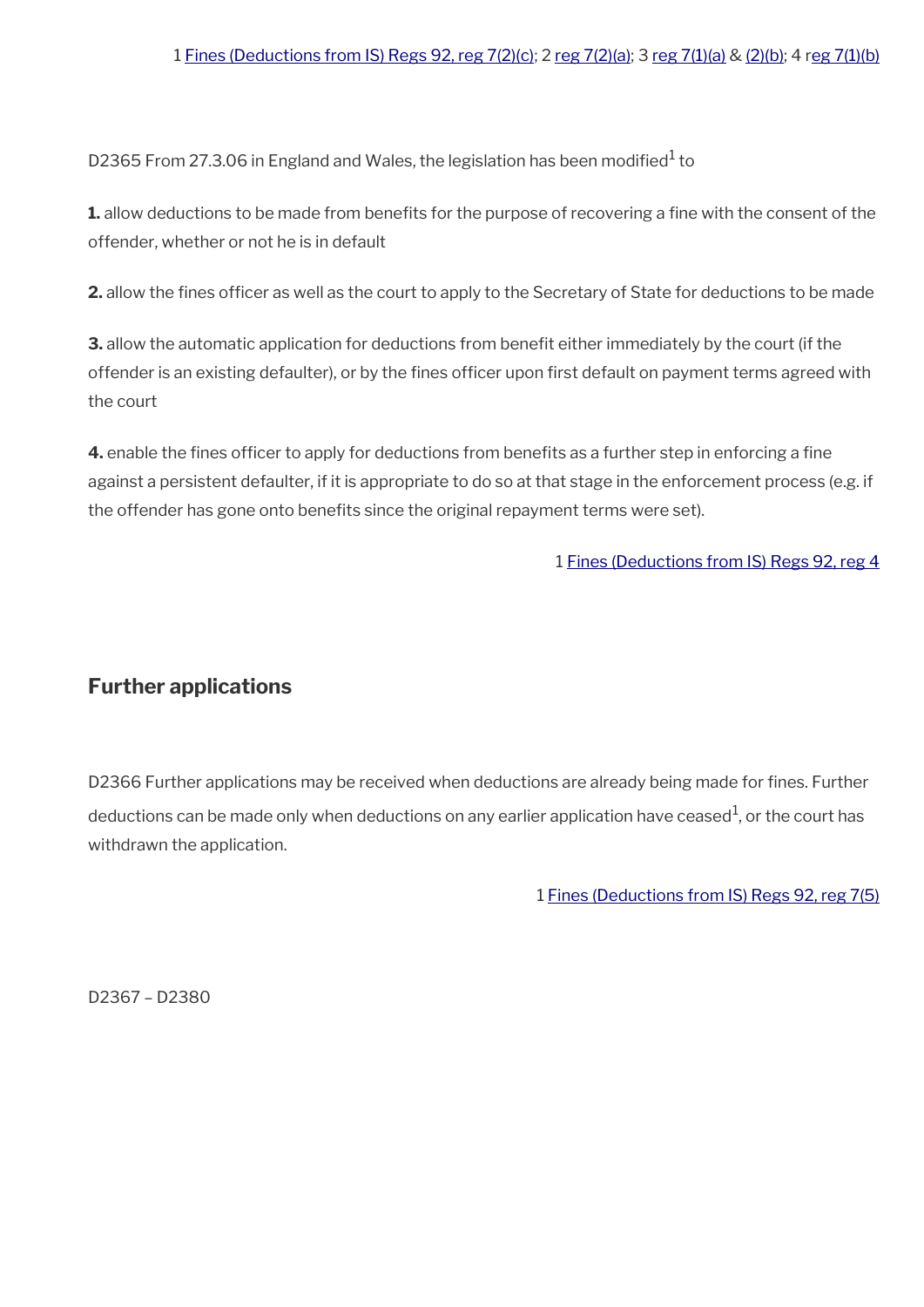D2365 From 27.3.06 in England and Wales, the legislation has been modified $^{\rm 1}$  to

**1.** allow deductions to be made from benefits for the purpose of recovering a fine with the consent of the offender, whether or not he is in default

**2.** allow the fines officer as well as the court to apply to the Secretary of State for deductions to be made

**3.** allow the automatic application for deductions from benefit either immediately by the court (if the offender is an existing defaulter), or by the fines officer upon first default on payment terms agreed with the court

**4.** enable the fines officer to apply for deductions from benefits as a further step in enforcing a fine against a persistent defaulter, if it is appropriate to do so at that stage in the enforcement process (e.g. if the offender has gone onto benefts since the original repayment terms were set).

#### 1 [Fines \(Deductions from IS\) Regs 92, reg 4](https://www.legislation.gov.uk/uksi/1992/2182/regulation/4)

### <span id="page-46-0"></span>**Further applications**

D2366 Further applications may be received when deductions are already being made for fines. Further deductions can be made only when deductions on any earlier application have ceased $^{\rm 1}$ , or the court has withdrawn the application.

1 [Fines \(Deductions from IS\) Regs 92, reg 7\(5\)](https://www.legislation.gov.uk/uksi/1992/2182/regulation/7)

D2367 – D2380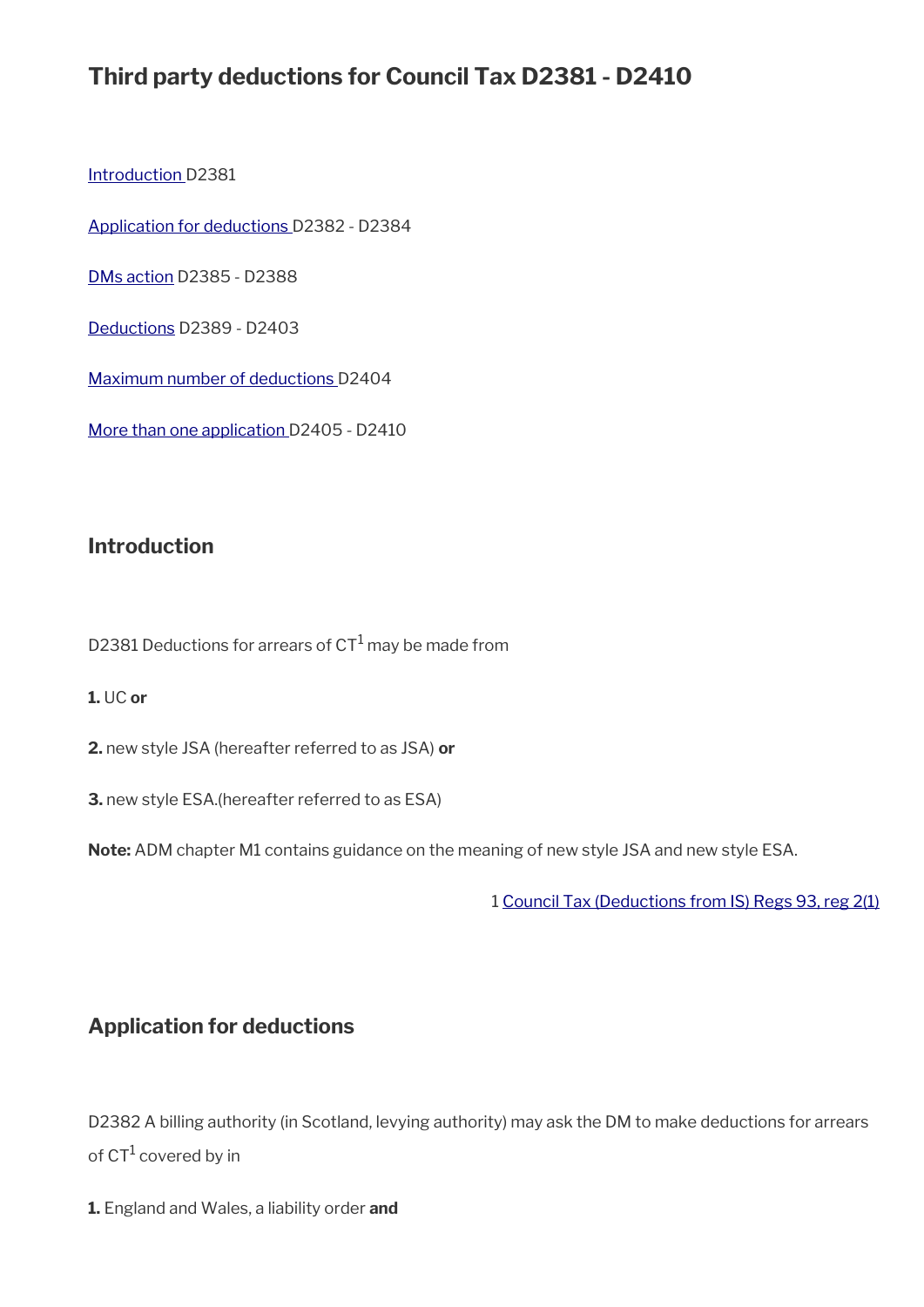# **Third party deductions for Council Tax D2381 - D2410**

[Introduction D](#page-37-0)2381

[Application for deductions](#page-47-0) D2382 - D2384

[DMs action](#page-48-0) D2385 - D2388

[Deductions](#page-49-0) D2389 - D2403

[Maximum number of deductions D](#page-52-1)2404

[More than one application](#page-52-0) D2405 - D2410

#### **Introduction**

D2381 Deductions for arrears of CT $^1$  may be made from

#### **1.** UC **or**

**2.** new style JSA (hereafter referred to as JSA) **or**

**3.** new style ESA.(hereafter referred to as ESA)

**Note:** ADM chapter M1 contains guidance on the meaning of new style JSA and new style ESA.

1 [Council Tax \(Deductions from IS\) Regs 93, reg 2\(1\)](https://www.legislation.gov.uk/ukpga/1998/14/section/2)

#### <span id="page-47-0"></span>**Application for deductions**

D2382 A billing authority (in Scotland, levying authority) may ask the DM to make deductions for arrears of CT<sup>1</sup> covered by in

**1.** England and Wales, a liability order **and**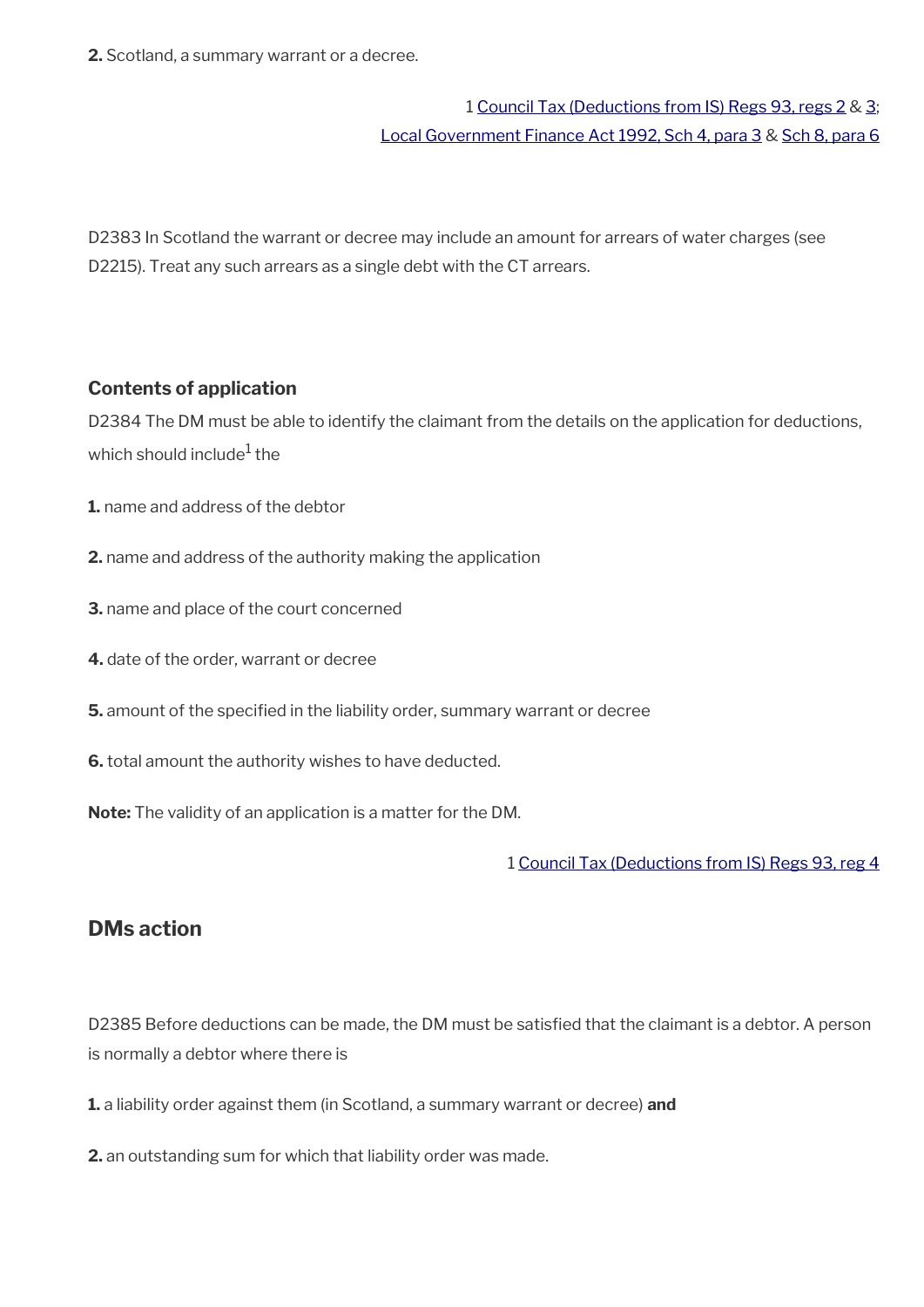**2.** Scotland, a summary warrant or a decree.

## 1 [Council Tax \(Deductions from IS\) Regs 93, regs 2](https://www.legislation.gov.uk/uksi/1993/494/regulation/2) & [3;](https://www.legislation.gov.uk/uksi/1993/494/regulation/3) [Local Government Finance Act 1992, Sch 4, para 3](https://www.legislation.gov.uk/ukpga/1992/14/schedule/4) & [Sch 8, para 6](https://www.legislation.gov.uk/ukpga/1992/14/schedule/8)

D2383 In Scotland the warrant or decree may include an amount for arrears of water charges (see D2215). Treat any such arrears as a single debt with the CT arrears.

#### **Contents of application**

D2384 The DM must be able to identify the claimant from the details on the application for deductions, which should include $^{\rm 1}$  the

- **1.** name and address of the debtor
- **2.** name and address of the authority making the application
- **3.** name and place of the court concerned
- **4.** date of the order, warrant or decree
- **5.** amount of the specified in the liability order, summary warrant or decree
- **6.** total amount the authority wishes to have deducted.

**Note:** The validity of an application is a matter for the DM.

1 [Council Tax \(Deductions from IS\) Regs 93, reg 4](https://www.legislation.gov.uk/uksi/1993/494/regulation/4)

### <span id="page-48-0"></span>**DMs action**

D2385 Before deductions can be made, the DM must be satisfied that the claimant is a debtor. A person is normally a debtor where there is

- **1.** a liability order against them (in Scotland, a summary warrant or decree) **and**
- **2.** an outstanding sum for which that liability order was made.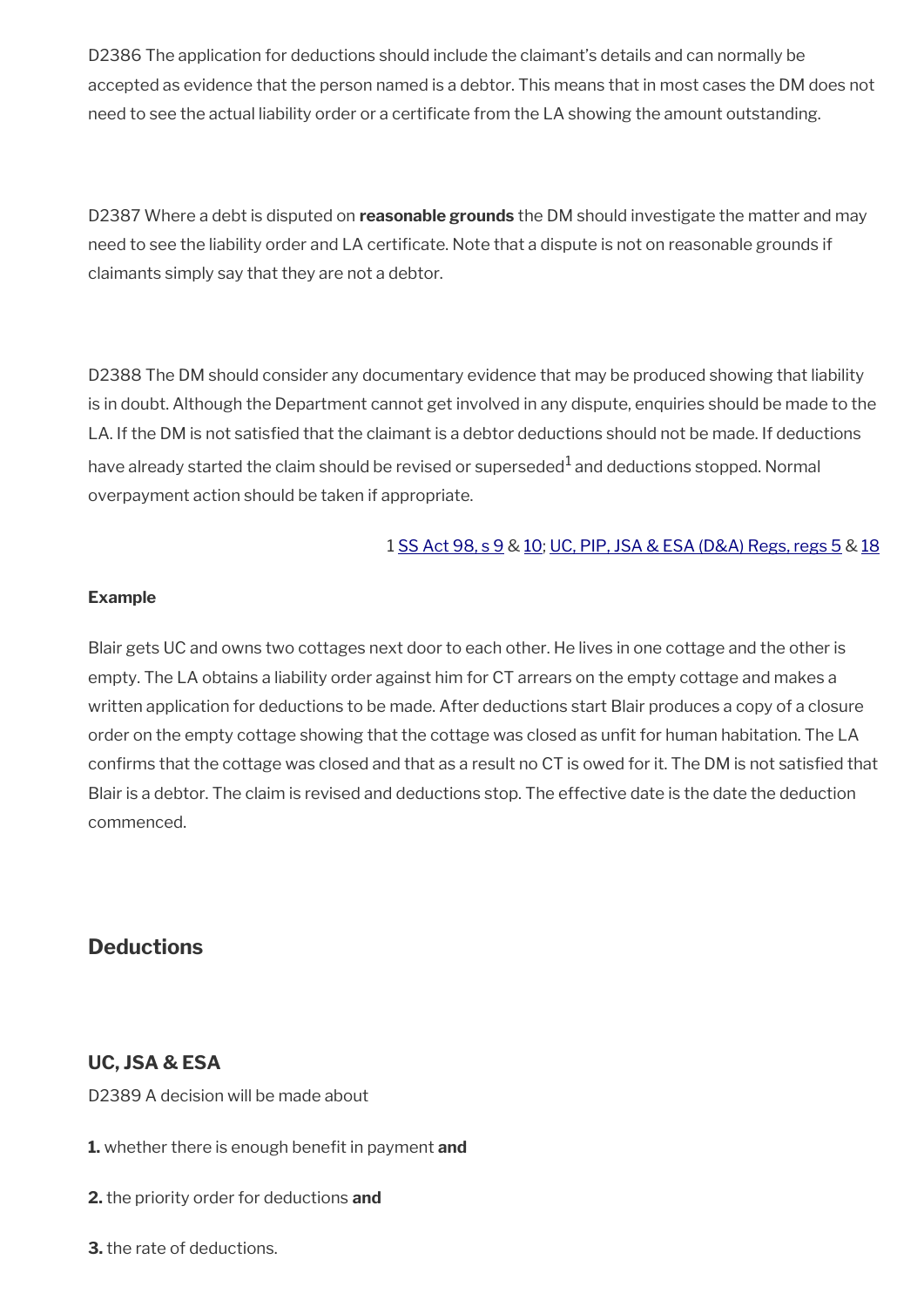D2386 The application for deductions should include the claimant's details and can normally be accepted as evidence that the person named is a debtor. This means that in most cases the DM does not need to see the actual liability order or a certificate from the LA showing the amount outstanding.

D2387 Where a debt is disputed on **reasonable grounds** the DM should investigate the matter and may need to see the liability order and LA certifcate. Note that a dispute is not on reasonable grounds if claimants simply say that they are not a debtor.

D2388 The DM should consider any documentary evidence that may be produced showing that liability is in doubt. Although the Department cannot get involved in any dispute, enquiries should be made to the LA. If the DM is not satisfied that the claimant is a debtor deductions should not be made. If deductions have already started the claim should be revised or superseded $^1$  and deductions stopped. Normal overpayment action should be taken if appropriate.

#### 1 [SS Act 98, s 9](https://www.legislation.gov.uk/ukpga/1998/14/section/9) & [10;](https://www.legislation.gov.uk/ukpga/1998/14/section/10) [UC, PIP, JSA & ESA \(D&A\) Regs, regs 5](https://www.legislation.gov.uk/uksi/2013/381/regulation/5) & [18](https://www.legislation.gov.uk/uksi/2013/381/regulation/18)

#### **Example**

Blair gets UC and owns two cottages next door to each other. He lives in one cottage and the other is empty. The LA obtains a liability order against him for CT arrears on the empty cottage and makes a written application for deductions to be made. After deductions start Blair produces a copy of a closure order on the empty cottage showing that the cottage was closed as unft for human habitation. The LA confrms that the cottage was closed and that as a result no CT is owed for it. The DM is not satisfed that Blair is a debtor. The claim is revised and deductions stop. The effective date is the date the deduction commenced.

### <span id="page-49-0"></span>**Deductions**

#### **UC, JSA & ESA**

D2389 A decision will be made about

- **1.** whether there is enough beneft in payment **and**
- **2.** the priority order for deductions **and**
- **3.** the rate of deductions.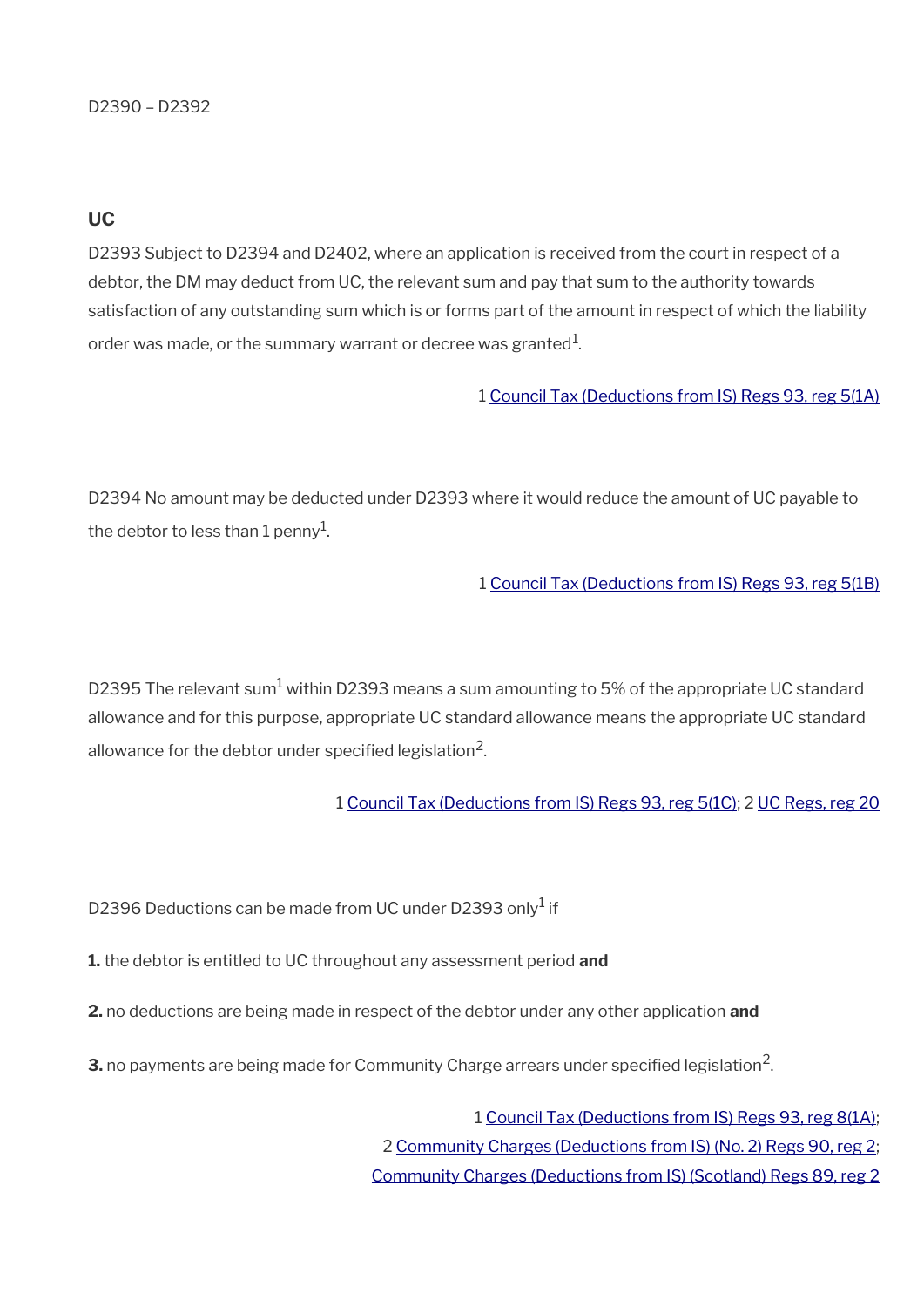#### **UC**

D2393 Subject to D2394 and D2402, where an application is received from the court in respect of a debtor, the DM may deduct from UC, the relevant sum and pay that sum to the authority towards satisfaction of any outstanding sum which is or forms part of the amount in respect of which the liability order was made, or the summary warrant or decree was granted $^{\rm 1}$ .

#### 1 [Council Tax \(Deductions from IS\) Regs 93, reg 5\(1A\)](https://www.legislation.gov.uk/uksi/1993/494/regulation/5)

D2394 No amount may be deducted under D2393 where it would reduce the amount of UC payable to the debtor to less than 1 penny $^{\rm 1}$ .

#### 1 [Council Tax \(Deductions from IS\) Regs 93, reg 5\(1B\)](https://www.legislation.gov.uk/uksi/1993/494/regulation/5)

D2395 The relevant sum $^{\rm 1}$  within D2393 means a sum amounting to 5% of the appropriate UC standard allowance and for this purpose, appropriate UC standard allowance means the appropriate UC standard allowance for the debtor under specified legislation $^2$ .

1 [Council Tax \(Deductions from IS\) Regs 93, reg 5\(1C\)](https://www.legislation.gov.uk/uksi/1993/494/regulation/5); 2 [UC Regs, reg 20](https://www.legislation.gov.uk/uksi/2013/376/regulation/20)

D2396 Deductions can be made from UC under D2393 only<sup>1</sup> if

- **1.** the debtor is entitled to UC throughout any assessment period **and**
- **2.** no deductions are being made in respect of the debtor under any other application **and**
- $\mathbf 3$ . no payments are being made for Community Charge arrears under specified legislation<sup>2</sup>.

1 [Council Tax \(Deductions from IS\) Regs 93, reg 8\(1A\);](https://www.legislation.gov.uk/uksi/1993/494/regulation/8) 2 [Community Charges \(Deductions from IS\) \(No. 2\) Regs 90, reg 2;](https://www.legislation.gov.uk/uksi/1990/545/regulation/2) [Community Charges \(Deductions from IS\) \(Scotland\) Regs 89, reg 2](https://www.legislation.gov.uk/uksi/1989/507/regulation/2)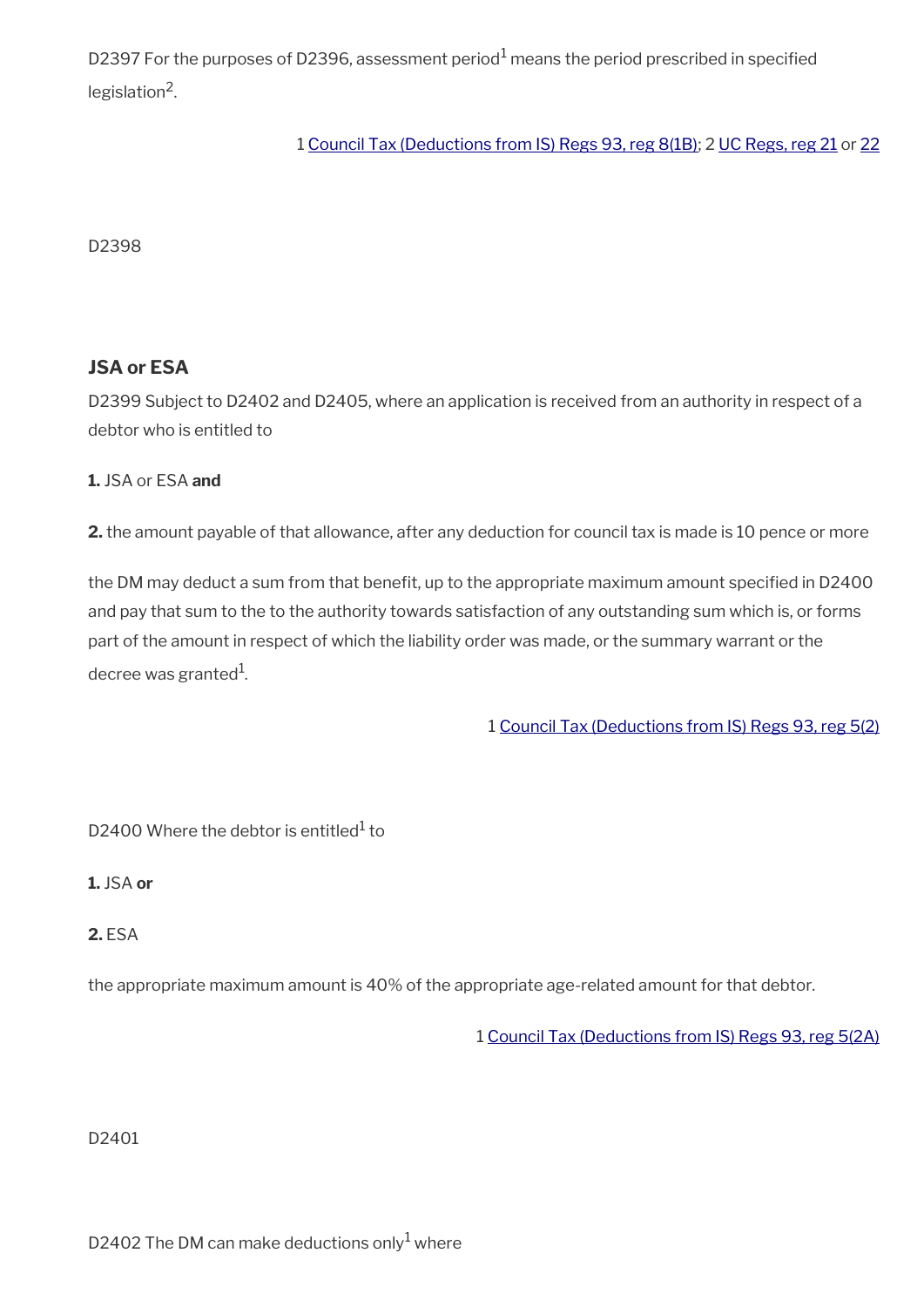D2397 For the purposes of D2396, assessment period $^{\rm 1}$  means the period prescribed in specified legislation<sup>2</sup>.

#### 1 [Council Tax \(Deductions from IS\) Regs 93, reg 8\(1B\);](https://www.legislation.gov.uk/uksi/1993/494/regulation/8) 2 [UC Regs, reg 21](https://www.legislation.gov.uk/uksi/2013/376/regulation/21) or [22](https://www.legislation.gov.uk/uksi/2013/376/regulation/22)

D2398

#### **JSA or ESA**

D2399 Subject to D2402 and D2405, where an application is received from an authority in respect of a debtor who is entitled to

#### **1.** JSA or ESA **and**

**2.** the amount payable of that allowance, after any deduction for council tax is made is 10 pence or more

the DM may deduct a sum from that benefit, up to the appropriate maximum amount specified in D2400 and pay that sum to the to the authority towards satisfaction of any outstanding sum which is, or forms part of the amount in respect of which the liability order was made, or the summary warrant or the decree was granted $^1$ .

1 [Council Tax \(Deductions from IS\) Regs 93, reg 5\(2\)](https://www.legislation.gov.uk/uksi/1993/494/regulation/5)

D2400 Where the debtor is entitled $^{\rm 1}$  to

**1.** JSA **or**

**2.** ESA

the appropriate maximum amount is 40% of the appropriate age-related amount for that debtor.

1 [Council Tax \(Deductions from IS\) Regs 93, reg 5\(2A\)](https://www.legislation.gov.uk/uksi/1993/494/regulation/5)

D2401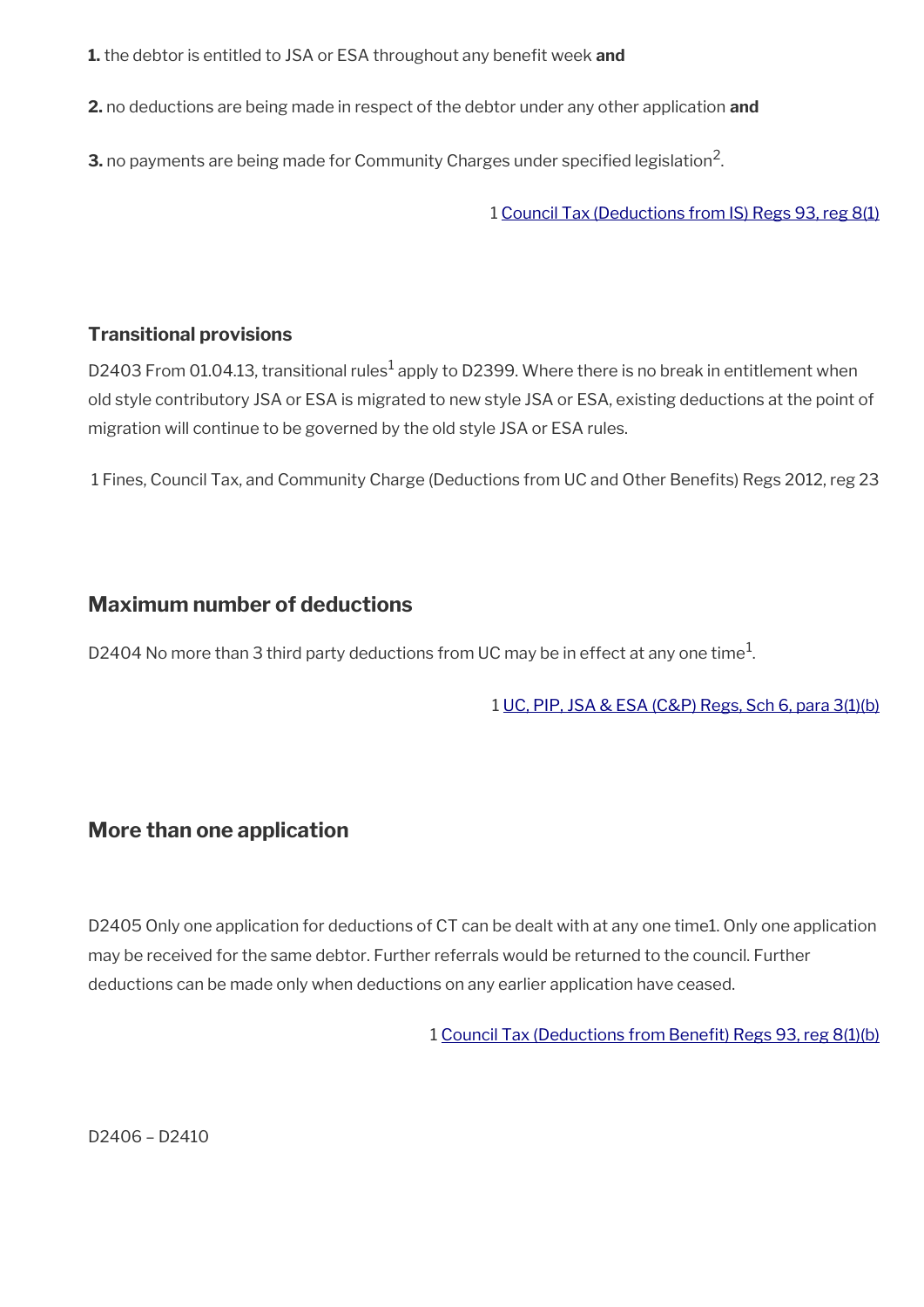**1.** the debtor is entitled to JSA or ESA throughout any benefit week and

**2.** no deductions are being made in respect of the debtor under any other application **and**

 ${\bf 3}.$  no payments are being made for Community Charges under specified legislation<sup>2</sup>.

1 [Council Tax \(Deductions from IS\) Regs 93, reg 8\(1\)](https://www.legislation.gov.uk/uksi/1993/494/regulation/8)

#### **Transitional provisions**

D2403 From 01.04.13, transitional rules $^1$  apply to D2399. Where there is no break in entitlement when old style contributory JSA or ESA is migrated to new style JSA or ESA, existing deductions at the point of migration will continue to be governed by the old style JSA or ESA rules.

1 Fines, Council Tax, and Community Charge (Deductions from UC and Other Benefts) Regs 2012, reg 23

### <span id="page-52-1"></span>**Maximum number of deductions**

D2404 No more than 3 third party deductions from UC may be in effect at any one time $^1\!$ 

1 [UC, PIP, JSA & ESA \(C&P\) Regs, Sch 6, para 3\(1\)\(b\)](https://www.legislation.gov.uk/nisr/2016/220/regulation/3)

### <span id="page-52-0"></span>**More than one application**

D2405 Only one application for deductions of CT can be dealt with at any one time1. Only one application may be received for the same debtor. Further referrals would be returned to the council. Further deductions can be made only when deductions on any earlier application have ceased.

1 [Council Tax \(Deductions from Beneft\) Regs 93, reg 8\(1\)\(b\)](https://www.legislation.gov.uk/uksi/1993/494/regulation/8)

D2406 – D2410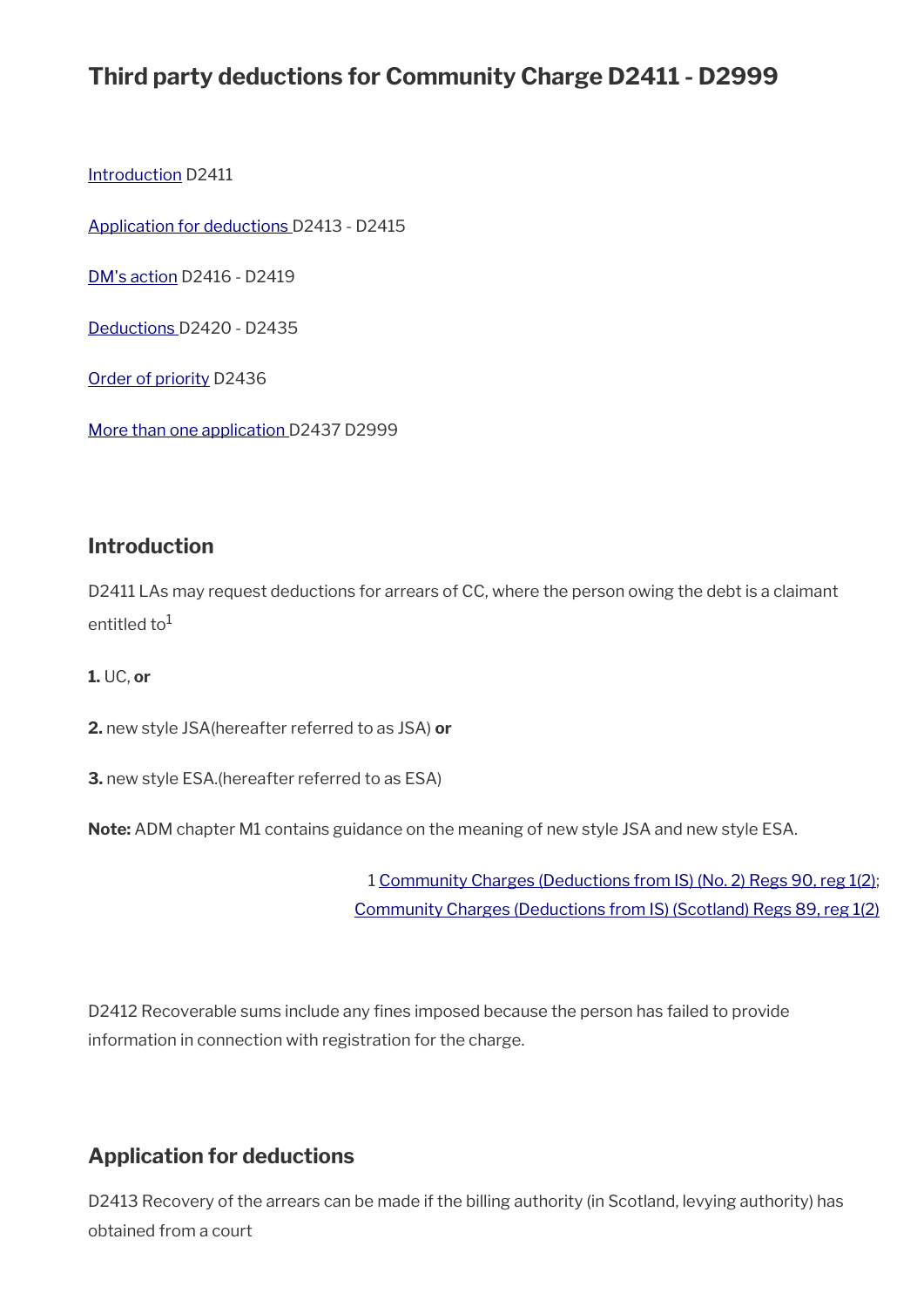# **Third party deductions for Community Charge D2411 - D2999**

[Introduction](#page-32-0) D2411

[Application for deductions](#page-53-0) D2413 - D2415

[DM's action](#page-54-0) D2416 - D2419

[Deductions](#page-49-0) D2420 - D2435

[Order of priority](#page-58-0) D2436

[More than one application](#page-52-0) D2437 D2999

#### **Introduction**

D2411 LAs may request deductions for arrears of CC, where the person owing the debt is a claimant entitled to $1$ 

**1.** UC, **or**

**2.** new style JSA(hereafter referred to as JSA) **or**

**3.** new style ESA.(hereafter referred to as ESA)

**Note:** ADM chapter M1 contains guidance on the meaning of new style JSA and new style ESA.

1 [Community Charges \(Deductions from IS\) \(No. 2\) Regs 90, reg 1\(2\);](https://www.legislation.gov.uk/uksi/1990/545/regulation/1) [Community Charges \(Deductions from IS\) \(Scotland\) Regs 89, reg 1\(2\)](https://www.legislation.gov.uk/uksi/1989/507/regulation/1)

D2412 Recoverable sums include any fines imposed because the person has failed to provide information in connection with registration for the charge.

### <span id="page-53-0"></span>**Application for deductions**

D2413 Recovery of the arrears can be made if the billing authority (in Scotland, levying authority) has obtained from a court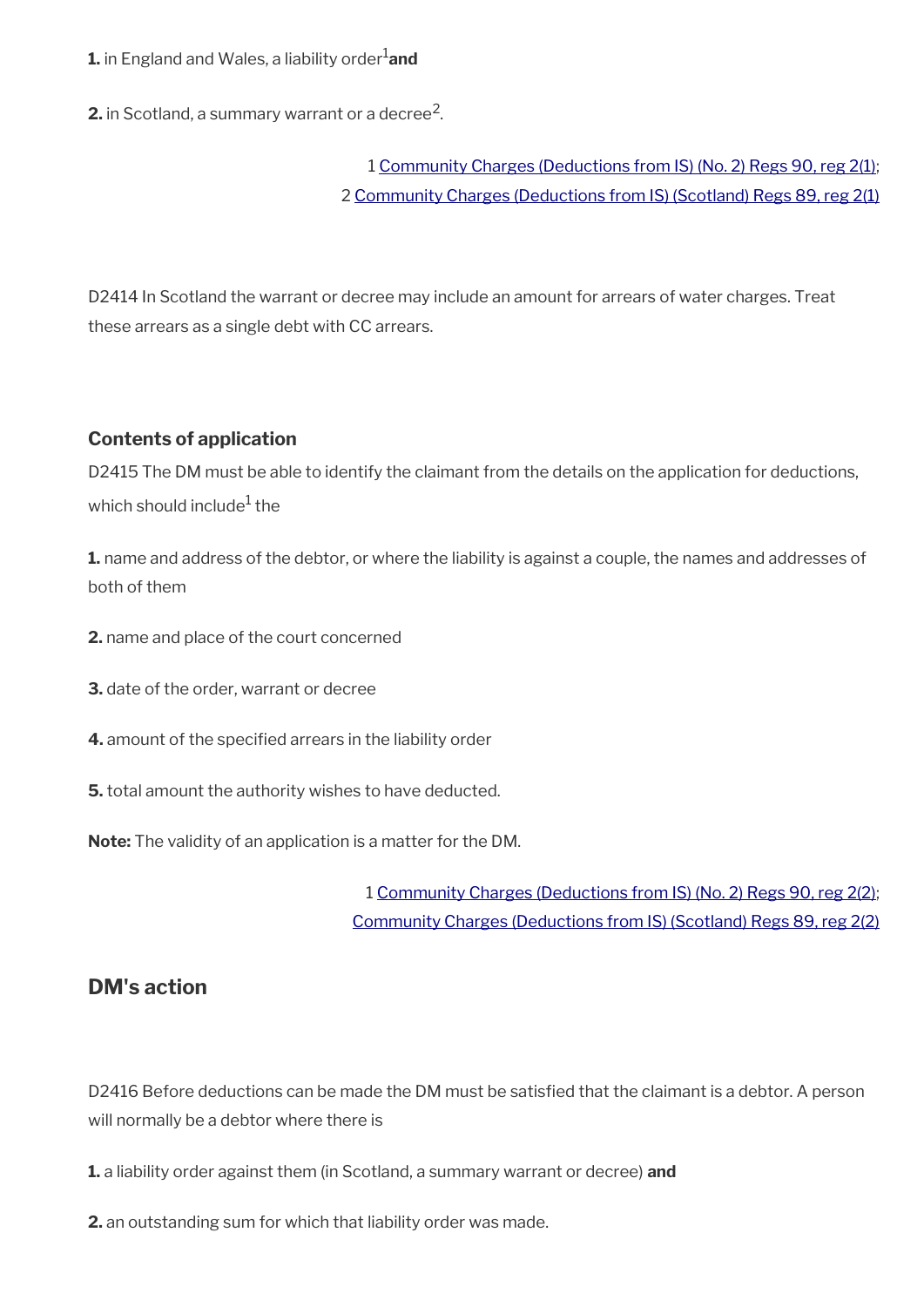#### **1.** in England and Wales, a liability order<sup>1</sup>and

**2.** in Scotland, a summary warrant or a decree<sup>2</sup>.

### 1 [Community Charges \(Deductions from IS\) \(No. 2\) Regs 90, reg 2\(1\);](https://www.legislation.gov.uk/uksi/1990/545/regulation/2) 2 [Community Charges \(Deductions from IS\) \(Scotland\) Regs 89, reg 2\(1\)](https://www.legislation.gov.uk/uksi/1989/507/regulation/1)

D2414 In Scotland the warrant or decree may include an amount for arrears of water charges. Treat these arrears as a single debt with CC arrears.

#### **Contents of application**

D2415 The DM must be able to identify the claimant from the details on the application for deductions, which should include $^{\rm 1}$  the

**1.** name and address of the debtor, or where the liability is against a couple, the names and addresses of both of them

- **2.** name and place of the court concerned
- **3.** date of the order, warrant or decree
- **4.** amount of the specifed arrears in the liability order
- **5.** total amount the authority wishes to have deducted.

**Note:** The validity of an application is a matter for the DM.

1 [Community Charges \(Deductions from IS\) \(No. 2\) Regs 90, reg 2\(2\);](https://www.legislation.gov.uk/uksi/1990/545/regulation/2) [Community Charges \(Deductions from IS\) \(Scotland\) Regs 89, reg 2\(2\)](https://www.legislation.gov.uk/uksi/1989/507/regulation/2)

### <span id="page-54-0"></span>**DM's action**

D2416 Before deductions can be made the DM must be satisfed that the claimant is a debtor. A person will normally be a debtor where there is

**1.** a liability order against them (in Scotland, a summary warrant or decree) **and** 

**2.** an outstanding sum for which that liability order was made.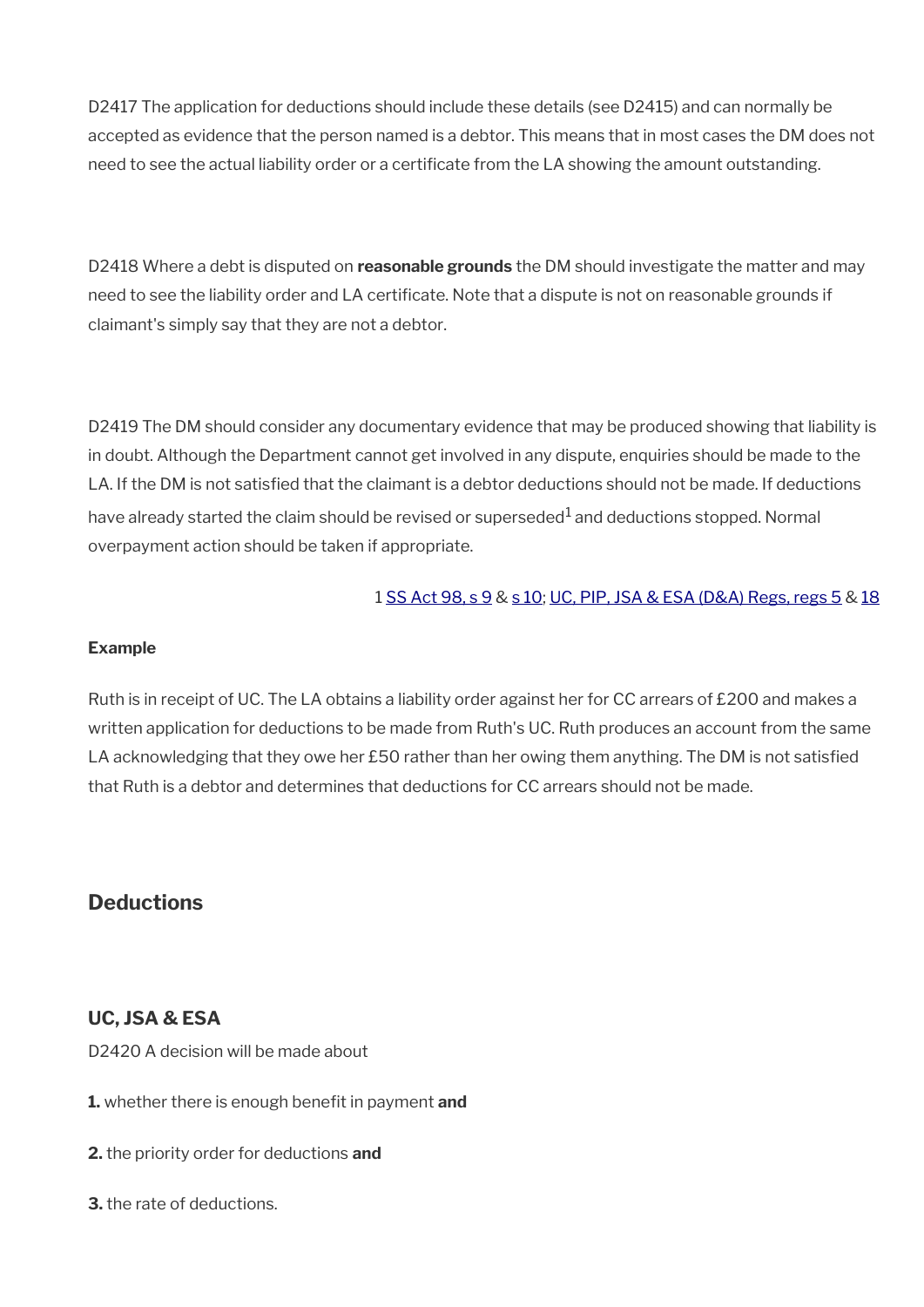D2417 The application for deductions should include these details (see D2415) and can normally be accepted as evidence that the person named is a debtor. This means that in most cases the DM does not need to see the actual liability order or a certifcate from the LA showing the amount outstanding.

D2418 Where a debt is disputed on **reasonable grounds** the DM should investigate the matter and may need to see the liability order and LA certificate. Note that a dispute is not on reasonable grounds if claimant's simply say that they are not a debtor.

D2419 The DM should consider any documentary evidence that may be produced showing that liability is in doubt. Although the Department cannot get involved in any dispute, enquiries should be made to the LA. If the DM is not satisfed that the claimant is a debtor deductions should not be made. If deductions have already started the claim should be revised or superseded $^{\rm 1}$  and deductions stopped. Normal overpayment action should be taken if appropriate.

#### 1 [SS Act 98, s 9](https://www.legislation.gov.uk/ukpga/1998/14/section/9) & [s 10;](https://www.legislation.gov.uk/ukpga/1998/14/section/10) [UC, PIP, JSA & ESA \(D&A\) Regs, regs 5](https://www.legislation.gov.uk/nisr/2016/221/regulation/4) & [18](https://www.legislation.gov.uk/nisr/2016/221/regulation/18)

#### **Example**

Ruth is in receipt of UC. The LA obtains a liability order against her for CC arrears of £200 and makes a written application for deductions to be made from Ruth's UC. Ruth produces an account from the same LA acknowledging that they owe her £50 rather than her owing them anything. The DM is not satisfied that Ruth is a debtor and determines that deductions for CC arrears should not be made.

### **Deductions**

#### **UC, JSA & ESA**

D2420 A decision will be made about

- **1.** whether there is enough benefit in payment and
- **2.** the priority order for deductions **and**
- **3.** the rate of deductions.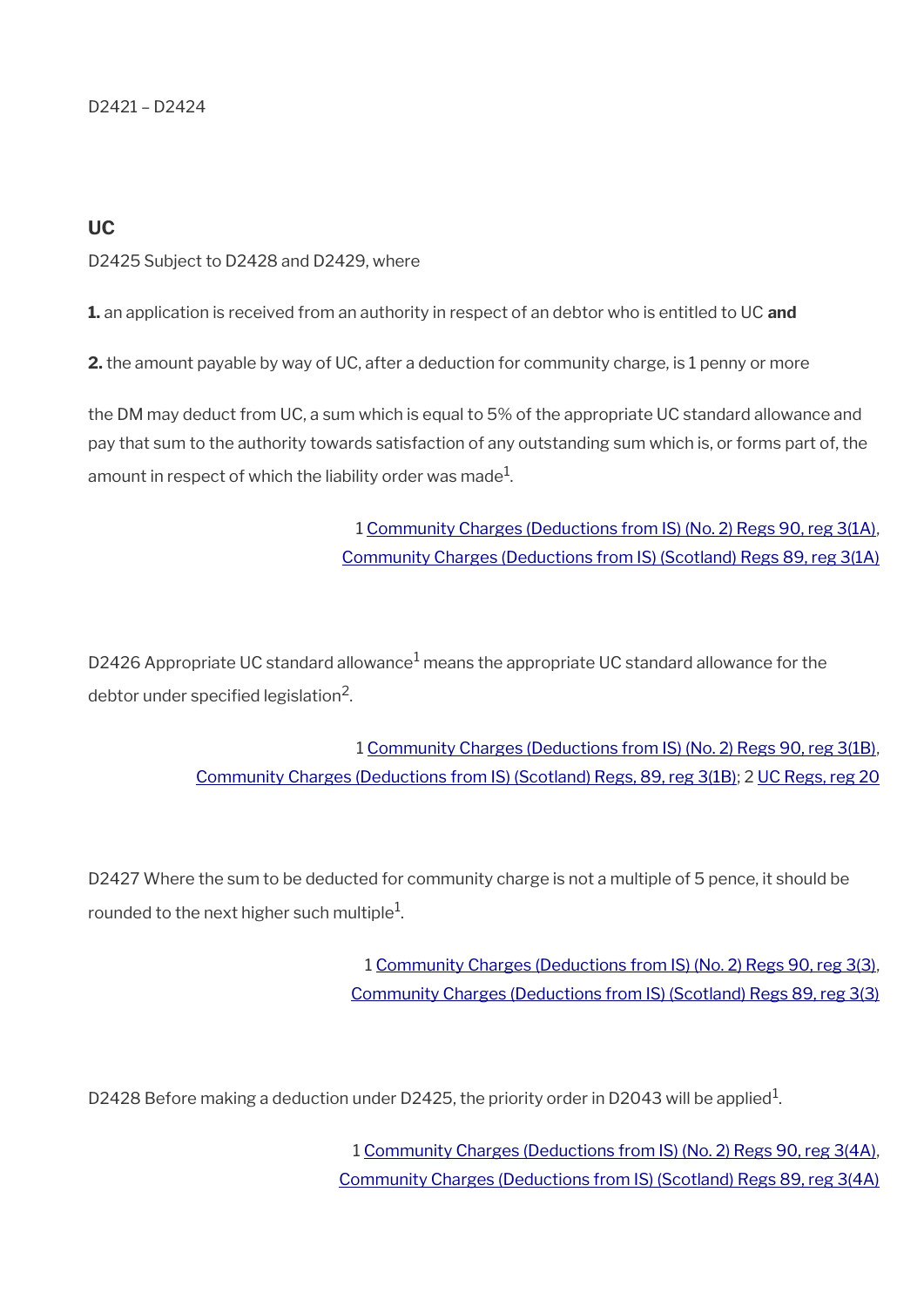D2421 – D2424

#### **UC**

D2425 Subject to D2428 and D2429, where

**1.** an application is received from an authority in respect of an debtor who is entitled to UC **and**

**2.** the amount payable by way of UC, after a deduction for community charge, is 1 penny or more

the DM may deduct from UC, a sum which is equal to 5% of the appropriate UC standard allowance and pay that sum to the authority towards satisfaction of any outstanding sum which is, or forms part of, the amount in respect of which the liability order was made $^{\rm 1}$ .

> 1 [Community Charges \(Deductions from IS\) \(No. 2\) Regs 90, reg 3\(1A\),](https://www.legislation.gov.uk/uksi/1990/545/regulation/3) [Community Charges \(Deductions from IS\) \(Scotland\) Regs 89, reg 3\(1A\)](https://www.legislation.gov.uk/uksi/1989/507/regulation/3)

D2426 Appropriate UC standard allowance $^1$  means the appropriate UC standard allowance for the debtor under specified legislation $^2$ .

> 1 [Community Charges \(Deductions from IS\) \(No. 2\) Regs 90, reg 3\(1B\),](https://www.legislation.gov.uk/uksi/1990/545/regulation/3) [Community Charges \(Deductions from IS\) \(Scotland\) Regs, 89, reg 3\(1B\)](https://www.legislation.gov.uk/uksi/1989/507/regulation/3); 2 [UC Regs, reg 20](https://www.legislation.gov.uk/uksi/2013/376/regulation/20)

D2427 Where the sum to be deducted for community charge is not a multiple of 5 pence, it should be rounded to the next higher such multiple $^{\rm 1}$ .

> 1 [Community Charges \(Deductions from IS\) \(No. 2\) Regs 90, reg 3\(3\),](https://www.legislation.gov.uk/uksi/1990/545/regulation/3) [Community Charges \(Deductions from IS\) \(Scotland\) Regs 89, reg 3\(3\)](https://www.legislation.gov.uk/uksi/1989/507/regulation/3)

D2428 Before making a deduction under D2425, the priority order in D2043 will be applied $^1$ .

1 [Community Charges \(Deductions from IS\) \(No. 2\) Regs 90, reg 3\(4A\),](https://www.legislation.gov.uk/uksi/1990/545/regulation/3) [Community Charges \(Deductions from IS\) \(Scotland\) Regs 89, reg 3\(4A\)](https://www.legislation.gov.uk/uksi/1989/507/regulation/3)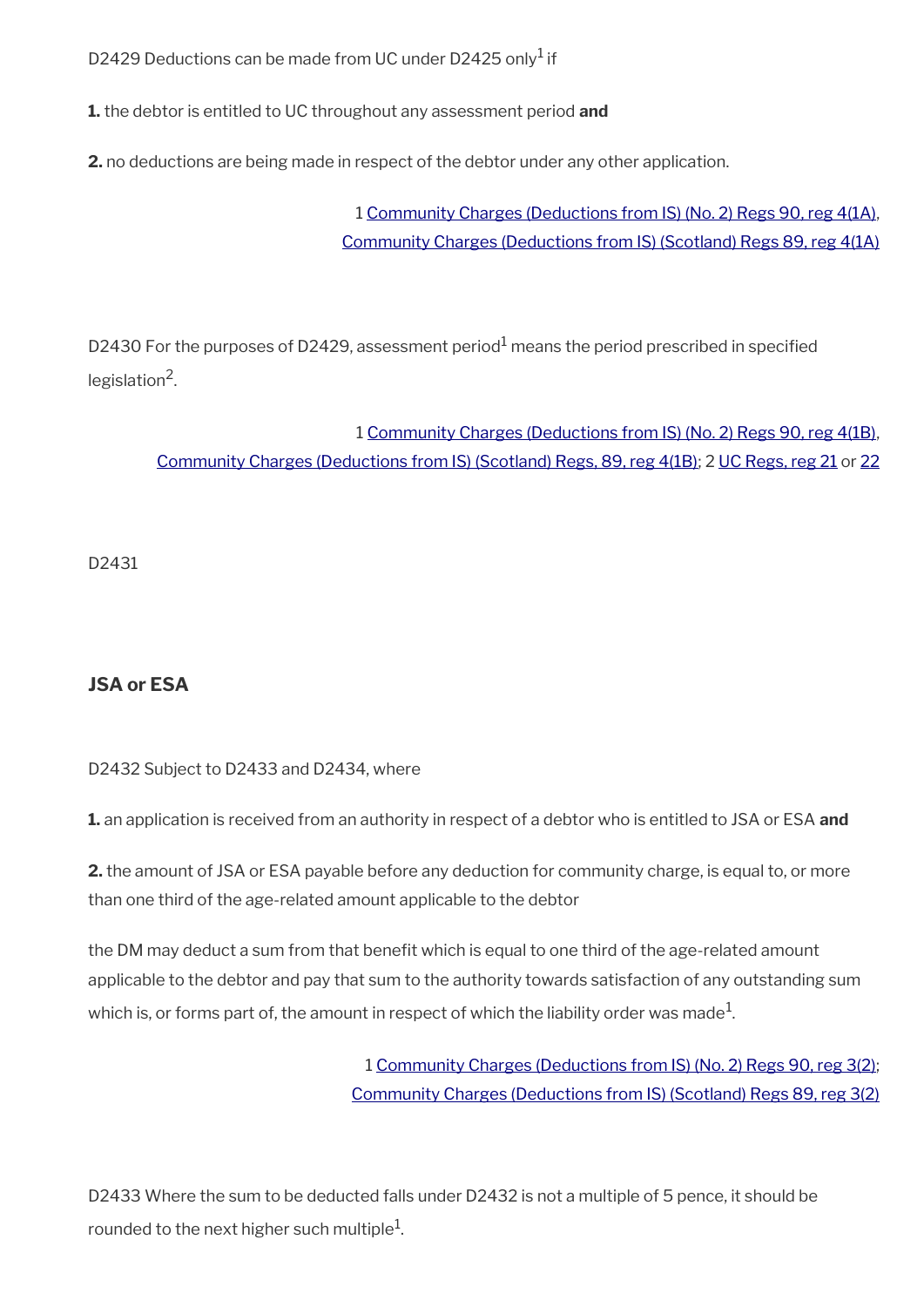D2429 Deductions can be made from UC under D2425 only $^1$  if

**1.** the debtor is entitled to UC throughout any assessment period **and**

**2.** no deductions are being made in respect of the debtor under any other application.

1 [Community Charges \(Deductions from IS\) \(No. 2\) Regs 90, reg 4\(1A\),](https://www.legislation.gov.uk/uksi/1990/545/regulation/4) [Community Charges \(Deductions from IS\) \(Scotland\) Regs 89, reg 4\(1A\)](https://www.legislation.gov.uk/uksi/1989/507/regulation/4)

D2430 For the purposes of D2429, assessment period<sup>1</sup> means the period prescribed in specified legislation<sup>2</sup>.

1 [Community Charges \(Deductions from IS\) \(No. 2\) Regs 90, reg 4\(1B\),](https://www.legislation.gov.uk/uksi/1990/545/regulation/4) [Community Charges \(Deductions from IS\) \(Scotland\) Regs, 89, reg 4\(1B\);](https://www.legislation.gov.uk/uksi/1989/507/regulation/4) 2 [UC Regs, reg 21](https://www.legislation.gov.uk/uksi/2013/376/regulation/21) or [22](https://www.legislation.gov.uk/uksi/2013/376/regulation/22)

D2431

#### **JSA or ESA**

D2432 Subject to D2433 and D2434, where

**1.** an application is received from an authority in respect of a debtor who is entitled to JSA or ESA **and**

**2.** the amount of JSA or ESA payable before any deduction for community charge, is equal to, or more than one third of the age-related amount applicable to the debtor

the DM may deduct a sum from that benefit which is equal to one third of the age-related amount applicable to the debtor and pay that sum to the authority towards satisfaction of any outstanding sum which is, or forms part of, the amount in respect of which the liability order was made $^1\!$ 

> 1 [Community Charges \(Deductions from IS\) \(No. 2\) Regs 90, reg 3\(2\);](https://www.legislation.gov.uk/uksi/1990/545/regulation/3) [Community Charges \(Deductions from IS\) \(Scotland\) Regs 89, reg 3\(2\)](https://www.legislation.gov.uk/uksi/1989/507/regulation/3)

D2433 Where the sum to be deducted falls under D2432 is not a multiple of 5 pence, it should be rounded to the next higher such multiple $^{\rm 1}$ .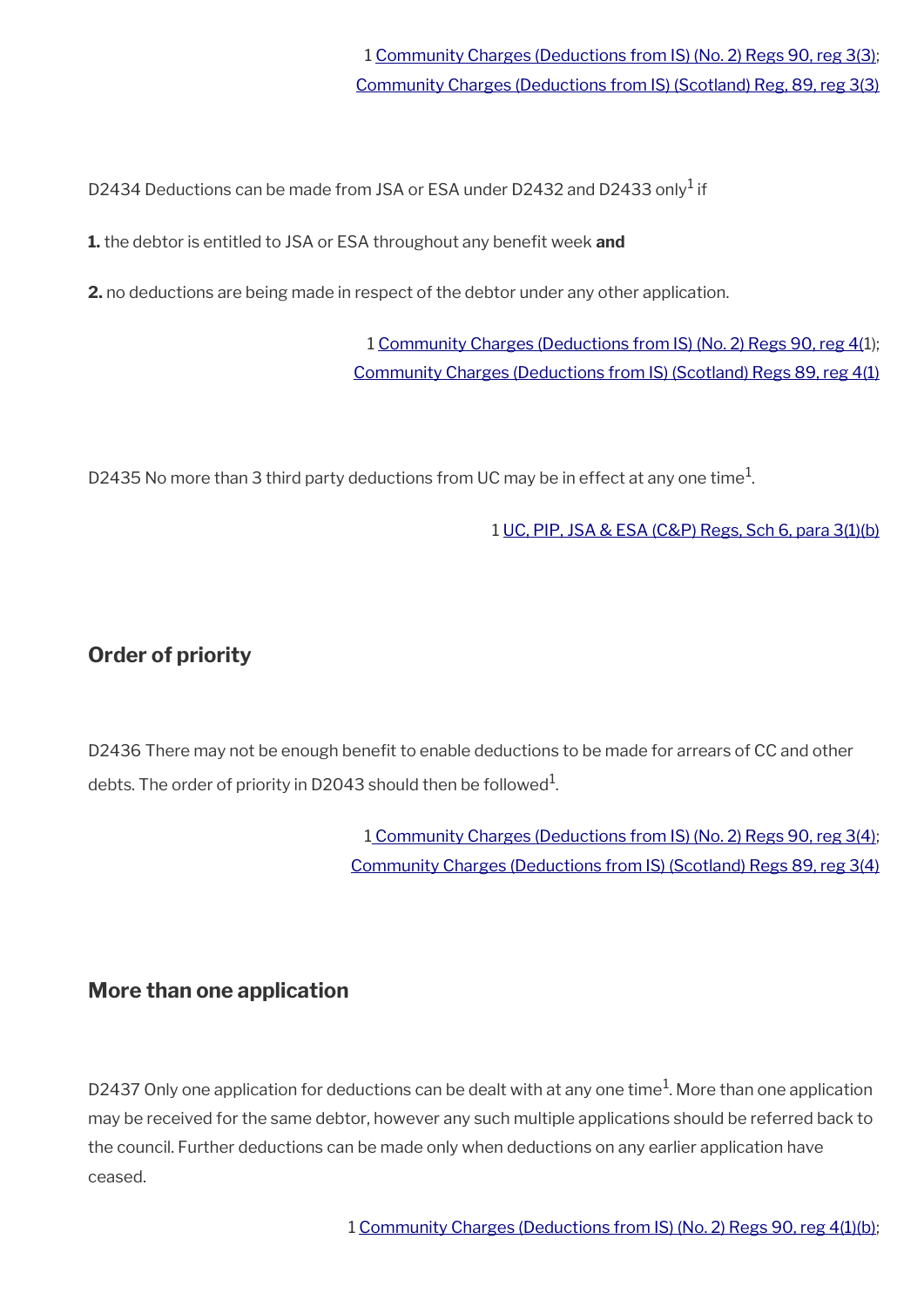D2434 Deductions can be made from JSA or ESA under D2432 and D2433 only<sup>1</sup> if

**1.** the debtor is entitled to JSA or ESA throughout any benefit week and

**2.** no deductions are being made in respect of the debtor under any other application.

1 [Community Charges \(Deductions from IS\) \(No. 2\) Regs 90, reg 4\(1](https://www.legislation.gov.uk/uksi/1990/545/regulation/4)); [Community Charges \(Deductions from IS\) \(Scotland\) Regs 89, reg 4\(1\)](https://www.legislation.gov.uk/uksi/1989/507/regulation/4)

D2435 No more than 3 third party deductions from UC may be in effect at any one time $^1\!$ 

1 [UC, PIP, JSA & ESA \(C&P\) Regs, Sch 6, para 3\(1\)\(b\)](https://www.legislation.gov.uk/nisr/2016/220/schedule/6)

# <span id="page-58-0"></span>**Order of priority**

D2436 There may not be enough benefit to enable deductions to be made for arrears of CC and other debts. The order of priority in D2043 should then be followed $^{\rm 1}$ .

> 1 [Community Charges \(Deductions from IS\) \(No. 2\) Regs 90, reg 3\(4\);](https://www.legislation.gov.uk/uksi/1990/545/regulation/3) [Community Charges \(Deductions from IS\) \(Scotland\) Regs 89, reg 3\(4\)](https://www.legislation.gov.uk/uksi/1989/507/regulation/3)

### **More than one application**

D2437 Only one application for deductions can be dealt with at any one time<sup>1</sup>. More than one application may be received for the same debtor, however any such multiple applications should be referred back to the council. Further deductions can be made only when deductions on any earlier application have ceased.